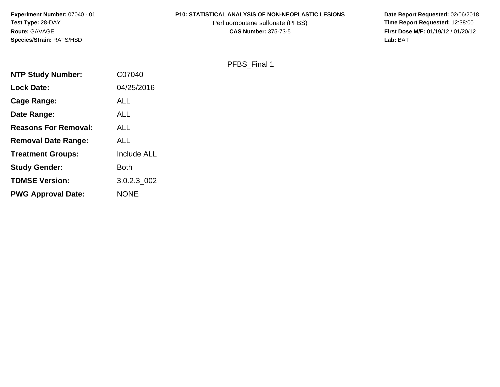**Experiment Number:** 07040 - 01**Test Type:** 28-DAY**Route:** GAVAGE**Species/Strain:** RATS/HSD

#### **P10: STATISTICAL ANALYSIS OF NON-NEOPLASTIC LESIONS**

Perfluorobutane sulfonate (PFBS)<br>**CAS Number:** 375-73-5

 **Date Report Requested:** 02/06/2018 **First Dose M/F:** 01/19/12 / 01/20/12<br>Lab: BAT **Lab:** BAT

#### PFBS\_Final 1

| <b>NTP Study Number:</b>    | C07040             |
|-----------------------------|--------------------|
| <b>Lock Date:</b>           | 04/25/2016         |
| Cage Range:                 | <b>ALL</b>         |
| Date Range:                 | <b>ALL</b>         |
| <b>Reasons For Removal:</b> | ALL                |
| <b>Removal Date Range:</b>  | <b>ALL</b>         |
| <b>Treatment Groups:</b>    | <b>Include ALL</b> |
| <b>Study Gender:</b>        | <b>Both</b>        |
| <b>TDMSE Version:</b>       | 3.0.2.3 002        |
| <b>PWG Approval Date:</b>   | <b>NONE</b>        |
|                             |                    |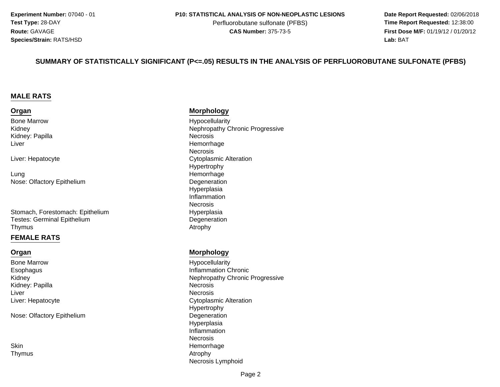**Date Report Requested:** 02/06/2018 **First Dose M/F:** 01/19/12 / 01/20/12<br>**Lab:** BAT **Lab:** BAT

#### **SUMMARY OF STATISTICALLY SIGNIFICANT (P<=.05) RESULTS IN THE ANALYSIS OF PERFLUOROBUTANE SULFONATE (PFBS)**

#### **MALE RATS**

#### **Organ**

Bone MarrowKidneyKidney: PapillaLiver

Liver: Hepatocyte

g Remorrhage Remorrhage LungNose: Olfactory Epithelium

Stomach, Forestomach: EpitheliumTestes: Germinal EpitheliumThymuss and the contract of the contract of the contract of the contract of the contract of the contract of the contract of the contract of the contract of the contract of the contract of the contract of the contract of the cont

#### **FEMALE RATS**

#### **Organ**

Bone MarrowEsophagusKidneyKidney: PapillaLiverr **Necrosis** Liver: Hepatocyte

Nose: Olfactory Epithelium

SkinThymus

#### **Morphology**

 Hypocellularity Nephropathy Chronic Progressive<br>Necrosis a **Necrosis**  HemorrhageNecrosise Cytoplasmic Alteration Hypertrophy**Degeneration** Hyperplasia Inflammation**Necrosis**  Hyperplasia Degeneration<br>Atrophy

#### **Morphology**

 Hypocellularity Inflammation Chronic Nephropathy Chronic Progressive<br>Necrosis a de la contradición de la contradición de la contradición de la contradición de la contradición de la contrad<br>En el contradición de la contradición de la contradición de la contradición de la contradición de la contradici e Cytoplasmic Alteration Hypertrophy Degeneration Hyperplasia InflammationNecrosisn Bernard Communication of the Memorrhage of the Memorrhage of the Memorrhage of the Memorrhage of the Memorrhage of the Memorrhage of the Memorrhage of the Memorrhage of the Memorrhage of the Memorrhage of the Memorrhage s and the contract of the contract of the contract of  $\lambda$  and  $\lambda$  and  $\lambda$  and  $\lambda$  and  $\lambda$  and  $\lambda$  and  $\lambda$  and  $\lambda$  and  $\lambda$  and  $\lambda$  and  $\lambda$  and  $\lambda$  and  $\lambda$  and  $\lambda$  and  $\lambda$  and  $\lambda$  and  $\lambda$  and  $\lambda$  and  $\lambda$  a Necrosis Lymphoid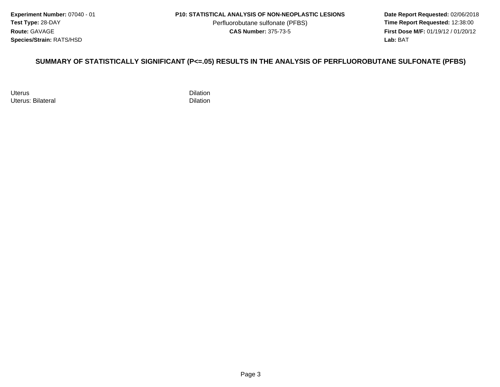**Experiment Number:** 07040 - 01**Test Type:** 28-DAY**Route:** GAVAGE**Species/Strain:** RATS/HSD

Perfluorobutane sulfonate (PFBS)<br>**CAS Number:** 375-73-5

 **Date Report Requested:** 02/06/2018 **First Dose M/F:** 01/19/12 / 01/20/12<br>**Lab:** BAT **Lab:** BAT

#### **SUMMARY OF STATISTICALLY SIGNIFICANT (P<=.05) RESULTS IN THE ANALYSIS OF PERFLUOROBUTANE SULFONATE (PFBS)**

Uteruss Dilation Uterus: Bilateral

l and the contract of the contract of the Dilation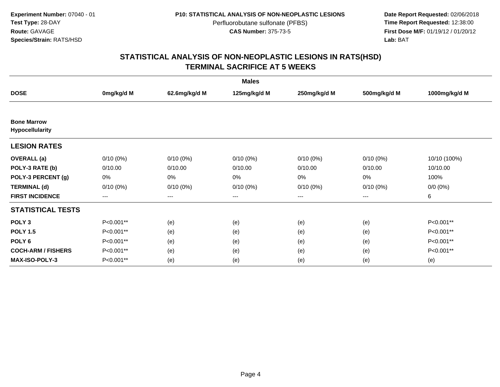**Date Report Requested:** 02/06/2018 **First Dose M/F:** 01/19/12 / 01/20/12<br>**Lab:** BAT **Lab:** BAT

| <b>Males</b>                          |             |                        |              |              |              |               |  |  |
|---------------------------------------|-------------|------------------------|--------------|--------------|--------------|---------------|--|--|
| <b>DOSE</b>                           | 0mg/kg/d M  | 62.6mg/kg/d M          | 125mg/kg/d M | 250mg/kg/d M | 500mg/kg/d M | 1000mg/kg/d M |  |  |
|                                       |             |                        |              |              |              |               |  |  |
| <b>Bone Marrow</b><br>Hypocellularity |             |                        |              |              |              |               |  |  |
| <b>LESION RATES</b>                   |             |                        |              |              |              |               |  |  |
| <b>OVERALL</b> (a)                    | $0/10(0\%)$ | $0/10(0\%)$            | $0/10(0\%)$  | $0/10(0\%)$  | $0/10(0\%)$  | 10/10 (100%)  |  |  |
| POLY-3 RATE (b)                       | 0/10.00     | 0/10.00                | 0/10.00      | 0/10.00      | 0/10.00      | 10/10.00      |  |  |
| POLY-3 PERCENT (g)                    | 0%          | 0%                     | 0%           | 0%           | 0%           | 100%          |  |  |
| <b>TERMINAL (d)</b>                   | $0/10(0\%)$ | $0/10(0\%)$            | $0/10(0\%)$  | $0/10(0\%)$  | $0/10(0\%)$  | $0/0 (0\%)$   |  |  |
| <b>FIRST INCIDENCE</b>                | $---$       | $\qquad \qquad \cdots$ | ---          | ---          | $---$        | 6             |  |  |
| <b>STATISTICAL TESTS</b>              |             |                        |              |              |              |               |  |  |
| POLY <sub>3</sub>                     | P<0.001**   | (e)                    | (e)          | (e)          | (e)          | P<0.001**     |  |  |
| <b>POLY 1.5</b>                       | P<0.001**   | (e)                    | (e)          | (e)          | (e)          | P<0.001**     |  |  |
| POLY <sub>6</sub>                     | P<0.001**   | (e)                    | (e)          | (e)          | (e)          | P<0.001**     |  |  |
| <b>COCH-ARM / FISHERS</b>             | P<0.001**   | (e)                    | (e)          | (e)          | (e)          | P<0.001**     |  |  |
| <b>MAX-ISO-POLY-3</b>                 | P<0.001**   | (e)                    | (e)          | (e)          | (e)          | (e)           |  |  |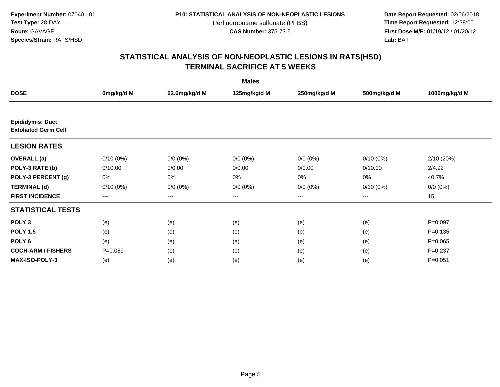**Date Report Requested:** 02/06/2018 **First Dose M/F:** 01/19/12 / 01/20/12<br>**Lab:** BAT **Lab:** BAT

| <b>Males</b>                                           |             |               |              |              |              |               |  |  |
|--------------------------------------------------------|-------------|---------------|--------------|--------------|--------------|---------------|--|--|
| <b>DOSE</b>                                            | 0mg/kg/d M  | 62.6mg/kg/d M | 125mg/kg/d M | 250mg/kg/d M | 500mg/kg/d M | 1000mg/kg/d M |  |  |
|                                                        |             |               |              |              |              |               |  |  |
| <b>Epididymis: Duct</b><br><b>Exfoliated Germ Cell</b> |             |               |              |              |              |               |  |  |
| <b>LESION RATES</b>                                    |             |               |              |              |              |               |  |  |
| <b>OVERALL</b> (a)                                     | $0/10(0\%)$ | $0/0 (0\%)$   | $0/0 (0\%)$  | $0/0 (0\%)$  | $0/10(0\%)$  | 2/10 (20%)    |  |  |
| POLY-3 RATE (b)                                        | 0/10.00     | 0/0.00        | 0/0.00       | 0/0.00       | 0/10.00      | 2/4.92        |  |  |
| POLY-3 PERCENT (g)                                     | 0%          | 0%            | 0%           | 0%           | 0%           | 40.7%         |  |  |
| <b>TERMINAL (d)</b>                                    | $0/10(0\%)$ | $0/0 (0\%)$   | $0/0 (0\%)$  | $0/0 (0\%)$  | $0/10(0\%)$  | $0/0 (0\%)$   |  |  |
| <b>FIRST INCIDENCE</b>                                 | ---         | $---$         | ---          | ---          | $---$        | 15            |  |  |
| <b>STATISTICAL TESTS</b>                               |             |               |              |              |              |               |  |  |
| POLY <sub>3</sub>                                      | (e)         | (e)           | (e)          | (e)          | (e)          | $P=0.097$     |  |  |
| <b>POLY 1.5</b>                                        | (e)         | (e)           | (e)          | (e)          | (e)          | $P = 0.135$   |  |  |
| POLY <sub>6</sub>                                      | (e)         | (e)           | (e)          | (e)          | (e)          | $P=0.065$     |  |  |
| <b>COCH-ARM / FISHERS</b>                              | $P = 0.089$ | (e)           | (e)          | (e)          | (e)          | $P=0.237$     |  |  |
| <b>MAX-ISO-POLY-3</b>                                  | (e)         | (e)           | (e)          | (e)          | (e)          | $P = 0.051$   |  |  |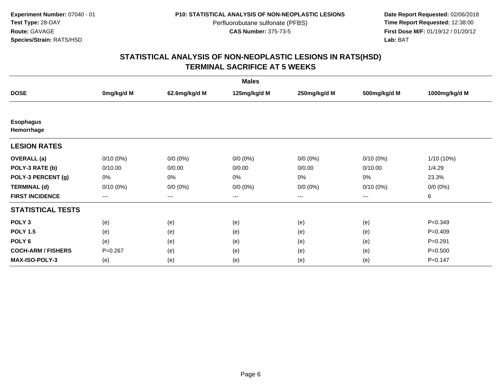**Date Report Requested:** 02/06/2018 **First Dose M/F:** 01/19/12 / 01/20/12<br>**Lab:** BAT **Lab:** BAT

| <b>Males</b>                   |             |               |              |              |              |               |  |  |
|--------------------------------|-------------|---------------|--------------|--------------|--------------|---------------|--|--|
| <b>DOSE</b>                    | 0mg/kg/d M  | 62.6mg/kg/d M | 125mg/kg/d M | 250mg/kg/d M | 500mg/kg/d M | 1000mg/kg/d M |  |  |
|                                |             |               |              |              |              |               |  |  |
| <b>Esophagus</b><br>Hemorrhage |             |               |              |              |              |               |  |  |
| <b>LESION RATES</b>            |             |               |              |              |              |               |  |  |
| <b>OVERALL</b> (a)             | $0/10(0\%)$ | $0/0 (0\%)$   | $0/0 (0\%)$  | $0/0 (0\%)$  | $0/10(0\%)$  | $1/10(10\%)$  |  |  |
| POLY-3 RATE (b)                | 0/10.00     | 0/0.00        | 0/0.00       | 0/0.00       | 0/10.00      | 1/4.29        |  |  |
| POLY-3 PERCENT (g)             | 0%          | 0%            | 0%           | 0%           | 0%           | 23.3%         |  |  |
| <b>TERMINAL (d)</b>            | $0/10(0\%)$ | $0/0 (0\%)$   | $0/0 (0\%)$  | $0/0 (0\%)$  | $0/10(0\%)$  | $0/0 (0\%)$   |  |  |
| <b>FIRST INCIDENCE</b>         | $--$        | $--$          | ---          | ---          | $--$         | 6             |  |  |
| <b>STATISTICAL TESTS</b>       |             |               |              |              |              |               |  |  |
| POLY <sub>3</sub>              | (e)         | (e)           | (e)          | (e)          | (e)          | $P = 0.349$   |  |  |
| <b>POLY 1.5</b>                | (e)         | (e)           | (e)          | (e)          | (e)          | $P=0.409$     |  |  |
| POLY <sub>6</sub>              | (e)         | (e)           | (e)          | (e)          | (e)          | $P=0.291$     |  |  |
| <b>COCH-ARM / FISHERS</b>      | $P=0.267$   | (e)           | (e)          | (e)          | (e)          | $P = 0.500$   |  |  |
| <b>MAX-ISO-POLY-3</b>          | (e)         | (e)           | (e)          | (e)          | (e)          | $P = 0.147$   |  |  |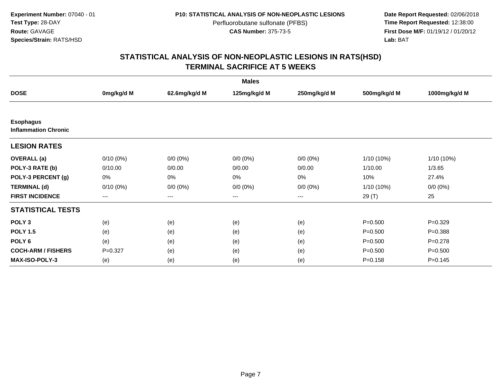Date Report Requested: 02/06/2018<br>Time Report Requested: 12:38:00 **First Dose M/F:** 01/19/12 / 01/20/12<br>**Lab:** BAT **Lab:** BAT

| <b>Males</b>                                    |             |               |              |              |              |               |  |  |
|-------------------------------------------------|-------------|---------------|--------------|--------------|--------------|---------------|--|--|
| <b>DOSE</b>                                     | 0mg/kg/d M  | 62.6mg/kg/d M | 125mg/kg/d M | 250mg/kg/d M | 500mg/kg/d M | 1000mg/kg/d M |  |  |
|                                                 |             |               |              |              |              |               |  |  |
| <b>Esophagus</b><br><b>Inflammation Chronic</b> |             |               |              |              |              |               |  |  |
| <b>LESION RATES</b>                             |             |               |              |              |              |               |  |  |
| <b>OVERALL</b> (a)                              | $0/10(0\%)$ | $0/0 (0\%)$   | $0/0 (0\%)$  | $0/0 (0\%)$  | 1/10 (10%)   | 1/10 (10%)    |  |  |
| POLY-3 RATE (b)                                 | 0/10.00     | 0/0.00        | 0/0.00       | 0/0.00       | 1/10.00      | 1/3.65        |  |  |
| POLY-3 PERCENT (g)                              | 0%          | 0%            | 0%           | 0%           | 10%          | 27.4%         |  |  |
| <b>TERMINAL (d)</b>                             | $0/10(0\%)$ | $0/0 (0\%)$   | $0/0 (0\%)$  | $0/0 (0\%)$  | $1/10(10\%)$ | $0/0 (0\%)$   |  |  |
| <b>FIRST INCIDENCE</b>                          | ---         | $---$         | ---          | ---          | 29(T)        | 25            |  |  |
| <b>STATISTICAL TESTS</b>                        |             |               |              |              |              |               |  |  |
| POLY <sub>3</sub>                               | (e)         | (e)           | (e)          | (e)          | $P = 0.500$  | $P=0.329$     |  |  |
| <b>POLY 1.5</b>                                 | (e)         | (e)           | (e)          | (e)          | $P = 0.500$  | $P = 0.388$   |  |  |
| POLY <sub>6</sub>                               | (e)         | (e)           | (e)          | (e)          | $P = 0.500$  | $P=0.278$     |  |  |
| <b>COCH-ARM / FISHERS</b>                       | $P=0.327$   | (e)           | (e)          | (e)          | $P = 0.500$  | $P = 0.500$   |  |  |
| <b>MAX-ISO-POLY-3</b>                           | (e)         | (e)           | (e)          | (e)          | $P = 0.158$  | $P = 0.145$   |  |  |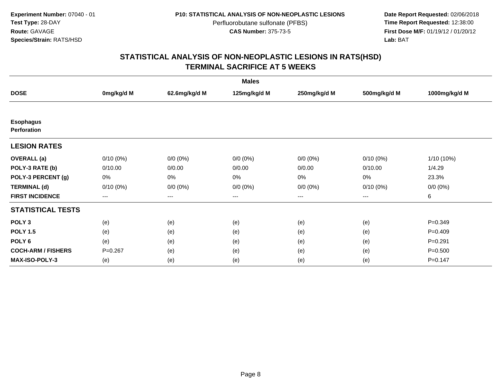**Date Report Requested:** 02/06/2018 **First Dose M/F:** 01/19/12 / 01/20/12<br>**Lab:** BAT **Lab:** BAT

| <b>Males</b>                           |                        |               |              |              |              |               |  |  |
|----------------------------------------|------------------------|---------------|--------------|--------------|--------------|---------------|--|--|
| <b>DOSE</b>                            | 0mg/kg/d M             | 62.6mg/kg/d M | 125mg/kg/d M | 250mg/kg/d M | 500mg/kg/d M | 1000mg/kg/d M |  |  |
|                                        |                        |               |              |              |              |               |  |  |
| <b>Esophagus</b><br><b>Perforation</b> |                        |               |              |              |              |               |  |  |
| <b>LESION RATES</b>                    |                        |               |              |              |              |               |  |  |
| <b>OVERALL</b> (a)                     | $0/10(0\%)$            | $0/0 (0\%)$   | $0/0 (0\%)$  | $0/0 (0\%)$  | $0/10(0\%)$  | 1/10 (10%)    |  |  |
| POLY-3 RATE (b)                        | 0/10.00                | 0/0.00        | 0/0.00       | 0/0.00       | 0/10.00      | 1/4.29        |  |  |
| POLY-3 PERCENT (g)                     | 0%                     | 0%            | 0%           | 0%           | 0%           | 23.3%         |  |  |
| <b>TERMINAL (d)</b>                    | $0/10(0\%)$            | $0/0 (0\%)$   | $0/0 (0\%)$  | $0/0 (0\%)$  | $0/10(0\%)$  | $0/0 (0\%)$   |  |  |
| <b>FIRST INCIDENCE</b>                 | $\qquad \qquad \cdots$ | $---$         | $---$        | ---          | $---$        | 6             |  |  |
| <b>STATISTICAL TESTS</b>               |                        |               |              |              |              |               |  |  |
| POLY <sub>3</sub>                      | (e)                    | (e)           | (e)          | (e)          | (e)          | $P = 0.349$   |  |  |
| <b>POLY 1.5</b>                        | (e)                    | (e)           | (e)          | (e)          | (e)          | $P=0.409$     |  |  |
| POLY <sub>6</sub>                      | (e)                    | (e)           | (e)          | (e)          | (e)          | $P = 0.291$   |  |  |
| <b>COCH-ARM / FISHERS</b>              | $P=0.267$              | (e)           | (e)          | (e)          | (e)          | $P = 0.500$   |  |  |
| <b>MAX-ISO-POLY-3</b>                  | (e)                    | (e)           | (e)          | (e)          | (e)          | $P = 0.147$   |  |  |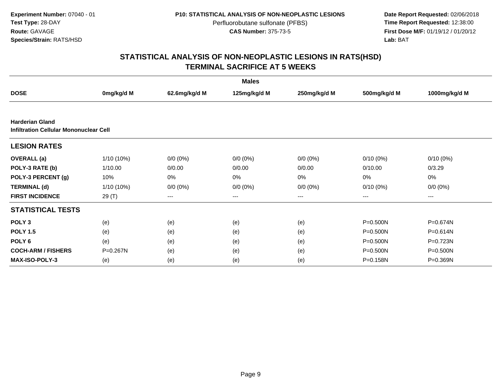**Date Report Requested:** 02/06/2018 **First Dose M/F:** 01/19/12 / 01/20/12<br>**Lab:** BAT **Lab:** BAT

|                                                                  |              |               | <b>Males</b> |              |              |               |
|------------------------------------------------------------------|--------------|---------------|--------------|--------------|--------------|---------------|
| <b>DOSE</b>                                                      | 0mg/kg/d M   | 62.6mg/kg/d M | 125mg/kg/d M | 250mg/kg/d M | 500mg/kg/d M | 1000mg/kg/d M |
|                                                                  |              |               |              |              |              |               |
| <b>Harderian Gland</b><br>Infiltration Cellular Mononuclear Cell |              |               |              |              |              |               |
| <b>LESION RATES</b>                                              |              |               |              |              |              |               |
| <b>OVERALL</b> (a)                                               | 1/10 (10%)   | $0/0 (0\%)$   | $0/0 (0\%)$  | $0/0 (0\%)$  | $0/10(0\%)$  | $0/10(0\%)$   |
| POLY-3 RATE (b)                                                  | 1/10.00      | 0/0.00        | 0/0.00       | 0/0.00       | 0/10.00      | 0/3.29        |
| POLY-3 PERCENT (g)                                               | 10%          | 0%            | 0%           | 0%           | 0%           | 0%            |
| <b>TERMINAL (d)</b>                                              | $1/10(10\%)$ | $0/0 (0\%)$   | $0/0 (0\%)$  | $0/0 (0\%)$  | $0/10(0\%)$  | $0/0 (0\%)$   |
| <b>FIRST INCIDENCE</b>                                           | 29 (T)       | $--$          | ---          | ---          | ---          | ---           |
| <b>STATISTICAL TESTS</b>                                         |              |               |              |              |              |               |
| POLY <sub>3</sub>                                                | (e)          | (e)           | (e)          | (e)          | $P = 0.500N$ | P=0.674N      |
| <b>POLY 1.5</b>                                                  | (e)          | (e)           | (e)          | (e)          | $P = 0.500N$ | $P = 0.614N$  |
| POLY <sub>6</sub>                                                | (e)          | (e)           | (e)          | (e)          | $P = 0.500N$ | P=0.723N      |
| <b>COCH-ARM / FISHERS</b>                                        | P=0.267N     | (e)           | (e)          | (e)          | $P = 0.500N$ | $P = 0.500N$  |
| <b>MAX-ISO-POLY-3</b>                                            | (e)          | (e)           | (e)          | (e)          | P=0.158N     | P=0.369N      |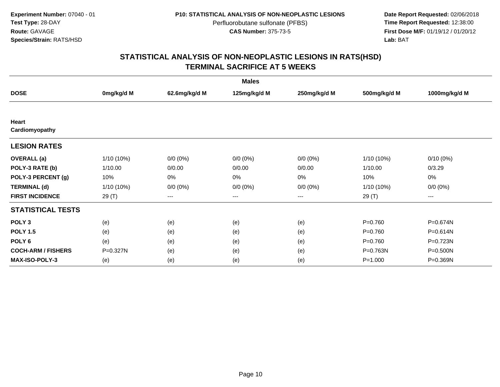**Date Report Requested:** 02/06/2018 **First Dose M/F:** 01/19/12 / 01/20/12<br>**Lab:** BAT **Lab:** BAT

| <b>Males</b>              |            |               |              |              |              |               |  |  |
|---------------------------|------------|---------------|--------------|--------------|--------------|---------------|--|--|
| <b>DOSE</b>               | 0mg/kg/d M | 62.6mg/kg/d M | 125mg/kg/d M | 250mg/kg/d M | 500mg/kg/d M | 1000mg/kg/d M |  |  |
|                           |            |               |              |              |              |               |  |  |
| Heart                     |            |               |              |              |              |               |  |  |
| Cardiomyopathy            |            |               |              |              |              |               |  |  |
| <b>LESION RATES</b>       |            |               |              |              |              |               |  |  |
| <b>OVERALL</b> (a)        | 1/10 (10%) | $0/0 (0\%)$   | $0/0 (0\%)$  | $0/0 (0\%)$  | 1/10 (10%)   | $0/10(0\%)$   |  |  |
| POLY-3 RATE (b)           | 1/10.00    | 0/0.00        | 0/0.00       | 0/0.00       | 1/10.00      | 0/3.29        |  |  |
| POLY-3 PERCENT (g)        | 10%        | 0%            | 0%           | 0%           | 10%          | 0%            |  |  |
| <b>TERMINAL (d)</b>       | 1/10 (10%) | $0/0 (0\%)$   | $0/0 (0\%)$  | $0/0 (0\%)$  | $1/10(10\%)$ | $0/0 (0\%)$   |  |  |
| <b>FIRST INCIDENCE</b>    | 29 (T)     | $---$         | $---$        | ---          | 29 (T)       | ---           |  |  |
| <b>STATISTICAL TESTS</b>  |            |               |              |              |              |               |  |  |
| POLY <sub>3</sub>         | (e)        | (e)           | (e)          | (e)          | $P=0.760$    | P=0.674N      |  |  |
| <b>POLY 1.5</b>           | (e)        | (e)           | (e)          | (e)          | $P=0.760$    | P=0.614N      |  |  |
| POLY <sub>6</sub>         | (e)        | (e)           | (e)          | (e)          | $P = 0.760$  | P=0.723N      |  |  |
| <b>COCH-ARM / FISHERS</b> | P=0.327N   | (e)           | (e)          | (e)          | P=0.763N     | P=0.500N      |  |  |
| <b>MAX-ISO-POLY-3</b>     | (e)        | (e)           | (e)          | (e)          | $P = 1.000$  | P=0.369N      |  |  |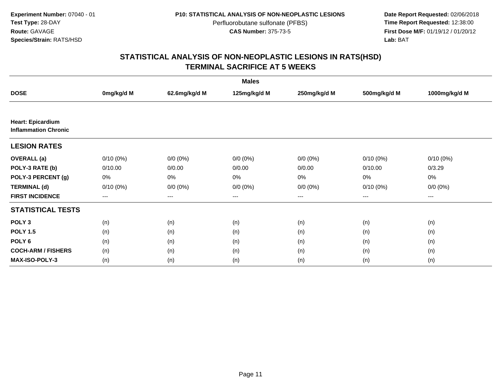**Date Report Requested:** 02/06/2018 **First Dose M/F:** 01/19/12 / 01/20/12<br>**Lab:** BAT **Lab:** BAT

| <b>Males</b>                                            |                   |                   |              |                   |              |               |  |  |
|---------------------------------------------------------|-------------------|-------------------|--------------|-------------------|--------------|---------------|--|--|
| <b>DOSE</b>                                             | 0mg/kg/d M        | 62.6mg/kg/d M     | 125mg/kg/d M | 250mg/kg/d M      | 500mg/kg/d M | 1000mg/kg/d M |  |  |
|                                                         |                   |                   |              |                   |              |               |  |  |
| <b>Heart: Epicardium</b><br><b>Inflammation Chronic</b> |                   |                   |              |                   |              |               |  |  |
| <b>LESION RATES</b>                                     |                   |                   |              |                   |              |               |  |  |
| <b>OVERALL</b> (a)                                      | $0/10(0\%)$       | $0/0 (0\%)$       | $0/0 (0\%)$  | $0/0 (0\%)$       | $0/10(0\%)$  | $0/10(0\%)$   |  |  |
| POLY-3 RATE (b)                                         | 0/10.00           | 0/0.00            | 0/0.00       | 0/0.00            | 0/10.00      | 0/3.29        |  |  |
| POLY-3 PERCENT (g)                                      | 0%                | 0%                | 0%           | 0%                | 0%           | 0%            |  |  |
| <b>TERMINAL (d)</b>                                     | $0/10(0\%)$       | $0/0 (0\%)$       | $0/0 (0\%)$  | $0/0 (0\%)$       | $0/10(0\%)$  | $0/0 (0\%)$   |  |  |
| <b>FIRST INCIDENCE</b>                                  | $\qquad \qquad -$ | $\qquad \qquad -$ | ---          | $\qquad \qquad -$ | $---$        | ---           |  |  |
| <b>STATISTICAL TESTS</b>                                |                   |                   |              |                   |              |               |  |  |
| POLY <sub>3</sub>                                       | (n)               | (n)               | (n)          | (n)               | (n)          | (n)           |  |  |
| <b>POLY 1.5</b>                                         | (n)               | (n)               | (n)          | (n)               | (n)          | (n)           |  |  |
| POLY <sub>6</sub>                                       | (n)               | (n)               | (n)          | (n)               | (n)          | (n)           |  |  |
| <b>COCH-ARM / FISHERS</b>                               | (n)               | (n)               | (n)          | (n)               | (n)          | (n)           |  |  |
| <b>MAX-ISO-POLY-3</b>                                   | (n)               | (n)               | (n)          | (n)               | (n)          | (n)           |  |  |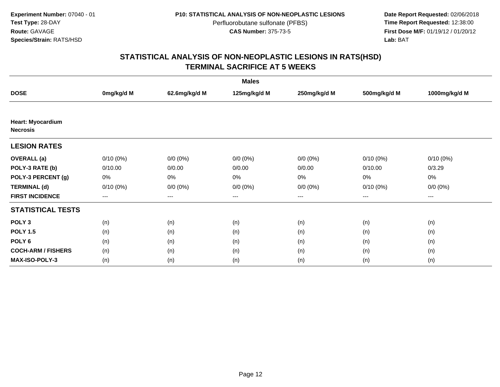**Date Report Requested:** 02/06/2018 **First Dose M/F:** 01/19/12 / 01/20/12<br>**Lab:** BAT **Lab:** BAT

| <b>Males</b>                                |             |               |              |              |              |               |  |  |
|---------------------------------------------|-------------|---------------|--------------|--------------|--------------|---------------|--|--|
| <b>DOSE</b>                                 | 0mg/kg/d M  | 62.6mg/kg/d M | 125mg/kg/d M | 250mg/kg/d M | 500mg/kg/d M | 1000mg/kg/d M |  |  |
|                                             |             |               |              |              |              |               |  |  |
| <b>Heart: Myocardium</b><br><b>Necrosis</b> |             |               |              |              |              |               |  |  |
| <b>LESION RATES</b>                         |             |               |              |              |              |               |  |  |
| <b>OVERALL</b> (a)                          | $0/10(0\%)$ | $0/0 (0\%)$   | $0/0 (0\%)$  | $0/0 (0\%)$  | $0/10(0\%)$  | $0/10(0\%)$   |  |  |
| POLY-3 RATE (b)                             | 0/10.00     | 0/0.00        | 0/0.00       | 0/0.00       | 0/10.00      | 0/3.29        |  |  |
| POLY-3 PERCENT (g)                          | 0%          | 0%            | 0%           | 0%           | 0%           | $0\%$         |  |  |
| <b>TERMINAL (d)</b>                         | $0/10(0\%)$ | $0/0 (0\%)$   | $0/0 (0\%)$  | $0/0 (0\%)$  | $0/10(0\%)$  | $0/0 (0\%)$   |  |  |
| <b>FIRST INCIDENCE</b>                      | $--$        | $---$         | $---$        | ---          | ---          | $---$         |  |  |
| <b>STATISTICAL TESTS</b>                    |             |               |              |              |              |               |  |  |
| POLY <sub>3</sub>                           | (n)         | (n)           | (n)          | (n)          | (n)          | (n)           |  |  |
| <b>POLY 1.5</b>                             | (n)         | (n)           | (n)          | (n)          | (n)          | (n)           |  |  |
| POLY <sub>6</sub>                           | (n)         | (n)           | (n)          | (n)          | (n)          | (n)           |  |  |
| <b>COCH-ARM / FISHERS</b>                   | (n)         | (n)           | (n)          | (n)          | (n)          | (n)           |  |  |
| <b>MAX-ISO-POLY-3</b>                       | (n)         | (n)           | (n)          | (n)          | (n)          | (n)           |  |  |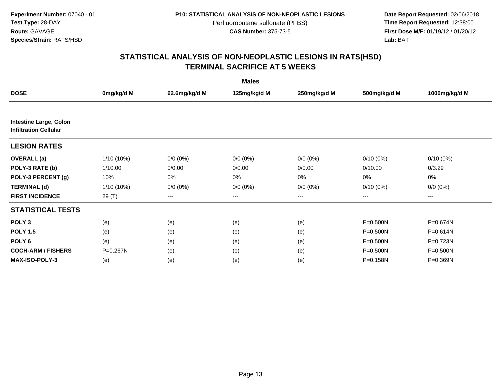**Date Report Requested:** 02/06/2018 **First Dose M/F:** 01/19/12 / 01/20/12<br>**Lab:** BAT **Lab:** BAT

| <b>Males</b>                                                  |              |               |              |              |              |               |  |  |
|---------------------------------------------------------------|--------------|---------------|--------------|--------------|--------------|---------------|--|--|
| <b>DOSE</b>                                                   | 0mg/kg/d M   | 62.6mg/kg/d M | 125mg/kg/d M | 250mg/kg/d M | 500mg/kg/d M | 1000mg/kg/d M |  |  |
|                                                               |              |               |              |              |              |               |  |  |
| <b>Intestine Large, Colon</b><br><b>Infiltration Cellular</b> |              |               |              |              |              |               |  |  |
| <b>LESION RATES</b>                                           |              |               |              |              |              |               |  |  |
| <b>OVERALL</b> (a)                                            | 1/10 (10%)   | $0/0 (0\%)$   | $0/0 (0\%)$  | $0/0 (0\%)$  | $0/10(0\%)$  | $0/10(0\%)$   |  |  |
| POLY-3 RATE (b)                                               | 1/10.00      | 0/0.00        | 0/0.00       | 0/0.00       | 0/10.00      | 0/3.29        |  |  |
| POLY-3 PERCENT (g)                                            | 10%          | 0%            | 0%           | 0%           | 0%           | 0%            |  |  |
| <b>TERMINAL (d)</b>                                           | $1/10(10\%)$ | $0/0 (0\%)$   | $0/0 (0\%)$  | $0/0 (0\%)$  | $0/10(0\%)$  | $0/0 (0\%)$   |  |  |
| <b>FIRST INCIDENCE</b>                                        | 29 (T)       | $--$          | ---          | ---          | ---          | ---           |  |  |
| <b>STATISTICAL TESTS</b>                                      |              |               |              |              |              |               |  |  |
| POLY <sub>3</sub>                                             | (e)          | (e)           | (e)          | (e)          | P=0.500N     | P=0.674N      |  |  |
| <b>POLY 1.5</b>                                               | (e)          | (e)           | (e)          | (e)          | $P = 0.500N$ | $P = 0.614N$  |  |  |
| POLY <sub>6</sub>                                             | (e)          | (e)           | (e)          | (e)          | $P = 0.500N$ | P=0.723N      |  |  |
| <b>COCH-ARM / FISHERS</b>                                     | P=0.267N     | (e)           | (e)          | (e)          | $P = 0.500N$ | P=0.500N      |  |  |
| <b>MAX-ISO-POLY-3</b>                                         | (e)          | (e)           | (e)          | (e)          | P=0.158N     | P=0.369N      |  |  |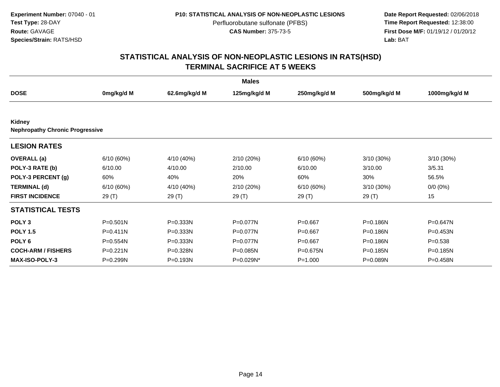**Date Report Requested:** 02/06/2018 **First Dose M/F:** 01/19/12 / 01/20/12<br>**Lab:** BAT **Lab:** BAT

|                                                  |              |               | <b>Males</b> |              |              |               |
|--------------------------------------------------|--------------|---------------|--------------|--------------|--------------|---------------|
| <b>DOSE</b>                                      | 0mg/kg/d M   | 62.6mg/kg/d M | 125mg/kg/d M | 250mg/kg/d M | 500mg/kg/d M | 1000mg/kg/d M |
|                                                  |              |               |              |              |              |               |
| Kidney<br><b>Nephropathy Chronic Progressive</b> |              |               |              |              |              |               |
| <b>LESION RATES</b>                              |              |               |              |              |              |               |
| <b>OVERALL</b> (a)                               | 6/10(60%)    | 4/10 (40%)    | 2/10 (20%)   | 6/10(60%)    | 3/10 (30%)   | 3/10(30%)     |
| POLY-3 RATE (b)                                  | 6/10.00      | 4/10.00       | 2/10.00      | 6/10.00      | 3/10.00      | 3/5.31        |
| POLY-3 PERCENT (g)                               | 60%          | 40%           | 20%          | 60%          | 30%          | 56.5%         |
| <b>TERMINAL (d)</b>                              | 6/10(60%)    | 4/10 (40%)    | 2/10 (20%)   | 6/10 (60%)   | 3/10 (30%)   | $0/0 (0\%)$   |
| <b>FIRST INCIDENCE</b>                           | 29(T)        | 29 (T)        | 29(T)        | 29(T)        | 29 (T)       | 15            |
| <b>STATISTICAL TESTS</b>                         |              |               |              |              |              |               |
| POLY <sub>3</sub>                                | $P = 0.501N$ | $P = 0.333N$  | P=0.077N     | $P = 0.667$  | P=0.186N     | P=0.647N      |
| <b>POLY 1.5</b>                                  | $P = 0.411N$ | P=0.333N      | P=0.077N     | $P = 0.667$  | $P = 0.186N$ | P=0.453N      |
| POLY <sub>6</sub>                                | P=0.554N     | $P = 0.333N$  | P=0.077N     | $P = 0.667$  | P=0.186N     | $P = 0.538$   |
| <b>COCH-ARM / FISHERS</b>                        | $P = 0.221N$ | P=0.328N      | $P = 0.085N$ | P=0.675N     | $P = 0.185N$ | P=0.185N      |
| <b>MAX-ISO-POLY-3</b>                            | P=0.299N     | P=0.193N      | P=0.029N*    | $P = 1.000$  | P=0.089N     | P=0.458N      |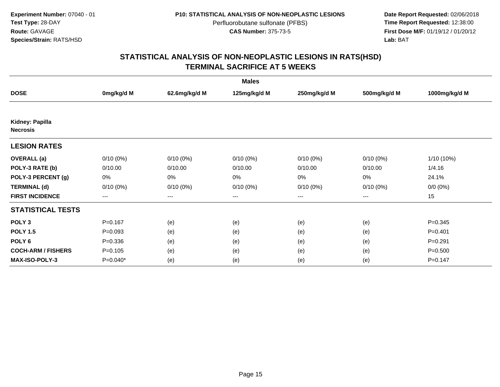**Date Report Requested:** 02/06/2018 **First Dose M/F:** 01/19/12 / 01/20/12<br>**Lab:** BAT **Lab:** BAT

| <b>Males</b>                       |             |                        |              |              |                        |               |  |  |
|------------------------------------|-------------|------------------------|--------------|--------------|------------------------|---------------|--|--|
| <b>DOSE</b>                        | 0mg/kg/d M  | 62.6mg/kg/d M          | 125mg/kg/d M | 250mg/kg/d M | 500mg/kg/d M           | 1000mg/kg/d M |  |  |
|                                    |             |                        |              |              |                        |               |  |  |
| Kidney: Papilla<br><b>Necrosis</b> |             |                        |              |              |                        |               |  |  |
| <b>LESION RATES</b>                |             |                        |              |              |                        |               |  |  |
| <b>OVERALL</b> (a)                 | $0/10(0\%)$ | $0/10(0\%)$            | $0/10(0\%)$  | $0/10(0\%)$  | $0/10(0\%)$            | 1/10 (10%)    |  |  |
| POLY-3 RATE (b)                    | 0/10.00     | 0/10.00                | 0/10.00      | 0/10.00      | 0/10.00                | 1/4.16        |  |  |
| POLY-3 PERCENT (g)                 | 0%          | 0%                     | 0%           | 0%           | 0%                     | 24.1%         |  |  |
| <b>TERMINAL (d)</b>                | $0/10(0\%)$ | $0/10(0\%)$            | $0/10(0\%)$  | $0/10(0\%)$  | $0/10(0\%)$            | $0/0 (0\%)$   |  |  |
| <b>FIRST INCIDENCE</b>             | $---$       | $\qquad \qquad \cdots$ | ---          | ---          | $\qquad \qquad \cdots$ | 15            |  |  |
| <b>STATISTICAL TESTS</b>           |             |                        |              |              |                        |               |  |  |
| POLY <sub>3</sub>                  | $P = 0.167$ | (e)                    | (e)          | (e)          | (e)                    | $P = 0.345$   |  |  |
| <b>POLY 1.5</b>                    | $P = 0.093$ | (e)                    | (e)          | (e)          | (e)                    | $P = 0.401$   |  |  |
| POLY <sub>6</sub>                  | $P = 0.336$ | (e)                    | (e)          | (e)          | (e)                    | $P = 0.291$   |  |  |
| <b>COCH-ARM / FISHERS</b>          | $P=0.105$   | (e)                    | (e)          | (e)          | (e)                    | $P = 0.500$   |  |  |
| <b>MAX-ISO-POLY-3</b>              | $P=0.040*$  | (e)                    | (e)          | (e)          | (e)                    | $P = 0.147$   |  |  |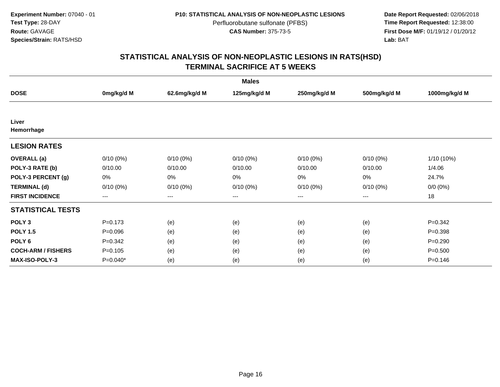**Date Report Requested:** 02/06/2018 **First Dose M/F:** 01/19/12 / 01/20/12<br>**Lab:** BAT **Lab:** BAT

| <b>Males</b>              |                   |               |              |              |                   |               |  |  |
|---------------------------|-------------------|---------------|--------------|--------------|-------------------|---------------|--|--|
| <b>DOSE</b>               | 0mg/kg/d M        | 62.6mg/kg/d M | 125mg/kg/d M | 250mg/kg/d M | 500mg/kg/d M      | 1000mg/kg/d M |  |  |
|                           |                   |               |              |              |                   |               |  |  |
| Liver<br>Hemorrhage       |                   |               |              |              |                   |               |  |  |
| <b>LESION RATES</b>       |                   |               |              |              |                   |               |  |  |
| <b>OVERALL</b> (a)        | $0/10(0\%)$       | $0/10(0\%)$   | $0/10(0\%)$  | $0/10(0\%)$  | $0/10(0\%)$       | 1/10 (10%)    |  |  |
| POLY-3 RATE (b)           | 0/10.00           | 0/10.00       | 0/10.00      | 0/10.00      | 0/10.00           | 1/4.06        |  |  |
| POLY-3 PERCENT (g)        | 0%                | 0%            | 0%           | 0%           | 0%                | 24.7%         |  |  |
| <b>TERMINAL (d)</b>       | $0/10(0\%)$       | $0/10(0\%)$   | $0/10(0\%)$  | $0/10(0\%)$  | $0/10(0\%)$       | $0/0 (0\%)$   |  |  |
| <b>FIRST INCIDENCE</b>    | $\qquad \qquad -$ | $--$          | $---$        | ---          | $\qquad \qquad -$ | 18            |  |  |
| <b>STATISTICAL TESTS</b>  |                   |               |              |              |                   |               |  |  |
| POLY <sub>3</sub>         | $P = 0.173$       | (e)           | (e)          | (e)          | (e)               | $P=0.342$     |  |  |
| <b>POLY 1.5</b>           | $P = 0.096$       | (e)           | (e)          | (e)          | (e)               | $P = 0.398$   |  |  |
| POLY <sub>6</sub>         | $P = 0.342$       | (e)           | (e)          | (e)          | (e)               | $P = 0.290$   |  |  |
| <b>COCH-ARM / FISHERS</b> | $P=0.105$         | (e)           | (e)          | (e)          | (e)               | $P = 0.500$   |  |  |
| MAX-ISO-POLY-3            | $P=0.040*$        | (e)           | (e)          | (e)          | (e)               | $P = 0.146$   |  |  |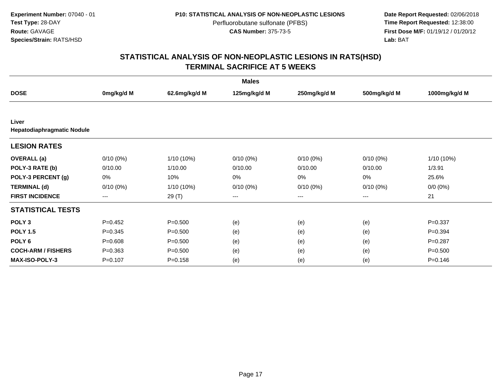**Date Report Requested:** 02/06/2018 **First Dose M/F:** 01/19/12 / 01/20/12<br>**Lab:** BAT **Lab:** BAT

| <b>Males</b>               |             |               |                   |              |              |               |  |  |
|----------------------------|-------------|---------------|-------------------|--------------|--------------|---------------|--|--|
| <b>DOSE</b>                | 0mg/kg/d M  | 62.6mg/kg/d M | 125mg/kg/d M      | 250mg/kg/d M | 500mg/kg/d M | 1000mg/kg/d M |  |  |
|                            |             |               |                   |              |              |               |  |  |
| Liver                      |             |               |                   |              |              |               |  |  |
| Hepatodiaphragmatic Nodule |             |               |                   |              |              |               |  |  |
| <b>LESION RATES</b>        |             |               |                   |              |              |               |  |  |
| <b>OVERALL</b> (a)         | $0/10(0\%)$ | $1/10(10\%)$  | $0/10(0\%)$       | $0/10(0\%)$  | $0/10(0\%)$  | 1/10 (10%)    |  |  |
| POLY-3 RATE (b)            | 0/10.00     | 1/10.00       | 0/10.00           | 0/10.00      | 0/10.00      | 1/3.91        |  |  |
| POLY-3 PERCENT (g)         | 0%          | 10%           | 0%                | 0%           | 0%           | 25.6%         |  |  |
| <b>TERMINAL (d)</b>        | $0/10(0\%)$ | 1/10 (10%)    | $0/10(0\%)$       | $0/10(0\%)$  | $0/10(0\%)$  | $0/0 (0\%)$   |  |  |
| <b>FIRST INCIDENCE</b>     | $---$       | 29 (T)        | $\qquad \qquad -$ | ---          | $---$        | 21            |  |  |
| <b>STATISTICAL TESTS</b>   |             |               |                   |              |              |               |  |  |
| POLY <sub>3</sub>          | $P=0.452$   | $P = 0.500$   | (e)               | (e)          | (e)          | $P=0.337$     |  |  |
| <b>POLY 1.5</b>            | $P = 0.345$ | $P = 0.500$   | (e)               | (e)          | (e)          | $P=0.394$     |  |  |
| POLY <sub>6</sub>          | $P = 0.608$ | $P = 0.500$   | (e)               | (e)          | (e)          | $P = 0.287$   |  |  |
| <b>COCH-ARM / FISHERS</b>  | $P = 0.363$ | $P = 0.500$   | (e)               | (e)          | (e)          | $P = 0.500$   |  |  |
| <b>MAX-ISO-POLY-3</b>      | $P = 0.107$ | $P = 0.158$   | (e)               | (e)          | (e)          | $P = 0.146$   |  |  |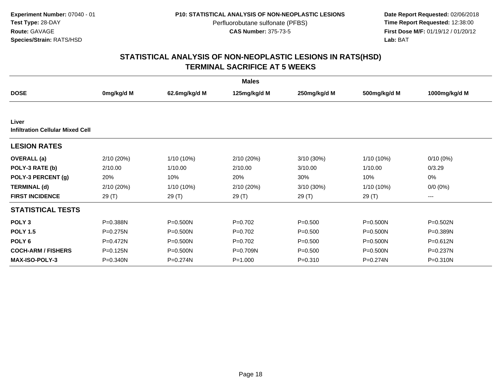**Date Report Requested:** 02/06/2018 **First Dose M/F:** 01/19/12 / 01/20/12<br>**Lab:** BAT **Lab:** BAT

|                                                  |              |               | <b>Males</b> |              |              |                     |
|--------------------------------------------------|--------------|---------------|--------------|--------------|--------------|---------------------|
| <b>DOSE</b>                                      | 0mg/kg/d M   | 62.6mg/kg/d M | 125mg/kg/d M | 250mg/kg/d M | 500mg/kg/d M | 1000mg/kg/d M       |
|                                                  |              |               |              |              |              |                     |
| Liver<br><b>Infiltration Cellular Mixed Cell</b> |              |               |              |              |              |                     |
| <b>LESION RATES</b>                              |              |               |              |              |              |                     |
| <b>OVERALL</b> (a)                               | 2/10 (20%)   | 1/10 (10%)    | 2/10(20%)    | 3/10 (30%)   | 1/10 (10%)   | $0/10(0\%)$         |
| POLY-3 RATE (b)                                  | 2/10.00      | 1/10.00       | 2/10.00      | 3/10.00      | 1/10.00      | 0/3.29              |
| POLY-3 PERCENT (g)                               | 20%          | 10%           | 20%          | 30%          | 10%          | 0%                  |
| <b>TERMINAL (d)</b>                              | 2/10 (20%)   | 1/10 (10%)    | 2/10 (20%)   | 3/10 (30%)   | 1/10 (10%)   | $0/0 (0\%)$         |
| <b>FIRST INCIDENCE</b>                           | 29 (T)       | 29 (T)        | 29 (T)       | 29(T)        | 29 (T)       | $\qquad \qquad - -$ |
| <b>STATISTICAL TESTS</b>                         |              |               |              |              |              |                     |
| POLY <sub>3</sub>                                | P=0.388N     | $P = 0.500N$  | $P=0.702$    | $P = 0.500$  | P=0.500N     | P=0.502N            |
| <b>POLY 1.5</b>                                  | $P = 0.275N$ | $P = 0.500N$  | $P=0.702$    | $P = 0.500$  | $P = 0.500N$ | P=0.389N            |
| POLY <sub>6</sub>                                | $P=0.472N$   | $P = 0.500N$  | $P=0.702$    | $P = 0.500$  | $P = 0.500N$ | P=0.612N            |
| <b>COCH-ARM / FISHERS</b>                        | P=0.125N     | P=0.500N      | P=0.709N     | $P = 0.500$  | P=0.500N     | P=0.237N            |
| <b>MAX-ISO-POLY-3</b>                            | $P = 0.340N$ | P=0.274N      | $P = 1.000$  | $P = 0.310$  | $P = 0.274N$ | P=0.310N            |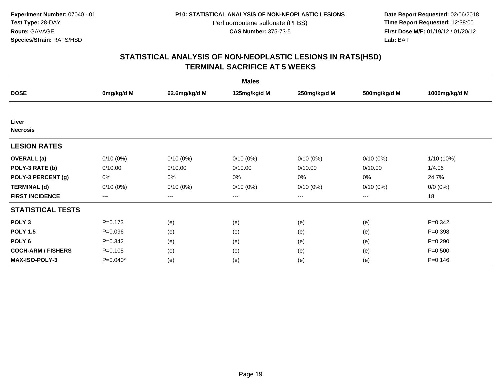**Date Report Requested:** 02/06/2018 **First Dose M/F:** 01/19/12 / 01/20/12<br>**Lab:** BAT **Lab:** BAT

| <b>Males</b>              |             |                        |              |              |              |               |  |  |
|---------------------------|-------------|------------------------|--------------|--------------|--------------|---------------|--|--|
| <b>DOSE</b>               | 0mg/kg/d M  | 62.6mg/kg/d M          | 125mg/kg/d M | 250mg/kg/d M | 500mg/kg/d M | 1000mg/kg/d M |  |  |
|                           |             |                        |              |              |              |               |  |  |
| Liver<br><b>Necrosis</b>  |             |                        |              |              |              |               |  |  |
| <b>LESION RATES</b>       |             |                        |              |              |              |               |  |  |
| <b>OVERALL</b> (a)        | $0/10(0\%)$ | $0/10(0\%)$            | $0/10(0\%)$  | $0/10(0\%)$  | $0/10(0\%)$  | 1/10 (10%)    |  |  |
| POLY-3 RATE (b)           | 0/10.00     | 0/10.00                | 0/10.00      | 0/10.00      | 0/10.00      | 1/4.06        |  |  |
| POLY-3 PERCENT (g)        | 0%          | 0%                     | 0%           | 0%           | 0%           | 24.7%         |  |  |
| <b>TERMINAL (d)</b>       | $0/10(0\%)$ | $0/10(0\%)$            | $0/10(0\%)$  | $0/10(0\%)$  | 0/10(0%)     | $0/0 (0\%)$   |  |  |
| <b>FIRST INCIDENCE</b>    | $---$       | $\qquad \qquad \cdots$ | ---          | ---          | $---$        | 18            |  |  |
| <b>STATISTICAL TESTS</b>  |             |                        |              |              |              |               |  |  |
| POLY <sub>3</sub>         | $P = 0.173$ | (e)                    | (e)          | (e)          | (e)          | $P=0.342$     |  |  |
| <b>POLY 1.5</b>           | $P = 0.096$ | (e)                    | (e)          | (e)          | (e)          | $P = 0.398$   |  |  |
| POLY <sub>6</sub>         | $P=0.342$   | (e)                    | (e)          | (e)          | (e)          | $P=0.290$     |  |  |
| <b>COCH-ARM / FISHERS</b> | $P = 0.105$ | (e)                    | (e)          | (e)          | (e)          | $P = 0.500$   |  |  |
| <b>MAX-ISO-POLY-3</b>     | P=0.040*    | (e)                    | (e)          | (e)          | (e)          | $P = 0.146$   |  |  |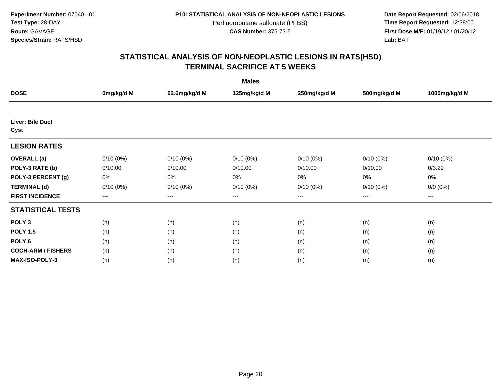**Date Report Requested:** 02/06/2018 **First Dose M/F:** 01/19/12 / 01/20/12<br>**Lab:** BAT **Lab:** BAT

| <b>Males</b>              |             |               |              |              |              |               |  |  |
|---------------------------|-------------|---------------|--------------|--------------|--------------|---------------|--|--|
| <b>DOSE</b>               | 0mg/kg/d M  | 62.6mg/kg/d M | 125mg/kg/d M | 250mg/kg/d M | 500mg/kg/d M | 1000mg/kg/d M |  |  |
|                           |             |               |              |              |              |               |  |  |
| Liver: Bile Duct<br>Cyst  |             |               |              |              |              |               |  |  |
| <b>LESION RATES</b>       |             |               |              |              |              |               |  |  |
| <b>OVERALL</b> (a)        | $0/10(0\%)$ | $0/10(0\%)$   | $0/10(0\%)$  | $0/10(0\%)$  | $0/10(0\%)$  | $0/10(0\%)$   |  |  |
| POLY-3 RATE (b)           | 0/10.00     | 0/10.00       | 0/10.00      | 0/10.00      | 0/10.00      | 0/3.29        |  |  |
| POLY-3 PERCENT (g)        | 0%          | 0%            | 0%           | 0%           | 0%           | $0\%$         |  |  |
| <b>TERMINAL (d)</b>       | $0/10(0\%)$ | $0/10(0\%)$   | 0/10(0%)     | $0/10(0\%)$  | $0/10(0\%)$  | $0/0 (0\%)$   |  |  |
| <b>FIRST INCIDENCE</b>    | $--$        | $---$         | $---$        | ---          | ---          | $---$         |  |  |
| <b>STATISTICAL TESTS</b>  |             |               |              |              |              |               |  |  |
| POLY <sub>3</sub>         | (n)         | (n)           | (n)          | (n)          | (n)          | (n)           |  |  |
| <b>POLY 1.5</b>           | (n)         | (n)           | (n)          | (n)          | (n)          | (n)           |  |  |
| POLY <sub>6</sub>         | (n)         | (n)           | (n)          | (n)          | (n)          | (n)           |  |  |
| <b>COCH-ARM / FISHERS</b> | (n)         | (n)           | (n)          | (n)          | (n)          | (n)           |  |  |
| <b>MAX-ISO-POLY-3</b>     | (n)         | (n)           | (n)          | (n)          | (n)          | (n)           |  |  |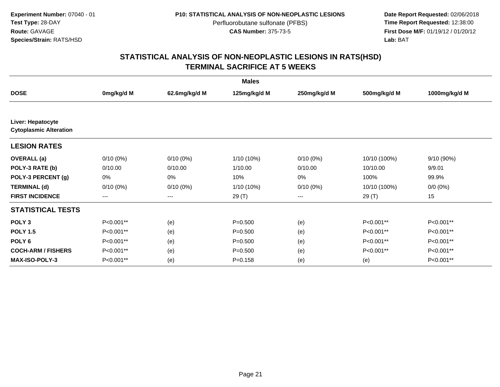**Date Report Requested:** 02/06/2018 **First Dose M/F:** 01/19/12 / 01/20/12<br>**Lab:** BAT **Lab:** BAT

| <b>Males</b>                                       |                   |                   |              |              |              |               |  |  |
|----------------------------------------------------|-------------------|-------------------|--------------|--------------|--------------|---------------|--|--|
| <b>DOSE</b>                                        | 0mg/kg/d M        | 62.6mg/kg/d M     | 125mg/kg/d M | 250mg/kg/d M | 500mg/kg/d M | 1000mg/kg/d M |  |  |
|                                                    |                   |                   |              |              |              |               |  |  |
| Liver: Hepatocyte<br><b>Cytoplasmic Alteration</b> |                   |                   |              |              |              |               |  |  |
| <b>LESION RATES</b>                                |                   |                   |              |              |              |               |  |  |
| <b>OVERALL</b> (a)                                 | $0/10(0\%)$       | $0/10(0\%)$       | 1/10 (10%)   | $0/10(0\%)$  | 10/10 (100%) | 9/10 (90%)    |  |  |
| POLY-3 RATE (b)                                    | 0/10.00           | 0/10.00           | 1/10.00      | 0/10.00      | 10/10.00     | 9/9.01        |  |  |
| POLY-3 PERCENT (g)                                 | 0%                | 0%                | 10%          | 0%           | 100%         | 99.9%         |  |  |
| <b>TERMINAL (d)</b>                                | $0/10(0\%)$       | $0/10(0\%)$       | 1/10 (10%)   | $0/10(0\%)$  | 10/10 (100%) | $0/0 (0\%)$   |  |  |
| <b>FIRST INCIDENCE</b>                             | $\qquad \qquad -$ | $\qquad \qquad -$ | 29 (T)       | ---          | 29 (T)       | 15            |  |  |
| <b>STATISTICAL TESTS</b>                           |                   |                   |              |              |              |               |  |  |
| POLY <sub>3</sub>                                  | P<0.001**         | (e)               | $P = 0.500$  | (e)          | P<0.001**    | P<0.001**     |  |  |
| <b>POLY 1.5</b>                                    | P<0.001**         | (e)               | $P = 0.500$  | (e)          | P<0.001**    | P<0.001**     |  |  |
| POLY <sub>6</sub>                                  | P<0.001**         | (e)               | $P = 0.500$  | (e)          | P<0.001**    | P<0.001**     |  |  |
| <b>COCH-ARM / FISHERS</b>                          | P<0.001**         | (e)               | $P = 0.500$  | (e)          | P<0.001**    | P<0.001**     |  |  |
| <b>MAX-ISO-POLY-3</b>                              | P<0.001**         | (e)               | $P = 0.158$  | (e)          | (e)          | P<0.001**     |  |  |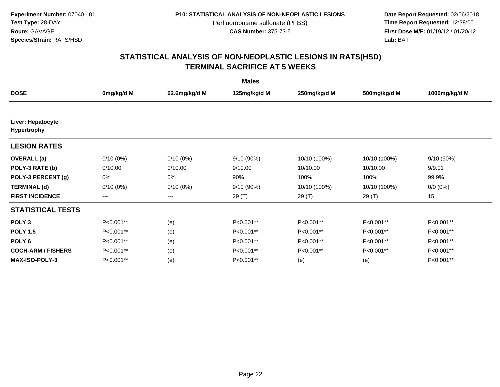**Date Report Requested:** 02/06/2018 **First Dose M/F:** 01/19/12 / 01/20/12<br>**Lab:** BAT **Lab:** BAT

| <b>Males</b>                            |             |               |              |              |              |               |  |  |
|-----------------------------------------|-------------|---------------|--------------|--------------|--------------|---------------|--|--|
| <b>DOSE</b>                             | 0mg/kg/d M  | 62.6mg/kg/d M | 125mg/kg/d M | 250mg/kg/d M | 500mg/kg/d M | 1000mg/kg/d M |  |  |
|                                         |             |               |              |              |              |               |  |  |
| Liver: Hepatocyte<br><b>Hypertrophy</b> |             |               |              |              |              |               |  |  |
| <b>LESION RATES</b>                     |             |               |              |              |              |               |  |  |
| <b>OVERALL</b> (a)                      | 0/10(0%)    | $0/10(0\%)$   | 9/10 (90%)   | 10/10 (100%) | 10/10 (100%) | 9/10 (90%)    |  |  |
| POLY-3 RATE (b)                         | 0/10.00     | 0/10.00       | 9/10.00      | 10/10.00     | 10/10.00     | 9/9.01        |  |  |
| POLY-3 PERCENT (g)                      | 0%          | 0%            | 90%          | 100%         | 100%         | 99.9%         |  |  |
| <b>TERMINAL (d)</b>                     | $0/10(0\%)$ | $0/10(0\%)$   | 9/10 (90%)   | 10/10 (100%) | 10/10 (100%) | $0/0 (0\%)$   |  |  |
| <b>FIRST INCIDENCE</b>                  | ---         | $--$          | 29 (T)       | 29(T)        | 29 (T)       | 15            |  |  |
| <b>STATISTICAL TESTS</b>                |             |               |              |              |              |               |  |  |
| POLY <sub>3</sub>                       | P<0.001**   | (e)           | P<0.001**    | P<0.001**    | P<0.001**    | P<0.001**     |  |  |
| <b>POLY 1.5</b>                         | P<0.001**   | (e)           | P<0.001**    | P<0.001**    | P<0.001**    | P<0.001**     |  |  |
| POLY <sub>6</sub>                       | P<0.001**   | (e)           | P<0.001**    | P<0.001**    | P<0.001**    | P<0.001**     |  |  |
| <b>COCH-ARM / FISHERS</b>               | P<0.001**   | (e)           | P<0.001**    | P<0.001**    | P<0.001**    | P<0.001**     |  |  |
| <b>MAX-ISO-POLY-3</b>                   | P<0.001**   | (e)           | P<0.001**    | (e)          | (e)          | P<0.001**     |  |  |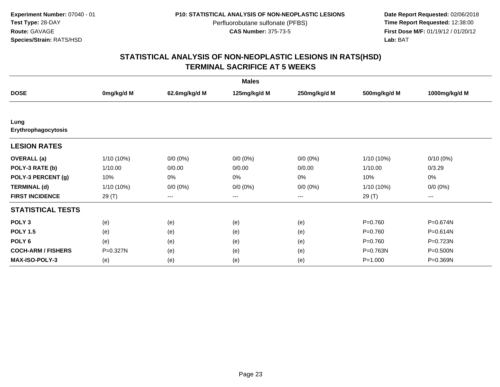**Date Report Requested:** 02/06/2018 **First Dose M/F:** 01/19/12 / 01/20/12<br>**Lab:** BAT **Lab:** BAT

| <b>Males</b>                |            |               |              |              |              |                        |  |  |
|-----------------------------|------------|---------------|--------------|--------------|--------------|------------------------|--|--|
| <b>DOSE</b>                 | 0mg/kg/d M | 62.6mg/kg/d M | 125mg/kg/d M | 250mg/kg/d M | 500mg/kg/d M | 1000mg/kg/d M          |  |  |
|                             |            |               |              |              |              |                        |  |  |
| Lung<br>Erythrophagocytosis |            |               |              |              |              |                        |  |  |
| <b>LESION RATES</b>         |            |               |              |              |              |                        |  |  |
| <b>OVERALL</b> (a)          | 1/10 (10%) | $0/0(0\%)$    | $0/0 (0\%)$  | $0/0 (0\%)$  | 1/10 (10%)   | $0/10(0\%)$            |  |  |
| POLY-3 RATE (b)             | 1/10.00    | 0/0.00        | 0/0.00       | 0/0.00       | 1/10.00      | 0/3.29                 |  |  |
| POLY-3 PERCENT (g)          | 10%        | 0%            | 0%           | 0%           | 10%          | 0%                     |  |  |
| <b>TERMINAL (d)</b>         | 1/10 (10%) | $0/0 (0\%)$   | $0/0 (0\%)$  | $0/0 (0\%)$  | 1/10 (10%)   | $0/0 (0\%)$            |  |  |
| <b>FIRST INCIDENCE</b>      | 29 (T)     | $--$          | $--$         | ---          | 29 (T)       | $\qquad \qquad \cdots$ |  |  |
| <b>STATISTICAL TESTS</b>    |            |               |              |              |              |                        |  |  |
| POLY <sub>3</sub>           | (e)        | (e)           | (e)          | (e)          | $P = 0.760$  | P=0.674N               |  |  |
| <b>POLY 1.5</b>             | (e)        | (e)           | (e)          | (e)          | $P = 0.760$  | P=0.614N               |  |  |
| POLY <sub>6</sub>           | (e)        | (e)           | (e)          | (e)          | $P = 0.760$  | P=0.723N               |  |  |
| <b>COCH-ARM / FISHERS</b>   | P=0.327N   | (e)           | (e)          | (e)          | P=0.763N     | P=0.500N               |  |  |
| <b>MAX-ISO-POLY-3</b>       | (e)        | (e)           | (e)          | (e)          | $P = 1.000$  | P=0.369N               |  |  |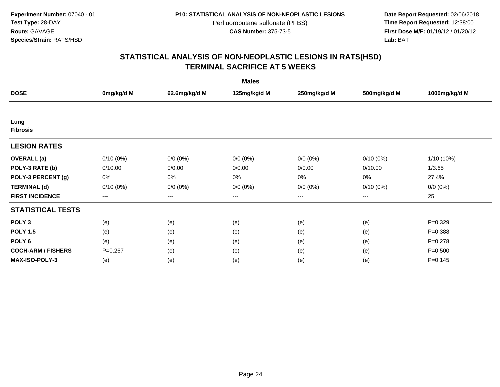**Date Report Requested:** 02/06/2018 **First Dose M/F:** 01/19/12 / 01/20/12<br>**Lab:** BAT **Lab:** BAT

| <b>Males</b>              |                        |               |                   |              |              |               |  |  |
|---------------------------|------------------------|---------------|-------------------|--------------|--------------|---------------|--|--|
| <b>DOSE</b>               | 0mg/kg/d M             | 62.6mg/kg/d M | 125mg/kg/d M      | 250mg/kg/d M | 500mg/kg/d M | 1000mg/kg/d M |  |  |
|                           |                        |               |                   |              |              |               |  |  |
| Lung<br><b>Fibrosis</b>   |                        |               |                   |              |              |               |  |  |
| <b>LESION RATES</b>       |                        |               |                   |              |              |               |  |  |
| <b>OVERALL</b> (a)        | $0/10(0\%)$            | $0/0 (0\%)$   | $0/0 (0\%)$       | $0/0 (0\%)$  | $0/10(0\%)$  | 1/10 (10%)    |  |  |
| POLY-3 RATE (b)           | 0/10.00                | 0/0.00        | 0/0.00            | 0/0.00       | 0/10.00      | 1/3.65        |  |  |
| POLY-3 PERCENT (g)        | 0%                     | 0%            | 0%                | 0%           | 0%           | 27.4%         |  |  |
| <b>TERMINAL (d)</b>       | $0/10(0\%)$            | $0/0 (0\%)$   | $0/0 (0\%)$       | $0/0 (0\%)$  | $0/10(0\%)$  | $0/0 (0\%)$   |  |  |
| <b>FIRST INCIDENCE</b>    | $\qquad \qquad \cdots$ | $---$         | $\qquad \qquad -$ | ---          | $---$        | 25            |  |  |
| <b>STATISTICAL TESTS</b>  |                        |               |                   |              |              |               |  |  |
| POLY <sub>3</sub>         | (e)                    | (e)           | (e)               | (e)          | (e)          | $P = 0.329$   |  |  |
| <b>POLY 1.5</b>           | (e)                    | (e)           | (e)               | (e)          | (e)          | $P = 0.388$   |  |  |
| POLY 6                    | (e)                    | (e)           | (e)               | (e)          | (e)          | $P = 0.278$   |  |  |
| <b>COCH-ARM / FISHERS</b> | $P=0.267$              | (e)           | (e)               | (e)          | (e)          | $P = 0.500$   |  |  |
| <b>MAX-ISO-POLY-3</b>     | (e)                    | (e)           | (e)               | (e)          | (e)          | $P = 0.145$   |  |  |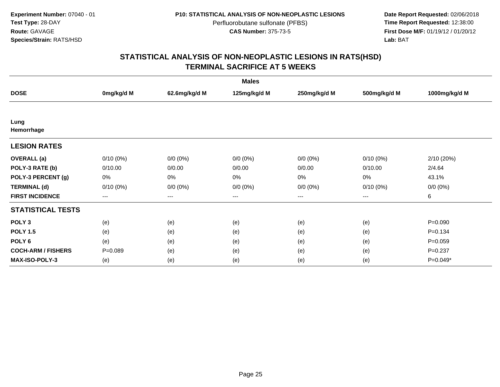**Date Report Requested:** 02/06/2018 **First Dose M/F:** 01/19/12 / 01/20/12<br>**Lab:** BAT **Lab:** BAT

| <b>Males</b>              |             |                        |              |              |              |               |  |  |
|---------------------------|-------------|------------------------|--------------|--------------|--------------|---------------|--|--|
| <b>DOSE</b>               | 0mg/kg/d M  | 62.6mg/kg/d M          | 125mg/kg/d M | 250mg/kg/d M | 500mg/kg/d M | 1000mg/kg/d M |  |  |
|                           |             |                        |              |              |              |               |  |  |
| Lung<br>Hemorrhage        |             |                        |              |              |              |               |  |  |
| <b>LESION RATES</b>       |             |                        |              |              |              |               |  |  |
| <b>OVERALL</b> (a)        | $0/10(0\%)$ | $0/0 (0\%)$            | $0/0 (0\%)$  | $0/0 (0\%)$  | $0/10(0\%)$  | 2/10(20%)     |  |  |
| POLY-3 RATE (b)           | 0/10.00     | 0/0.00                 | 0/0.00       | 0/0.00       | 0/10.00      | 2/4.64        |  |  |
| POLY-3 PERCENT (g)        | 0%          | $0\%$                  | 0%           | 0%           | 0%           | 43.1%         |  |  |
| <b>TERMINAL (d)</b>       | $0/10(0\%)$ | $0/0 (0\%)$            | $0/0 (0\%)$  | $0/0 (0\%)$  | $0/10(0\%)$  | $0/0 (0\%)$   |  |  |
| <b>FIRST INCIDENCE</b>    | $--$        | $\qquad \qquad \cdots$ | $---$        | ---          | ---          | 6             |  |  |
| <b>STATISTICAL TESTS</b>  |             |                        |              |              |              |               |  |  |
| POLY <sub>3</sub>         | (e)         | (e)                    | (e)          | (e)          | (e)          | $P = 0.090$   |  |  |
| <b>POLY 1.5</b>           | (e)         | (e)                    | (e)          | (e)          | (e)          | $P = 0.134$   |  |  |
| POLY <sub>6</sub>         | (e)         | (e)                    | (e)          | (e)          | (e)          | $P=0.059$     |  |  |
| <b>COCH-ARM / FISHERS</b> | $P=0.089$   | (e)                    | (e)          | (e)          | (e)          | $P = 0.237$   |  |  |
| MAX-ISO-POLY-3            | (e)         | (e)                    | (e)          | (e)          | (e)          | P=0.049*      |  |  |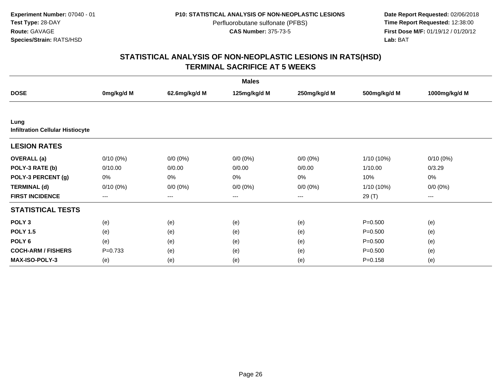**Date Report Requested:** 02/06/2018 **First Dose M/F:** 01/19/12 / 01/20/12<br>**Lab:** BAT **Lab:** BAT

| <b>Males</b>                                    |             |                        |              |              |              |               |  |  |
|-------------------------------------------------|-------------|------------------------|--------------|--------------|--------------|---------------|--|--|
| <b>DOSE</b>                                     | 0mg/kg/d M  | 62.6mg/kg/d M          | 125mg/kg/d M | 250mg/kg/d M | 500mg/kg/d M | 1000mg/kg/d M |  |  |
|                                                 |             |                        |              |              |              |               |  |  |
| Lung<br><b>Infiltration Cellular Histiocyte</b> |             |                        |              |              |              |               |  |  |
| <b>LESION RATES</b>                             |             |                        |              |              |              |               |  |  |
| <b>OVERALL</b> (a)                              | $0/10(0\%)$ | $0/0 (0\%)$            | $0/0 (0\%)$  | $0/0 (0\%)$  | 1/10 (10%)   | $0/10(0\%)$   |  |  |
| POLY-3 RATE (b)                                 | 0/10.00     | 0/0.00                 | 0/0.00       | 0/0.00       | 1/10.00      | 0/3.29        |  |  |
| POLY-3 PERCENT (g)                              | 0%          | 0%                     | 0%           | 0%           | 10%          | 0%            |  |  |
| <b>TERMINAL (d)</b>                             | $0/10(0\%)$ | $0/0 (0\%)$            | $0/0 (0\%)$  | $0/0 (0\%)$  | $1/10(10\%)$ | $0/0 (0\%)$   |  |  |
| <b>FIRST INCIDENCE</b>                          | $---$       | $\qquad \qquad \cdots$ | ---          | ---          | 29 (T)       | ---           |  |  |
| <b>STATISTICAL TESTS</b>                        |             |                        |              |              |              |               |  |  |
| POLY <sub>3</sub>                               | (e)         | (e)                    | (e)          | (e)          | $P = 0.500$  | (e)           |  |  |
| <b>POLY 1.5</b>                                 | (e)         | (e)                    | (e)          | (e)          | $P = 0.500$  | (e)           |  |  |
| POLY <sub>6</sub>                               | (e)         | (e)                    | (e)          | (e)          | $P = 0.500$  | (e)           |  |  |
| <b>COCH-ARM / FISHERS</b>                       | $P = 0.733$ | (e)                    | (e)          | (e)          | $P = 0.500$  | (e)           |  |  |
| <b>MAX-ISO-POLY-3</b>                           | (e)         | (e)                    | (e)          | (e)          | $P = 0.158$  | (e)           |  |  |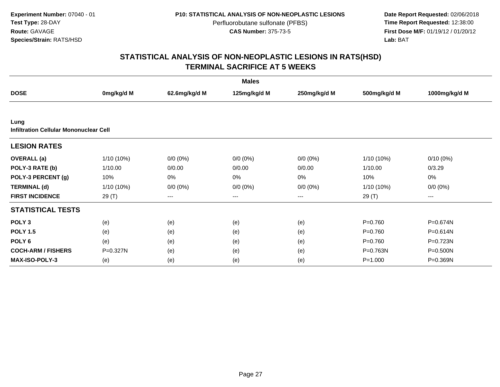**Date Report Requested:** 02/06/2018 **First Dose M/F:** 01/19/12 / 01/20/12<br>**Lab:** BAT **Lab:** BAT

|                                                |            |                        | <b>Males</b> |              |              |               |
|------------------------------------------------|------------|------------------------|--------------|--------------|--------------|---------------|
| <b>DOSE</b>                                    | 0mg/kg/d M | 62.6mg/kg/d M          | 125mg/kg/d M | 250mg/kg/d M | 500mg/kg/d M | 1000mg/kg/d M |
|                                                |            |                        |              |              |              |               |
| Lung<br>Infiltration Cellular Mononuclear Cell |            |                        |              |              |              |               |
| <b>LESION RATES</b>                            |            |                        |              |              |              |               |
| <b>OVERALL</b> (a)                             | 1/10 (10%) | $0/0(0\%)$             | $0/0 (0\%)$  | $0/0 (0\%)$  | 1/10 (10%)   | $0/10(0\%)$   |
| POLY-3 RATE (b)                                | 1/10.00    | 0/0.00                 | 0/0.00       | 0/0.00       | 1/10.00      | 0/3.29        |
| POLY-3 PERCENT (g)                             | 10%        | 0%                     | 0%           | 0%           | 10%          | 0%            |
| <b>TERMINAL (d)</b>                            | 1/10 (10%) | $0/0 (0\%)$            | $0/0 (0\%)$  | $0/0 (0\%)$  | 1/10 (10%)   | $0/0 (0\%)$   |
| <b>FIRST INCIDENCE</b>                         | 29 (T)     | $\qquad \qquad \cdots$ | ---          | ---          | 29 (T)       | $\cdots$      |
| <b>STATISTICAL TESTS</b>                       |            |                        |              |              |              |               |
| POLY <sub>3</sub>                              | (e)        | (e)                    | (e)          | (e)          | $P = 0.760$  | P=0.674N      |
| <b>POLY 1.5</b>                                | (e)        | (e)                    | (e)          | (e)          | $P = 0.760$  | P=0.614N      |
| POLY <sub>6</sub>                              | (e)        | (e)                    | (e)          | (e)          | $P = 0.760$  | P=0.723N      |
| <b>COCH-ARM / FISHERS</b>                      | P=0.327N   | (e)                    | (e)          | (e)          | P=0.763N     | P=0.500N      |
| <b>MAX-ISO-POLY-3</b>                          | (e)        | (e)                    | (e)          | (e)          | $P = 1.000$  | P=0.369N      |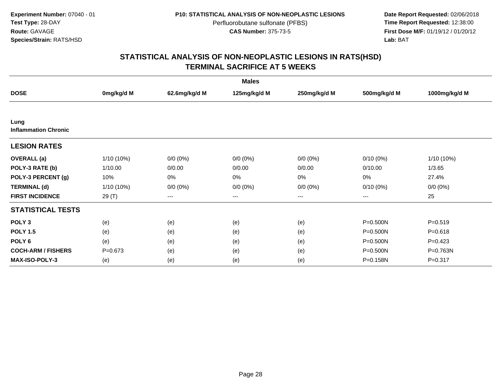**Date Report Requested:** 02/06/2018 **First Dose M/F:** 01/19/12 / 01/20/12<br>**Lab:** BAT **Lab:** BAT

| <b>Males</b>                        |             |                        |              |              |              |               |  |  |
|-------------------------------------|-------------|------------------------|--------------|--------------|--------------|---------------|--|--|
| <b>DOSE</b>                         | 0mg/kg/d M  | 62.6mg/kg/d M          | 125mg/kg/d M | 250mg/kg/d M | 500mg/kg/d M | 1000mg/kg/d M |  |  |
|                                     |             |                        |              |              |              |               |  |  |
| Lung<br><b>Inflammation Chronic</b> |             |                        |              |              |              |               |  |  |
| <b>LESION RATES</b>                 |             |                        |              |              |              |               |  |  |
| <b>OVERALL</b> (a)                  | 1/10 (10%)  | $0/0 (0\%)$            | $0/0 (0\%)$  | $0/0 (0\%)$  | $0/10(0\%)$  | 1/10 (10%)    |  |  |
| POLY-3 RATE (b)                     | 1/10.00     | 0/0.00                 | 0/0.00       | 0/0.00       | 0/10.00      | 1/3.65        |  |  |
| POLY-3 PERCENT (g)                  | 10%         | 0%                     | 0%           | 0%           | 0%           | 27.4%         |  |  |
| <b>TERMINAL (d)</b>                 | 1/10 (10%)  | $0/0 (0\%)$            | $0/0 (0\%)$  | $0/0 (0\%)$  | $0/10(0\%)$  | $0/0 (0\%)$   |  |  |
| <b>FIRST INCIDENCE</b>              | 29 (T)      | $\qquad \qquad \cdots$ | $---$        | ---          | $\cdots$     | 25            |  |  |
| <b>STATISTICAL TESTS</b>            |             |                        |              |              |              |               |  |  |
| POLY <sub>3</sub>                   | (e)         | (e)                    | (e)          | (e)          | $P = 0.500N$ | $P = 0.519$   |  |  |
| <b>POLY 1.5</b>                     | (e)         | (e)                    | (e)          | (e)          | $P = 0.500N$ | $P = 0.618$   |  |  |
| POLY <sub>6</sub>                   | (e)         | (e)                    | (e)          | (e)          | P=0.500N     | $P=0.423$     |  |  |
| <b>COCH-ARM / FISHERS</b>           | $P = 0.673$ | (e)                    | (e)          | (e)          | P=0.500N     | P=0.763N      |  |  |
| <b>MAX-ISO-POLY-3</b>               | (e)         | (e)                    | (e)          | (e)          | P=0.158N     | $P = 0.317$   |  |  |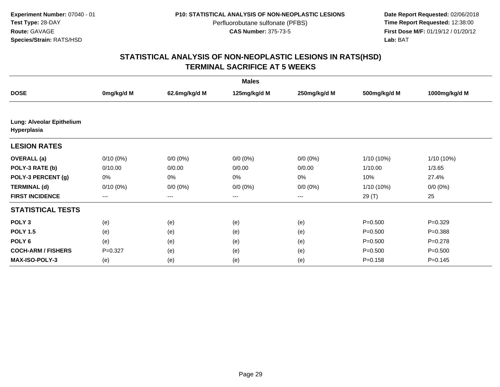**Date Report Requested:** 02/06/2018 **First Dose M/F:** 01/19/12 / 01/20/12<br>**Lab:** BAT **Lab:** BAT

|                                          |                        |               | <b>Males</b> |              |              |               |
|------------------------------------------|------------------------|---------------|--------------|--------------|--------------|---------------|
| <b>DOSE</b>                              | 0mg/kg/d M             | 62.6mg/kg/d M | 125mg/kg/d M | 250mg/kg/d M | 500mg/kg/d M | 1000mg/kg/d M |
|                                          |                        |               |              |              |              |               |
| Lung: Alveolar Epithelium<br>Hyperplasia |                        |               |              |              |              |               |
| <b>LESION RATES</b>                      |                        |               |              |              |              |               |
| <b>OVERALL</b> (a)                       | $0/10(0\%)$            | $0/0 (0\%)$   | $0/0 (0\%)$  | $0/0 (0\%)$  | $1/10(10\%)$ | $1/10(10\%)$  |
| POLY-3 RATE (b)                          | 0/10.00                | 0/0.00        | 0/0.00       | 0/0.00       | 1/10.00      | 1/3.65        |
| POLY-3 PERCENT (g)                       | 0%                     | 0%            | 0%           | 0%           | 10%          | 27.4%         |
| <b>TERMINAL (d)</b>                      | $0/10(0\%)$            | $0/0 (0\%)$   | $0/0 (0\%)$  | $0/0 (0\%)$  | $1/10(10\%)$ | $0/0 (0\%)$   |
| <b>FIRST INCIDENCE</b>                   | $\qquad \qquad \cdots$ | ---           | ---          | $--$         | 29 (T)       | 25            |
| <b>STATISTICAL TESTS</b>                 |                        |               |              |              |              |               |
| POLY <sub>3</sub>                        | (e)                    | (e)           | (e)          | (e)          | $P = 0.500$  | $P=0.329$     |
| <b>POLY 1.5</b>                          | (e)                    | (e)           | (e)          | (e)          | $P = 0.500$  | $P = 0.388$   |
| POLY <sub>6</sub>                        | (e)                    | (e)           | (e)          | (e)          | $P = 0.500$  | $P=0.278$     |
| <b>COCH-ARM / FISHERS</b>                | $P=0.327$              | (e)           | (e)          | (e)          | $P = 0.500$  | $P = 0.500$   |
| <b>MAX-ISO-POLY-3</b>                    | (e)                    | (e)           | (e)          | (e)          | $P = 0.158$  | $P = 0.145$   |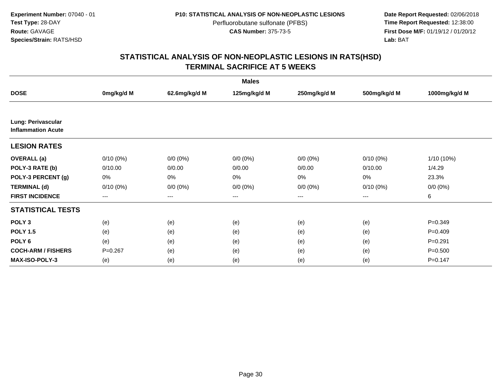**Date Report Requested:** 02/06/2018 **First Dose M/F:** 01/19/12 / 01/20/12<br>**Lab:** BAT **Lab:** BAT

|                                                 |                   |               | <b>Males</b> |                   |              |               |
|-------------------------------------------------|-------------------|---------------|--------------|-------------------|--------------|---------------|
| <b>DOSE</b>                                     | 0mg/kg/d M        | 62.6mg/kg/d M | 125mg/kg/d M | 250mg/kg/d M      | 500mg/kg/d M | 1000mg/kg/d M |
|                                                 |                   |               |              |                   |              |               |
| Lung: Perivascular<br><b>Inflammation Acute</b> |                   |               |              |                   |              |               |
| <b>LESION RATES</b>                             |                   |               |              |                   |              |               |
| <b>OVERALL</b> (a)                              | $0/10(0\%)$       | $0/0 (0\%)$   | $0/0 (0\%)$  | $0/0 (0\%)$       | $0/10(0\%)$  | $1/10(10\%)$  |
| POLY-3 RATE (b)                                 | 0/10.00           | 0/0.00        | 0/0.00       | 0/0.00            | 0/10.00      | 1/4.29        |
| POLY-3 PERCENT (g)                              | 0%                | 0%            | 0%           | 0%                | 0%           | 23.3%         |
| <b>TERMINAL (d)</b>                             | $0/10(0\%)$       | $0/0 (0\%)$   | $0/0 (0\%)$  | $0/0 (0\%)$       | $0/10(0\%)$  | $0/0 (0\%)$   |
| <b>FIRST INCIDENCE</b>                          | $\qquad \qquad -$ | ---           | ---          | $\qquad \qquad -$ | $---$        | 6             |
| <b>STATISTICAL TESTS</b>                        |                   |               |              |                   |              |               |
| POLY <sub>3</sub>                               | (e)               | (e)           | (e)          | (e)               | (e)          | $P = 0.349$   |
| <b>POLY 1.5</b>                                 | (e)               | (e)           | (e)          | (e)               | (e)          | $P=0.409$     |
| POLY <sub>6</sub>                               | (e)               | (e)           | (e)          | (e)               | (e)          | $P=0.291$     |
| <b>COCH-ARM / FISHERS</b>                       | $P = 0.267$       | (e)           | (e)          | (e)               | (e)          | $P = 0.500$   |
| <b>MAX-ISO-POLY-3</b>                           | (e)               | (e)           | (e)          | (e)               | (e)          | $P = 0.147$   |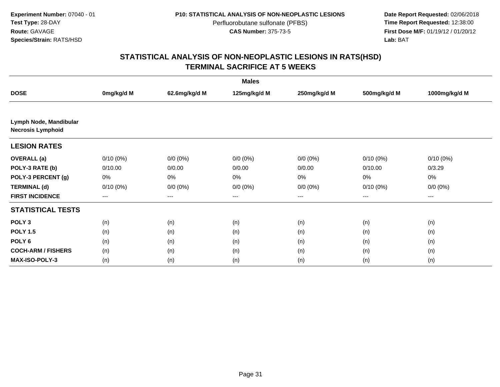**Date Report Requested:** 02/06/2018 **First Dose M/F:** 01/19/12 / 01/20/12<br>**Lab:** BAT **Lab:** BAT

|                                                    |                        |               | <b>Males</b>      |              |                   |               |
|----------------------------------------------------|------------------------|---------------|-------------------|--------------|-------------------|---------------|
| <b>DOSE</b>                                        | 0mg/kg/d M             | 62.6mg/kg/d M | 125mg/kg/d M      | 250mg/kg/d M | 500mg/kg/d M      | 1000mg/kg/d M |
|                                                    |                        |               |                   |              |                   |               |
| Lymph Node, Mandibular<br><b>Necrosis Lymphoid</b> |                        |               |                   |              |                   |               |
| <b>LESION RATES</b>                                |                        |               |                   |              |                   |               |
| <b>OVERALL</b> (a)                                 | $0/10(0\%)$            | $0/0 (0\%)$   | $0/0 (0\%)$       | $0/0 (0\%)$  | $0/10(0\%)$       | $0/10(0\%)$   |
| POLY-3 RATE (b)                                    | 0/10.00                | 0/0.00        | 0/0.00            | 0/0.00       | 0/10.00           | 0/3.29        |
| POLY-3 PERCENT (g)                                 | 0%                     | 0%            | 0%                | 0%           | 0%                | 0%            |
| <b>TERMINAL (d)</b>                                | $0/10(0\%)$            | $0/0 (0\%)$   | $0/0 (0\%)$       | $0/0 (0\%)$  | $0/10(0\%)$       | $0/0 (0\%)$   |
| <b>FIRST INCIDENCE</b>                             | $\qquad \qquad \cdots$ | $---$         | $\qquad \qquad -$ | $--$         | $\qquad \qquad -$ | ---           |
| <b>STATISTICAL TESTS</b>                           |                        |               |                   |              |                   |               |
| POLY <sub>3</sub>                                  | (n)                    | (n)           | (n)               | (n)          | (n)               | (n)           |
| <b>POLY 1.5</b>                                    | (n)                    | (n)           | (n)               | (n)          | (n)               | (n)           |
| POLY <sub>6</sub>                                  | (n)                    | (n)           | (n)               | (n)          | (n)               | (n)           |
| <b>COCH-ARM / FISHERS</b>                          | (n)                    | (n)           | (n)               | (n)          | (n)               | (n)           |
| <b>MAX-ISO-POLY-3</b>                              | (n)                    | (n)           | (n)               | (n)          | (n)               | (n)           |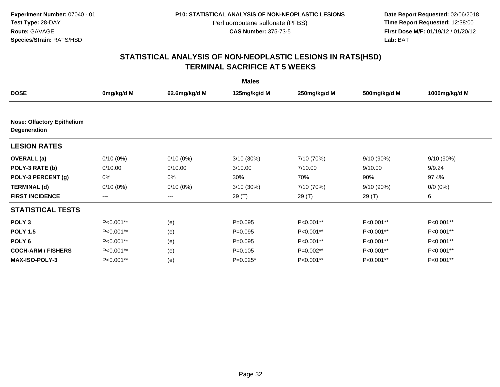**Date Report Requested:** 02/06/2018 **First Dose M/F:** 01/19/12 / 01/20/12<br>**Lab:** BAT **Lab:** BAT

|                                                          |             |               | <b>Males</b> |              |              |               |
|----------------------------------------------------------|-------------|---------------|--------------|--------------|--------------|---------------|
| <b>DOSE</b>                                              | 0mg/kg/d M  | 62.6mg/kg/d M | 125mg/kg/d M | 250mg/kg/d M | 500mg/kg/d M | 1000mg/kg/d M |
| <b>Nose: Olfactory Epithelium</b><br><b>Degeneration</b> |             |               |              |              |              |               |
| <b>LESION RATES</b>                                      |             |               |              |              |              |               |
| <b>OVERALL</b> (a)                                       | $0/10(0\%)$ | $0/10(0\%)$   | 3/10(30%)    | 7/10 (70%)   | 9/10 (90%)   | 9/10(90%)     |
| POLY-3 RATE (b)                                          | 0/10.00     | 0/10.00       | 3/10.00      | 7/10.00      | 9/10.00      | 9/9.24        |
| POLY-3 PERCENT (g)                                       | 0%          | 0%            | 30%          | 70%          | 90%          | 97.4%         |
| <b>TERMINAL (d)</b>                                      | $0/10(0\%)$ | $0/10(0\%)$   | 3/10 (30%)   | 7/10 (70%)   | 9/10 (90%)   | $0/0 (0\%)$   |
| <b>FIRST INCIDENCE</b>                                   | $--$        | $---$         | 29 (T)       | 29 (T)       | 29 (T)       | 6             |
| <b>STATISTICAL TESTS</b>                                 |             |               |              |              |              |               |
| POLY <sub>3</sub>                                        | P<0.001**   | (e)           | $P=0.095$    | P<0.001**    | P<0.001**    | P<0.001**     |
| <b>POLY 1.5</b>                                          | P<0.001**   | (e)           | $P = 0.095$  | P<0.001**    | P<0.001**    | P<0.001**     |
| POLY <sub>6</sub>                                        | P<0.001**   | (e)           | $P=0.095$    | P<0.001**    | P<0.001**    | P<0.001**     |
| <b>COCH-ARM / FISHERS</b>                                | P<0.001**   | (e)           | $P=0.105$    | $P=0.002**$  | P<0.001**    | P<0.001**     |
| <b>MAX-ISO-POLY-3</b>                                    | P<0.001**   | (e)           | P=0.025*     | P<0.001**    | P<0.001**    | P<0.001**     |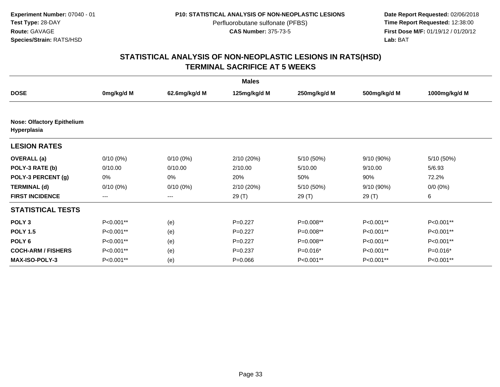**Date Report Requested:** 02/06/2018 **First Dose M/F:** 01/19/12 / 01/20/12<br>**Lab:** BAT **Lab:** BAT

|                                                  |             |               | <b>Males</b> |              |              |               |
|--------------------------------------------------|-------------|---------------|--------------|--------------|--------------|---------------|
| <b>DOSE</b>                                      | 0mg/kg/d M  | 62.6mg/kg/d M | 125mg/kg/d M | 250mg/kg/d M | 500mg/kg/d M | 1000mg/kg/d M |
| <b>Nose: Olfactory Epithelium</b><br>Hyperplasia |             |               |              |              |              |               |
| <b>LESION RATES</b>                              |             |               |              |              |              |               |
| <b>OVERALL</b> (a)                               | $0/10(0\%)$ | $0/10(0\%)$   | 2/10(20%)    | 5/10 (50%)   | 9/10 (90%)   | 5/10 (50%)    |
| POLY-3 RATE (b)                                  | 0/10.00     | 0/10.00       | 2/10.00      | 5/10.00      | 9/10.00      | 5/6.93        |
| POLY-3 PERCENT (g)                               | 0%          | 0%            | 20%          | 50%          | 90%          | 72.2%         |
| <b>TERMINAL (d)</b>                              | $0/10(0\%)$ | $0/10(0\%)$   | 2/10 (20%)   | 5/10 (50%)   | 9/10 (90%)   | $0/0 (0\%)$   |
| <b>FIRST INCIDENCE</b>                           | $--$        | $---$         | 29 (T)       | 29 (T)       | 29 (T)       | 6             |
| <b>STATISTICAL TESTS</b>                         |             |               |              |              |              |               |
| POLY <sub>3</sub>                                | P<0.001**   | (e)           | $P=0.227$    | P=0.008**    | P<0.001**    | P<0.001**     |
| <b>POLY 1.5</b>                                  | P<0.001**   | (e)           | $P=0.227$    | $P=0.008**$  | P<0.001**    | P<0.001**     |
| POLY <sub>6</sub>                                | P<0.001**   | (e)           | $P=0.227$    | P=0.008**    | P<0.001**    | P<0.001**     |
| <b>COCH-ARM / FISHERS</b>                        | P<0.001**   | (e)           | $P=0.237$    | $P=0.016*$   | P<0.001**    | $P=0.016*$    |
| <b>MAX-ISO-POLY-3</b>                            | P<0.001**   | (e)           | $P = 0.066$  | P<0.001**    | P<0.001**    | P<0.001**     |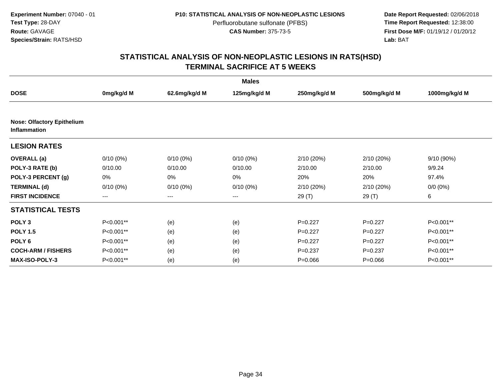**Date Report Requested:** 02/06/2018 **First Dose M/F:** 01/19/12 / 01/20/12<br>**Lab:** BAT **Lab:** BAT

|                                                          |             |               | <b>Males</b> |              |              |               |
|----------------------------------------------------------|-------------|---------------|--------------|--------------|--------------|---------------|
| <b>DOSE</b>                                              | 0mg/kg/d M  | 62.6mg/kg/d M | 125mg/kg/d M | 250mg/kg/d M | 500mg/kg/d M | 1000mg/kg/d M |
|                                                          |             |               |              |              |              |               |
| <b>Nose: Olfactory Epithelium</b><br><b>Inflammation</b> |             |               |              |              |              |               |
| <b>LESION RATES</b>                                      |             |               |              |              |              |               |
| <b>OVERALL</b> (a)                                       | $0/10(0\%)$ | $0/10(0\%)$   | $0/10(0\%)$  | 2/10 (20%)   | 2/10(20%)    | 9/10 (90%)    |
| POLY-3 RATE (b)                                          | 0/10.00     | 0/10.00       | 0/10.00      | 2/10.00      | 2/10.00      | 9/9.24        |
| POLY-3 PERCENT (g)                                       | 0%          | 0%            | $0\%$        | 20%          | 20%          | 97.4%         |
| <b>TERMINAL (d)</b>                                      | $0/10(0\%)$ | $0/10(0\%)$   | $0/10(0\%)$  | 2/10 (20%)   | 2/10(20%)    | $0/0 (0\%)$   |
| <b>FIRST INCIDENCE</b>                                   | ---         | ---           | ---          | 29 (T)       | 29 (T)       | 6             |
| <b>STATISTICAL TESTS</b>                                 |             |               |              |              |              |               |
| POLY <sub>3</sub>                                        | P<0.001**   | (e)           | (e)          | $P=0.227$    | $P=0.227$    | P<0.001**     |
| <b>POLY 1.5</b>                                          | P<0.001**   | (e)           | (e)          | $P=0.227$    | $P=0.227$    | P<0.001**     |
| POLY <sub>6</sub>                                        | P<0.001**   | (e)           | (e)          | $P=0.227$    | $P=0.227$    | P<0.001**     |
| <b>COCH-ARM / FISHERS</b>                                | P<0.001**   | (e)           | (e)          | $P = 0.237$  | $P=0.237$    | P<0.001**     |
| <b>MAX-ISO-POLY-3</b>                                    | P<0.001**   | (e)           | (e)          | $P = 0.066$  | $P = 0.066$  | P<0.001**     |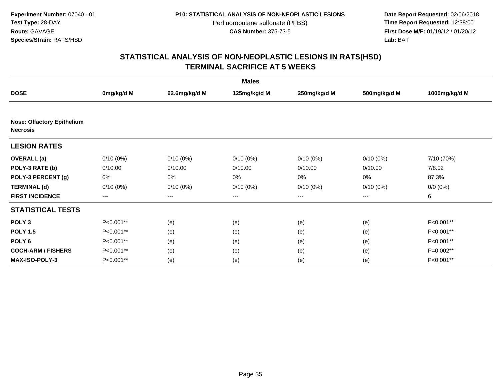**Date Report Requested:** 02/06/2018 **First Dose M/F:** 01/19/12 / 01/20/12<br>**Lab:** BAT **Lab:** BAT

|                                                      |             |               | <b>Males</b> |              |              |               |
|------------------------------------------------------|-------------|---------------|--------------|--------------|--------------|---------------|
| <b>DOSE</b>                                          | 0mg/kg/d M  | 62.6mg/kg/d M | 125mg/kg/d M | 250mg/kg/d M | 500mg/kg/d M | 1000mg/kg/d M |
|                                                      |             |               |              |              |              |               |
| <b>Nose: Olfactory Epithelium</b><br><b>Necrosis</b> |             |               |              |              |              |               |
| <b>LESION RATES</b>                                  |             |               |              |              |              |               |
| <b>OVERALL</b> (a)                                   | $0/10(0\%)$ | $0/10(0\%)$   | $0/10(0\%)$  | $0/10(0\%)$  | $0/10(0\%)$  | 7/10 (70%)    |
| POLY-3 RATE (b)                                      | 0/10.00     | 0/10.00       | 0/10.00      | 0/10.00      | 0/10.00      | 7/8.02        |
| POLY-3 PERCENT (g)                                   | 0%          | 0%            | 0%           | 0%           | 0%           | 87.3%         |
| <b>TERMINAL (d)</b>                                  | $0/10(0\%)$ | $0/10(0\%)$   | $0/10(0\%)$  | $0/10(0\%)$  | $0/10(0\%)$  | $0/0 (0\%)$   |
| <b>FIRST INCIDENCE</b>                               | $---$       | ---           | $---$        | ---          | ---          | 6             |
| <b>STATISTICAL TESTS</b>                             |             |               |              |              |              |               |
| POLY <sub>3</sub>                                    | P<0.001**   | (e)           | (e)          | (e)          | (e)          | P<0.001**     |
| <b>POLY 1.5</b>                                      | P<0.001**   | (e)           | (e)          | (e)          | (e)          | P<0.001**     |
| POLY <sub>6</sub>                                    | P<0.001**   | (e)           | (e)          | (e)          | (e)          | P<0.001**     |
| <b>COCH-ARM / FISHERS</b>                            | P<0.001**   | (e)           | (e)          | (e)          | (e)          | P=0.002**     |
| MAX-ISO-POLY-3                                       | P<0.001**   | (e)           | (e)          | (e)          | (e)          | P<0.001**     |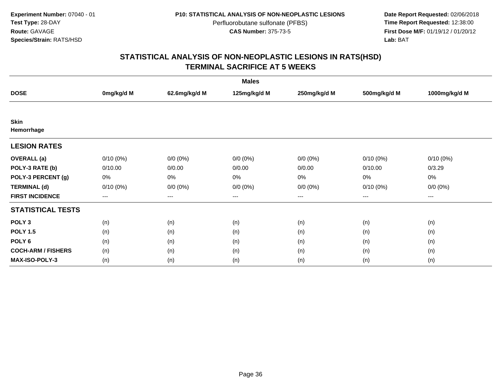**Date Report Requested:** 02/06/2018 **First Dose M/F:** 01/19/12 / 01/20/12<br>**Lab:** BAT **Lab:** BAT

|                           |             |               | <b>Males</b> |              |              |               |
|---------------------------|-------------|---------------|--------------|--------------|--------------|---------------|
| <b>DOSE</b>               | 0mg/kg/d M  | 62.6mg/kg/d M | 125mg/kg/d M | 250mg/kg/d M | 500mg/kg/d M | 1000mg/kg/d M |
|                           |             |               |              |              |              |               |
| <b>Skin</b>               |             |               |              |              |              |               |
| Hemorrhage                |             |               |              |              |              |               |
| <b>LESION RATES</b>       |             |               |              |              |              |               |
| <b>OVERALL</b> (a)        | $0/10(0\%)$ | $0/0 (0\%)$   | $0/0 (0\%)$  | $0/0 (0\%)$  | $0/10(0\%)$  | $0/10(0\%)$   |
| POLY-3 RATE (b)           | 0/10.00     | 0/0.00        | 0/0.00       | 0/0.00       | 0/10.00      | 0/3.29        |
| POLY-3 PERCENT (g)        | 0%          | $0\%$         | 0%           | 0%           | 0%           | 0%            |
| <b>TERMINAL (d)</b>       | $0/10(0\%)$ | $0/0 (0\%)$   | $0/0 (0\%)$  | $0/0 (0\%)$  | $0/10(0\%)$  | $0/0 (0\%)$   |
| <b>FIRST INCIDENCE</b>    | $---$       | $---$         | $---$        | $---$        | ---          | $---$         |
| <b>STATISTICAL TESTS</b>  |             |               |              |              |              |               |
| POLY <sub>3</sub>         | (n)         | (n)           | (n)          | (n)          | (n)          | (n)           |
| <b>POLY 1.5</b>           | (n)         | (n)           | (n)          | (n)          | (n)          | (n)           |
| POLY <sub>6</sub>         | (n)         | (n)           | (n)          | (n)          | (n)          | (n)           |
| <b>COCH-ARM / FISHERS</b> | (n)         | (n)           | (n)          | (n)          | (n)          | (n)           |
| <b>MAX-ISO-POLY-3</b>     | (n)         | (n)           | (n)          | (n)          | (n)          | (n)           |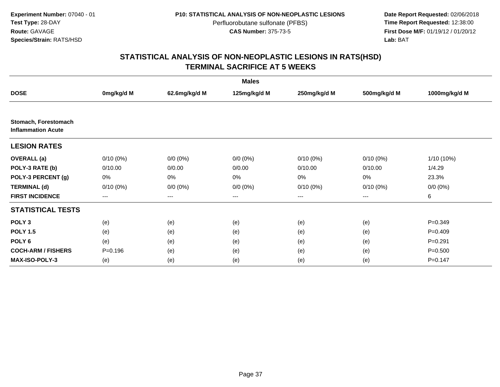**Date Report Requested:** 02/06/2018 **First Dose M/F:** 01/19/12 / 01/20/12<br>**Lab:** BAT **Lab:** BAT

| <b>Males</b>                                      |                   |                   |              |                        |                        |               |  |  |
|---------------------------------------------------|-------------------|-------------------|--------------|------------------------|------------------------|---------------|--|--|
| <b>DOSE</b>                                       | 0mg/kg/d M        | 62.6mg/kg/d M     | 125mg/kg/d M | 250mg/kg/d M           | 500mg/kg/d M           | 1000mg/kg/d M |  |  |
|                                                   |                   |                   |              |                        |                        |               |  |  |
| Stomach, Forestomach<br><b>Inflammation Acute</b> |                   |                   |              |                        |                        |               |  |  |
| <b>LESION RATES</b>                               |                   |                   |              |                        |                        |               |  |  |
| <b>OVERALL</b> (a)                                | $0/10(0\%)$       | $0/0 (0\%)$       | $0/0 (0\%)$  | $0/10(0\%)$            | $0/10(0\%)$            | $1/10(10\%)$  |  |  |
| POLY-3 RATE (b)                                   | 0/10.00           | 0/0.00            | 0/0.00       | 0/10.00                | 0/10.00                | 1/4.29        |  |  |
| POLY-3 PERCENT (g)                                | 0%                | 0%                | 0%           | 0%                     | 0%                     | 23.3%         |  |  |
| <b>TERMINAL (d)</b>                               | $0/10(0\%)$       | $0/0 (0\%)$       | $0/0 (0\%)$  | $0/10(0\%)$            | $0/10(0\%)$            | $0/0 (0\%)$   |  |  |
| <b>FIRST INCIDENCE</b>                            | $\qquad \qquad -$ | $\qquad \qquad -$ | ---          | $\qquad \qquad \cdots$ | $\qquad \qquad \cdots$ | 6             |  |  |
| <b>STATISTICAL TESTS</b>                          |                   |                   |              |                        |                        |               |  |  |
| POLY <sub>3</sub>                                 | (e)               | (e)               | (e)          | (e)                    | (e)                    | $P = 0.349$   |  |  |
| <b>POLY 1.5</b>                                   | (e)               | (e)               | (e)          | (e)                    | (e)                    | $P=0.409$     |  |  |
| POLY <sub>6</sub>                                 | (e)               | (e)               | (e)          | (e)                    | (e)                    | $P=0.291$     |  |  |
| <b>COCH-ARM / FISHERS</b>                         | $P = 0.196$       | (e)               | (e)          | (e)                    | (e)                    | $P = 0.500$   |  |  |
| <b>MAX-ISO-POLY-3</b>                             | (e)               | (e)               | (e)          | (e)                    | (e)                    | $P = 0.147$   |  |  |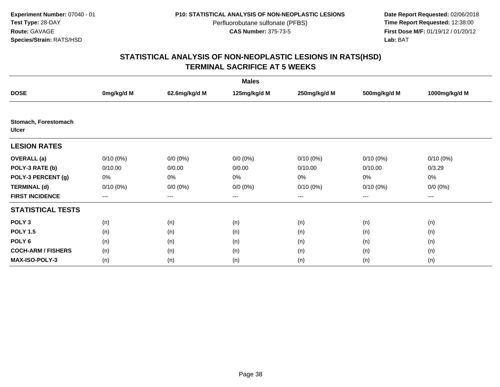**Date Report Requested:** 02/06/2018 **First Dose M/F:** 01/19/12 / 01/20/12<br>**Lab:** BAT **Lab:** BAT

| <b>Males</b>                         |                   |                   |              |              |              |               |  |  |
|--------------------------------------|-------------------|-------------------|--------------|--------------|--------------|---------------|--|--|
| <b>DOSE</b>                          | 0mg/kg/d M        | 62.6mg/kg/d M     | 125mg/kg/d M | 250mg/kg/d M | 500mg/kg/d M | 1000mg/kg/d M |  |  |
|                                      |                   |                   |              |              |              |               |  |  |
| Stomach, Forestomach<br><b>Ulcer</b> |                   |                   |              |              |              |               |  |  |
| <b>LESION RATES</b>                  |                   |                   |              |              |              |               |  |  |
| <b>OVERALL</b> (a)                   | $0/10(0\%)$       | $0/0 (0\%)$       | $0/0 (0\%)$  | $0/10(0\%)$  | $0/10(0\%)$  | $0/10(0\%)$   |  |  |
| POLY-3 RATE (b)                      | 0/10.00           | 0/0.00            | 0/0.00       | 0/10.00      | 0/10.00      | 0/3.29        |  |  |
| POLY-3 PERCENT (g)                   | 0%                | $0\%$             | 0%           | 0%           | 0%           | 0%            |  |  |
| <b>TERMINAL (d)</b>                  | $0/10(0\%)$       | $0/0 (0\%)$       | $0/0 (0\%)$  | $0/10(0\%)$  | $0/10(0\%)$  | $0/0 (0\%)$   |  |  |
| <b>FIRST INCIDENCE</b>               | $\qquad \qquad -$ | $\qquad \qquad -$ | $---$        | ---          | $\cdots$     | ---           |  |  |
| <b>STATISTICAL TESTS</b>             |                   |                   |              |              |              |               |  |  |
| POLY <sub>3</sub>                    | (n)               | (n)               | (n)          | (n)          | (n)          | (n)           |  |  |
| <b>POLY 1.5</b>                      | (n)               | (n)               | (n)          | (n)          | (n)          | (n)           |  |  |
| POLY <sub>6</sub>                    | (n)               | (n)               | (n)          | (n)          | (n)          | (n)           |  |  |
| <b>COCH-ARM / FISHERS</b>            | (n)               | (n)               | (n)          | (n)          | (n)          | (n)           |  |  |
| <b>MAX-ISO-POLY-3</b>                | (n)               | (n)               | (n)          | (n)          | (n)          | (n)           |  |  |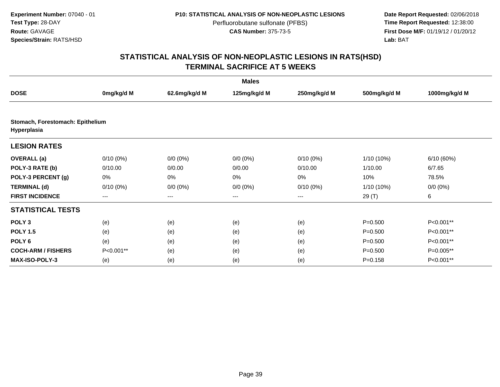**Date Report Requested:** 02/06/2018 **First Dose M/F:** 01/19/12 / 01/20/12<br>**Lab:** BAT **Lab:** BAT

| <b>Males</b>                                    |                        |               |              |              |              |               |  |  |
|-------------------------------------------------|------------------------|---------------|--------------|--------------|--------------|---------------|--|--|
| <b>DOSE</b>                                     | 0mg/kg/d M             | 62.6mg/kg/d M | 125mg/kg/d M | 250mg/kg/d M | 500mg/kg/d M | 1000mg/kg/d M |  |  |
|                                                 |                        |               |              |              |              |               |  |  |
| Stomach, Forestomach: Epithelium<br>Hyperplasia |                        |               |              |              |              |               |  |  |
| <b>LESION RATES</b>                             |                        |               |              |              |              |               |  |  |
| <b>OVERALL</b> (a)                              | $0/10(0\%)$            | $0/0 (0\%)$   | $0/0 (0\%)$  | $0/10(0\%)$  | 1/10 (10%)   | 6/10(60%)     |  |  |
| POLY-3 RATE (b)                                 | 0/10.00                | 0/0.00        | 0/0.00       | 0/10.00      | 1/10.00      | 6/7.65        |  |  |
| POLY-3 PERCENT (g)                              | 0%                     | 0%            | 0%           | 0%           | 10%          | 78.5%         |  |  |
| <b>TERMINAL (d)</b>                             | $0/10(0\%)$            | $0/0 (0\%)$   | $0/0 (0\%)$  | $0/10(0\%)$  | $1/10(10\%)$ | $0/0 (0\%)$   |  |  |
| <b>FIRST INCIDENCE</b>                          | $\qquad \qquad \cdots$ | $---$         | $---$        | ---          | 29 (T)       | 6             |  |  |
| <b>STATISTICAL TESTS</b>                        |                        |               |              |              |              |               |  |  |
| POLY <sub>3</sub>                               | (e)                    | (e)           | (e)          | (e)          | $P = 0.500$  | P<0.001**     |  |  |
| <b>POLY 1.5</b>                                 | (e)                    | (e)           | (e)          | (e)          | $P = 0.500$  | P<0.001**     |  |  |
| POLY <sub>6</sub>                               | (e)                    | (e)           | (e)          | (e)          | $P = 0.500$  | P<0.001**     |  |  |
| <b>COCH-ARM / FISHERS</b>                       | P<0.001**              | (e)           | (e)          | (e)          | $P = 0.500$  | P=0.005**     |  |  |
| <b>MAX-ISO-POLY-3</b>                           | (e)                    | (e)           | (e)          | (e)          | $P = 0.158$  | P<0.001**     |  |  |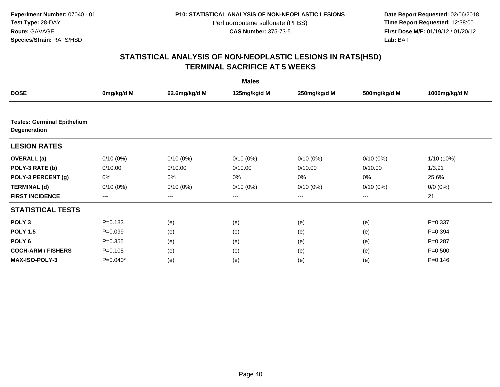**Date Report Requested:** 02/06/2018 **First Dose M/F:** 01/19/12 / 01/20/12<br>**Lab:** BAT **Lab:** BAT

| <b>Males</b>                                              |                        |               |              |                   |              |               |  |  |
|-----------------------------------------------------------|------------------------|---------------|--------------|-------------------|--------------|---------------|--|--|
| <b>DOSE</b>                                               | 0mg/kg/d M             | 62.6mg/kg/d M | 125mg/kg/d M | 250mg/kg/d M      | 500mg/kg/d M | 1000mg/kg/d M |  |  |
|                                                           |                        |               |              |                   |              |               |  |  |
| <b>Testes: Germinal Epithelium</b><br><b>Degeneration</b> |                        |               |              |                   |              |               |  |  |
| <b>LESION RATES</b>                                       |                        |               |              |                   |              |               |  |  |
| <b>OVERALL</b> (a)                                        | $0/10(0\%)$            | $0/10(0\%)$   | $0/10(0\%)$  | $0/10(0\%)$       | $0/10(0\%)$  | $1/10(10\%)$  |  |  |
| POLY-3 RATE (b)                                           | 0/10.00                | 0/10.00       | 0/10.00      | 0/10.00           | 0/10.00      | 1/3.91        |  |  |
| POLY-3 PERCENT (g)                                        | 0%                     | 0%            | $0\%$        | 0%                | $0\%$        | 25.6%         |  |  |
| <b>TERMINAL (d)</b>                                       | $0/10(0\%)$            | $0/10(0\%)$   | $0/10(0\%)$  | $0/10(0\%)$       | $0/10(0\%)$  | $0/0 (0\%)$   |  |  |
| <b>FIRST INCIDENCE</b>                                    | $\qquad \qquad \cdots$ | ---           | ---          | $\qquad \qquad -$ | ---          | 21            |  |  |
| <b>STATISTICAL TESTS</b>                                  |                        |               |              |                   |              |               |  |  |
| POLY <sub>3</sub>                                         | $P = 0.183$            | (e)           | (e)          | (e)               | (e)          | $P = 0.337$   |  |  |
| <b>POLY 1.5</b>                                           | $P=0.099$              | (e)           | (e)          | (e)               | (e)          | $P = 0.394$   |  |  |
| POLY <sub>6</sub>                                         | $P = 0.355$            | (e)           | (e)          | (e)               | (e)          | $P = 0.287$   |  |  |
| <b>COCH-ARM / FISHERS</b>                                 | $P = 0.105$            | (e)           | (e)          | (e)               | (e)          | $P = 0.500$   |  |  |
| MAX-ISO-POLY-3                                            | $P=0.040*$             | (e)           | (e)          | (e)               | (e)          | $P = 0.146$   |  |  |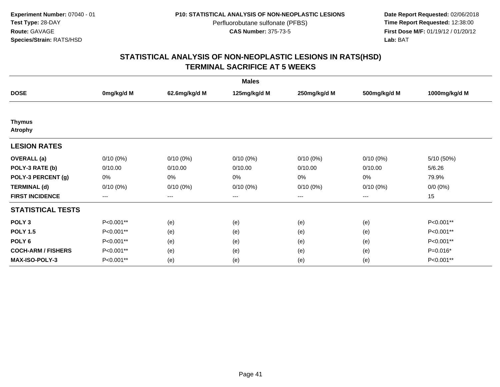**Date Report Requested:** 02/06/2018 **First Dose M/F:** 01/19/12 / 01/20/12<br>**Lab:** BAT **Lab:** BAT

| <b>Males</b>                    |             |               |              |              |              |               |  |  |
|---------------------------------|-------------|---------------|--------------|--------------|--------------|---------------|--|--|
| <b>DOSE</b>                     | 0mg/kg/d M  | 62.6mg/kg/d M | 125mg/kg/d M | 250mg/kg/d M | 500mg/kg/d M | 1000mg/kg/d M |  |  |
|                                 |             |               |              |              |              |               |  |  |
| <b>Thymus</b><br><b>Atrophy</b> |             |               |              |              |              |               |  |  |
| <b>LESION RATES</b>             |             |               |              |              |              |               |  |  |
| <b>OVERALL</b> (a)              | $0/10(0\%)$ | $0/10(0\%)$   | $0/10(0\%)$  | $0/10(0\%)$  | $0/10(0\%)$  | 5/10 (50%)    |  |  |
| POLY-3 RATE (b)                 | 0/10.00     | 0/10.00       | 0/10.00      | 0/10.00      | 0/10.00      | 5/6.26        |  |  |
| POLY-3 PERCENT (g)              | 0%          | 0%            | 0%           | 0%           | 0%           | 79.9%         |  |  |
| <b>TERMINAL (d)</b>             | $0/10(0\%)$ | $0/10(0\%)$   | $0/10(0\%)$  | $0/10(0\%)$  | $0/10(0\%)$  | $0/0 (0\%)$   |  |  |
| <b>FIRST INCIDENCE</b>          | $--$        | $--$          | $---$        | ---          | $--$         | 15            |  |  |
| <b>STATISTICAL TESTS</b>        |             |               |              |              |              |               |  |  |
| POLY <sub>3</sub>               | P<0.001**   | (e)           | (e)          | (e)          | (e)          | P<0.001**     |  |  |
| <b>POLY 1.5</b>                 | P<0.001**   | (e)           | (e)          | (e)          | (e)          | P<0.001**     |  |  |
| POLY <sub>6</sub>               | P<0.001**   | (e)           | (e)          | (e)          | (e)          | P<0.001**     |  |  |
| <b>COCH-ARM / FISHERS</b>       | P<0.001**   | (e)           | (e)          | (e)          | (e)          | $P=0.016*$    |  |  |
| <b>MAX-ISO-POLY-3</b>           | P<0.001**   | (e)           | (e)          | (e)          | (e)          | P<0.001**     |  |  |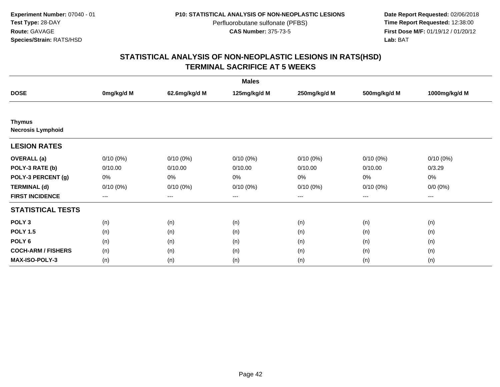**Date Report Requested:** 02/06/2018 **First Dose M/F:** 01/19/12 / 01/20/12<br>**Lab:** BAT **Lab:** BAT

| <b>Males</b>                              |             |               |              |              |              |               |  |  |
|-------------------------------------------|-------------|---------------|--------------|--------------|--------------|---------------|--|--|
| <b>DOSE</b>                               | 0mg/kg/d M  | 62.6mg/kg/d M | 125mg/kg/d M | 250mg/kg/d M | 500mg/kg/d M | 1000mg/kg/d M |  |  |
|                                           |             |               |              |              |              |               |  |  |
| <b>Thymus</b><br><b>Necrosis Lymphoid</b> |             |               |              |              |              |               |  |  |
| <b>LESION RATES</b>                       |             |               |              |              |              |               |  |  |
| <b>OVERALL</b> (a)                        | $0/10(0\%)$ | $0/10(0\%)$   | $0/10(0\%)$  | $0/10(0\%)$  | $0/10(0\%)$  | $0/10(0\%)$   |  |  |
| POLY-3 RATE (b)                           | 0/10.00     | 0/10.00       | 0/10.00      | 0/10.00      | 0/10.00      | 0/3.29        |  |  |
| POLY-3 PERCENT (g)                        | 0%          | $0\%$         | 0%           | 0%           | 0%           | 0%            |  |  |
| <b>TERMINAL (d)</b>                       | $0/10(0\%)$ | $0/10(0\%)$   | $0/10(0\%)$  | $0/10(0\%)$  | $0/10(0\%)$  | $0/0 (0\%)$   |  |  |
| <b>FIRST INCIDENCE</b>                    | $---$       | $---$         | $---$        | $---$        | ---          | $---$         |  |  |
| <b>STATISTICAL TESTS</b>                  |             |               |              |              |              |               |  |  |
| POLY <sub>3</sub>                         | (n)         | (n)           | (n)          | (n)          | (n)          | (n)           |  |  |
| <b>POLY 1.5</b>                           | (n)         | (n)           | (n)          | (n)          | (n)          | (n)           |  |  |
| POLY <sub>6</sub>                         | (n)         | (n)           | (n)          | (n)          | (n)          | (n)           |  |  |
| <b>COCH-ARM / FISHERS</b>                 | (n)         | (n)           | (n)          | (n)          | (n)          | (n)           |  |  |
| <b>MAX-ISO-POLY-3</b>                     | (n)         | (n)           | (n)          | (n)          | (n)          | (n)           |  |  |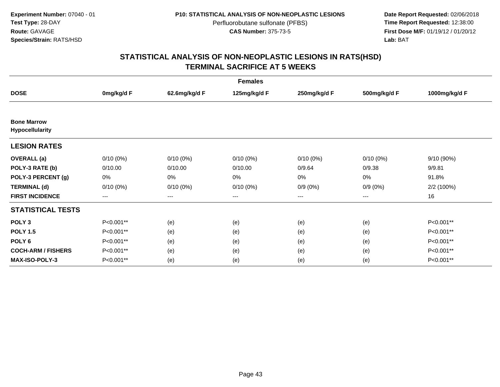**Date Report Requested:** 02/06/2018 **First Dose M/F:** 01/19/12 / 01/20/12<br>**Lab:** BAT **Lab:** BAT

| <b>Females</b>                        |             |                        |              |              |              |               |  |  |
|---------------------------------------|-------------|------------------------|--------------|--------------|--------------|---------------|--|--|
| <b>DOSE</b>                           | 0mg/kg/d F  | 62.6mg/kg/d F          | 125mg/kg/d F | 250mg/kg/d F | 500mg/kg/d F | 1000mg/kg/d F |  |  |
|                                       |             |                        |              |              |              |               |  |  |
| <b>Bone Marrow</b><br>Hypocellularity |             |                        |              |              |              |               |  |  |
| <b>LESION RATES</b>                   |             |                        |              |              |              |               |  |  |
| <b>OVERALL</b> (a)                    | $0/10(0\%)$ | $0/10(0\%)$            | $0/10(0\%)$  | $0/10(0\%)$  | $0/10(0\%)$  | 9/10 (90%)    |  |  |
| POLY-3 RATE (b)                       | 0/10.00     | 0/10.00                | 0/10.00      | 0/9.64       | 0/9.38       | 9/9.81        |  |  |
| POLY-3 PERCENT (g)                    | 0%          | 0%                     | 0%           | 0%           | 0%           | 91.8%         |  |  |
| <b>TERMINAL (d)</b>                   | $0/10(0\%)$ | $0/10(0\%)$            | $0/10(0\%)$  | $0/9(0\%)$   | $0/9(0\%)$   | 2/2 (100%)    |  |  |
| <b>FIRST INCIDENCE</b>                | $---$       | $\qquad \qquad \cdots$ | ---          | ---          | $---$        | 16            |  |  |
| <b>STATISTICAL TESTS</b>              |             |                        |              |              |              |               |  |  |
| POLY <sub>3</sub>                     | P<0.001**   | (e)                    | (e)          | (e)          | (e)          | P<0.001**     |  |  |
| <b>POLY 1.5</b>                       | P<0.001**   | (e)                    | (e)          | (e)          | (e)          | P<0.001**     |  |  |
| POLY <sub>6</sub>                     | P<0.001**   | (e)                    | (e)          | (e)          | (e)          | P<0.001**     |  |  |
| <b>COCH-ARM / FISHERS</b>             | P<0.001**   | (e)                    | (e)          | (e)          | (e)          | P<0.001**     |  |  |
| <b>MAX-ISO-POLY-3</b>                 | P<0.001**   | (e)                    | (e)          | (e)          | (e)          | P<0.001**     |  |  |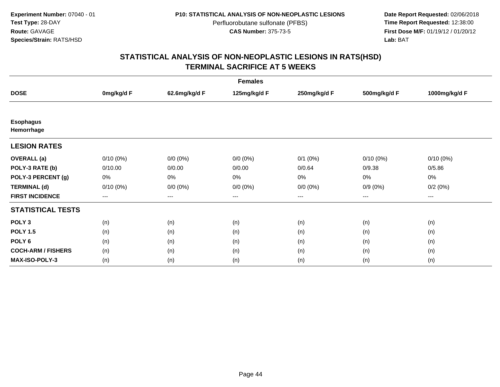**Date Report Requested:** 02/06/2018 **First Dose M/F:** 01/19/12 / 01/20/12<br>**Lab:** BAT **Lab:** BAT

| <b>Females</b>                 |             |                        |              |              |                        |                   |  |  |
|--------------------------------|-------------|------------------------|--------------|--------------|------------------------|-------------------|--|--|
| <b>DOSE</b>                    | 0mg/kg/d F  | 62.6mg/kg/d F          | 125mg/kg/d F | 250mg/kg/d F | 500mg/kg/d F           | 1000mg/kg/d F     |  |  |
|                                |             |                        |              |              |                        |                   |  |  |
| <b>Esophagus</b><br>Hemorrhage |             |                        |              |              |                        |                   |  |  |
| <b>LESION RATES</b>            |             |                        |              |              |                        |                   |  |  |
| <b>OVERALL</b> (a)             | $0/10(0\%)$ | $0/0 (0\%)$            | $0/0 (0\%)$  | $0/1$ $(0%)$ | $0/10(0\%)$            | $0/10(0\%)$       |  |  |
| POLY-3 RATE (b)                | 0/10.00     | 0/0.00                 | 0/0.00       | 0/0.64       | 0/9.38                 | 0/5.86            |  |  |
| POLY-3 PERCENT (g)             | 0%          | 0%                     | 0%           | 0%           | 0%                     | 0%                |  |  |
| <b>TERMINAL (d)</b>            | $0/10(0\%)$ | $0/0 (0\%)$            | $0/0 (0\%)$  | $0/0 (0\%)$  | $0/9(0\%)$             | 0/2(0%)           |  |  |
| <b>FIRST INCIDENCE</b>         | ---         | $\qquad \qquad \cdots$ | ---          | ---          | $\qquad \qquad \cdots$ | $\qquad \qquad -$ |  |  |
| <b>STATISTICAL TESTS</b>       |             |                        |              |              |                        |                   |  |  |
| POLY <sub>3</sub>              | (n)         | (n)                    | (n)          | (n)          | (n)                    | (n)               |  |  |
| <b>POLY 1.5</b>                | (n)         | (n)                    | (n)          | (n)          | (n)                    | (n)               |  |  |
| POLY <sub>6</sub>              | (n)         | (n)                    | (n)          | (n)          | (n)                    | (n)               |  |  |
| <b>COCH-ARM / FISHERS</b>      | (n)         | (n)                    | (n)          | (n)          | (n)                    | (n)               |  |  |
| <b>MAX-ISO-POLY-3</b>          | (n)         | (n)                    | (n)          | (n)          | (n)                    | (n)               |  |  |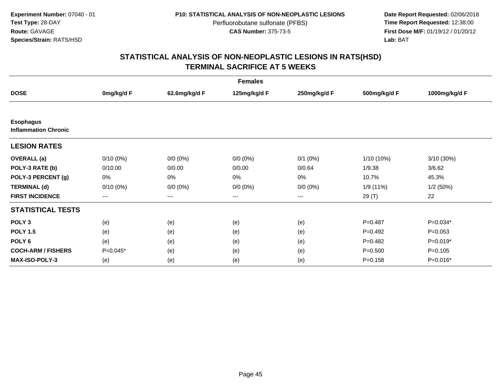**Date Report Requested:** 02/06/2018 **First Dose M/F:** 01/19/12 / 01/20/12<br>**Lab:** BAT **Lab:** BAT

| <b>Females</b>              |             |               |              |              |              |               |  |  |
|-----------------------------|-------------|---------------|--------------|--------------|--------------|---------------|--|--|
| <b>DOSE</b>                 | 0mg/kg/d F  | 62.6mg/kg/d F | 125mg/kg/d F | 250mg/kg/d F | 500mg/kg/d F | 1000mg/kg/d F |  |  |
| <b>Esophagus</b>            |             |               |              |              |              |               |  |  |
| <b>Inflammation Chronic</b> |             |               |              |              |              |               |  |  |
| <b>LESION RATES</b>         |             |               |              |              |              |               |  |  |
| <b>OVERALL</b> (a)          | $0/10(0\%)$ | $0/0 (0\%)$   | $0/0 (0\%)$  | $0/1$ (0%)   | $1/10(10\%)$ | 3/10 (30%)    |  |  |
| POLY-3 RATE (b)             | 0/10.00     | 0/0.00        | 0/0.00       | 0/0.64       | 1/9.38       | 3/6.62        |  |  |
| POLY-3 PERCENT (g)          | 0%          | 0%            | 0%           | 0%           | 10.7%        | 45.3%         |  |  |
| <b>TERMINAL (d)</b>         | $0/10(0\%)$ | $0/0 (0\%)$   | $0/0 (0\%)$  | $0/0 (0\%)$  | 1/9(11%)     | 1/2(50%)      |  |  |
| <b>FIRST INCIDENCE</b>      | ---         | $---$         | $---$        | ---          | 29 (T)       | 22            |  |  |
| <b>STATISTICAL TESTS</b>    |             |               |              |              |              |               |  |  |
| POLY <sub>3</sub>           | (e)         | (e)           | (e)          | (e)          | $P=0.487$    | $P=0.034*$    |  |  |
| <b>POLY 1.5</b>             | (e)         | (e)           | (e)          | (e)          | $P=0.492$    | $P=0.053$     |  |  |
| POLY <sub>6</sub>           | (e)         | (e)           | (e)          | (e)          | $P=0.482$    | $P=0.019*$    |  |  |
| <b>COCH-ARM / FISHERS</b>   | $P=0.045*$  | (e)           | (e)          | (e)          | $P = 0.500$  | $P = 0.105$   |  |  |
| <b>MAX-ISO-POLY-3</b>       | (e)         | (e)           | (e)          | (e)          | $P = 0.158$  | P=0.016*      |  |  |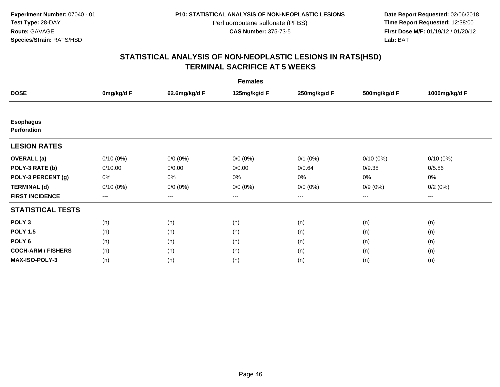**Date Report Requested:** 02/06/2018 **First Dose M/F:** 01/19/12 / 01/20/12<br>**Lab:** BAT **Lab:** BAT

| <b>Females</b>                  |                   |                        |                   |              |                        |               |  |  |
|---------------------------------|-------------------|------------------------|-------------------|--------------|------------------------|---------------|--|--|
| <b>DOSE</b>                     | 0mg/kg/d F        | 62.6mg/kg/d F          | 125mg/kg/d F      | 250mg/kg/d F | 500mg/kg/d F           | 1000mg/kg/d F |  |  |
|                                 |                   |                        |                   |              |                        |               |  |  |
| <b>Esophagus</b><br>Perforation |                   |                        |                   |              |                        |               |  |  |
| <b>LESION RATES</b>             |                   |                        |                   |              |                        |               |  |  |
| <b>OVERALL</b> (a)              | $0/10(0\%)$       | $0/0 (0\%)$            | $0/0 (0\%)$       | $0/1$ $(0%)$ | $0/10(0\%)$            | $0/10(0\%)$   |  |  |
| POLY-3 RATE (b)                 | 0/10.00           | 0/0.00                 | 0/0.00            | 0/0.64       | 0/9.38                 | 0/5.86        |  |  |
| POLY-3 PERCENT (g)              | 0%                | 0%                     | 0%                | 0%           | 0%                     | 0%            |  |  |
| <b>TERMINAL (d)</b>             | $0/10(0\%)$       | $0/0 (0\%)$            | $0/0 (0\%)$       | $0/0 (0\%)$  | $0/9(0\%)$             | 0/2(0%)       |  |  |
| <b>FIRST INCIDENCE</b>          | $\qquad \qquad -$ | $\qquad \qquad \cdots$ | $\qquad \qquad -$ | ---          | $\qquad \qquad \cdots$ | $---$         |  |  |
| <b>STATISTICAL TESTS</b>        |                   |                        |                   |              |                        |               |  |  |
| POLY <sub>3</sub>               | (n)               | (n)                    | (n)               | (n)          | (n)                    | (n)           |  |  |
| <b>POLY 1.5</b>                 | (n)               | (n)                    | (n)               | (n)          | (n)                    | (n)           |  |  |
| POLY <sub>6</sub>               | (n)               | (n)                    | (n)               | (n)          | (n)                    | (n)           |  |  |
| <b>COCH-ARM / FISHERS</b>       | (n)               | (n)                    | (n)               | (n)          | (n)                    | (n)           |  |  |
| MAX-ISO-POLY-3                  | (n)               | (n)                    | (n)               | (n)          | (n)                    | (n)           |  |  |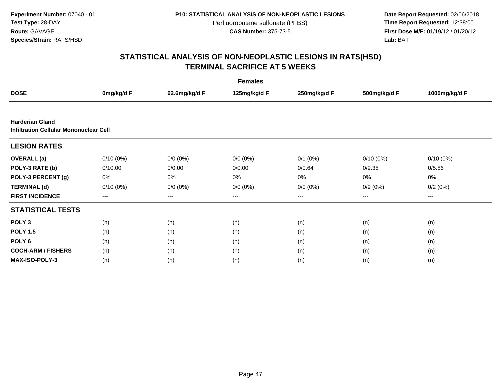**Date Report Requested:** 02/06/2018 **First Dose M/F:** 01/19/12 / 01/20/12<br>**Lab:** BAT **Lab:** BAT

| <b>Females</b>                                                          |                        |                        |              |              |                        |               |  |  |
|-------------------------------------------------------------------------|------------------------|------------------------|--------------|--------------|------------------------|---------------|--|--|
| <b>DOSE</b>                                                             | 0mg/kg/d F             | 62.6mg/kg/d F          | 125mg/kg/d F | 250mg/kg/d F | 500mg/kg/d F           | 1000mg/kg/d F |  |  |
|                                                                         |                        |                        |              |              |                        |               |  |  |
| <b>Harderian Gland</b><br><b>Infiltration Cellular Mononuclear Cell</b> |                        |                        |              |              |                        |               |  |  |
| <b>LESION RATES</b>                                                     |                        |                        |              |              |                        |               |  |  |
| <b>OVERALL</b> (a)                                                      | $0/10(0\%)$            | $0/0 (0\%)$            | $0/0 (0\%)$  | $0/1$ $(0%)$ | $0/10(0\%)$            | $0/10(0\%)$   |  |  |
| POLY-3 RATE (b)                                                         | 0/10.00                | 0/0.00                 | 0/0.00       | 0/0.64       | 0/9.38                 | 0/5.86        |  |  |
| POLY-3 PERCENT (g)                                                      | 0%                     | 0%                     | 0%           | 0%           | 0%                     | 0%            |  |  |
| <b>TERMINAL (d)</b>                                                     | $0/10(0\%)$            | $0/0 (0\%)$            | $0/0 (0\%)$  | $0/0 (0\%)$  | $0/9(0\%)$             | 0/2(0%)       |  |  |
| <b>FIRST INCIDENCE</b>                                                  | $\qquad \qquad \cdots$ | $\qquad \qquad \cdots$ | $---$        | ---          | $\qquad \qquad \cdots$ | $---$         |  |  |
| <b>STATISTICAL TESTS</b>                                                |                        |                        |              |              |                        |               |  |  |
| POLY <sub>3</sub>                                                       | (n)                    | (n)                    | (n)          | (n)          | (n)                    | (n)           |  |  |
| <b>POLY 1.5</b>                                                         | (n)                    | (n)                    | (n)          | (n)          | (n)                    | (n)           |  |  |
| POLY <sub>6</sub>                                                       | (n)                    | (n)                    | (n)          | (n)          | (n)                    | (n)           |  |  |
| <b>COCH-ARM / FISHERS</b>                                               | (n)                    | (n)                    | (n)          | (n)          | (n)                    | (n)           |  |  |
| <b>MAX-ISO-POLY-3</b>                                                   | (n)                    | (n)                    | (n)          | (n)          | (n)                    | (n)           |  |  |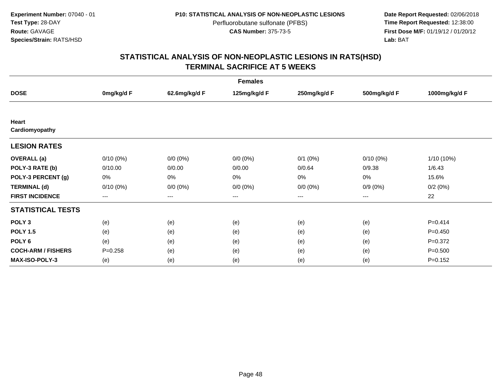**Date Report Requested:** 02/06/2018 **First Dose M/F:** 01/19/12 / 01/20/12<br>**Lab:** BAT **Lab:** BAT

| <b>Females</b>            |                        |               |                   |              |              |               |  |  |
|---------------------------|------------------------|---------------|-------------------|--------------|--------------|---------------|--|--|
| <b>DOSE</b>               | 0mg/kg/d F             | 62.6mg/kg/d F | 125mg/kg/d F      | 250mg/kg/d F | 500mg/kg/d F | 1000mg/kg/d F |  |  |
|                           |                        |               |                   |              |              |               |  |  |
| Heart                     |                        |               |                   |              |              |               |  |  |
| Cardiomyopathy            |                        |               |                   |              |              |               |  |  |
| <b>LESION RATES</b>       |                        |               |                   |              |              |               |  |  |
| <b>OVERALL</b> (a)        | $0/10(0\%)$            | $0/0 (0\%)$   | $0/0 (0\%)$       | $0/1$ $(0%)$ | $0/10(0\%)$  | 1/10 (10%)    |  |  |
| POLY-3 RATE (b)           | 0/10.00                | 0/0.00        | 0/0.00            | 0/0.64       | 0/9.38       | 1/6.43        |  |  |
| POLY-3 PERCENT (g)        | 0%                     | 0%            | 0%                | 0%           | 0%           | 15.6%         |  |  |
| <b>TERMINAL (d)</b>       | $0/10(0\%)$            | $0/0 (0\%)$   | $0/0 (0\%)$       | $0/0 (0\%)$  | $0/9(0\%)$   | 0/2(0%)       |  |  |
| <b>FIRST INCIDENCE</b>    | $\qquad \qquad \cdots$ | $---$         | $\qquad \qquad -$ | ---          | $---$        | 22            |  |  |
| <b>STATISTICAL TESTS</b>  |                        |               |                   |              |              |               |  |  |
| POLY <sub>3</sub>         | (e)                    | (e)           | (e)               | (e)          | (e)          | $P=0.414$     |  |  |
| <b>POLY 1.5</b>           | (e)                    | (e)           | (e)               | (e)          | (e)          | $P=0.450$     |  |  |
| POLY 6                    | (e)                    | (e)           | (e)               | (e)          | (e)          | $P = 0.372$   |  |  |
| <b>COCH-ARM / FISHERS</b> | $P = 0.258$            | (e)           | (e)               | (e)          | (e)          | $P = 0.500$   |  |  |
| <b>MAX-ISO-POLY-3</b>     | (e)                    | (e)           | (e)               | (e)          | (e)          | $P = 0.152$   |  |  |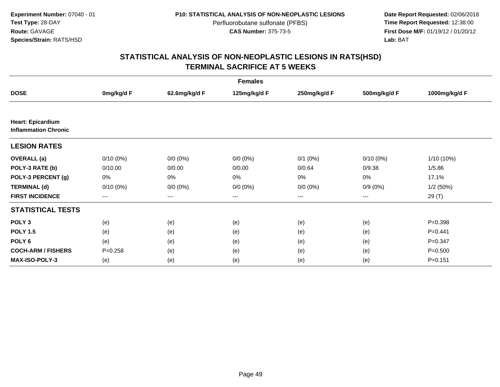**Date Report Requested:** 02/06/2018 **First Dose M/F:** 01/19/12 / 01/20/12<br>**Lab:** BAT **Lab:** BAT

| <b>Females</b>                                          |                   |                   |              |              |              |               |  |  |
|---------------------------------------------------------|-------------------|-------------------|--------------|--------------|--------------|---------------|--|--|
| <b>DOSE</b>                                             | 0mg/kg/d F        | 62.6mg/kg/d F     | 125mg/kg/d F | 250mg/kg/d F | 500mg/kg/d F | 1000mg/kg/d F |  |  |
|                                                         |                   |                   |              |              |              |               |  |  |
| <b>Heart: Epicardium</b><br><b>Inflammation Chronic</b> |                   |                   |              |              |              |               |  |  |
| <b>LESION RATES</b>                                     |                   |                   |              |              |              |               |  |  |
| <b>OVERALL</b> (a)                                      | $0/10(0\%)$       | $0/0 (0\%)$       | $0/0 (0\%)$  | $0/1$ $(0%)$ | $0/10(0\%)$  | 1/10 (10%)    |  |  |
| POLY-3 RATE (b)                                         | 0/10.00           | 0/0.00            | 0/0.00       | 0/0.64       | 0/9.38       | 1/5.86        |  |  |
| POLY-3 PERCENT (g)                                      | 0%                | $0\%$             | 0%           | 0%           | 0%           | 17.1%         |  |  |
| <b>TERMINAL (d)</b>                                     | $0/10(0\%)$       | $0/0 (0\%)$       | $0/0 (0\%)$  | $0/0 (0\%)$  | $0/9(0\%)$   | 1/2(50%)      |  |  |
| <b>FIRST INCIDENCE</b>                                  | $\qquad \qquad -$ | $\qquad \qquad -$ | $---$        | ---          | $\cdots$     | 29 (T)        |  |  |
| <b>STATISTICAL TESTS</b>                                |                   |                   |              |              |              |               |  |  |
| POLY <sub>3</sub>                                       | (e)               | (e)               | (e)          | (e)          | (e)          | $P = 0.398$   |  |  |
| <b>POLY 1.5</b>                                         | (e)               | (e)               | (e)          | (e)          | (e)          | $P=0.441$     |  |  |
| POLY <sub>6</sub>                                       | (e)               | (e)               | (e)          | (e)          | (e)          | $P = 0.347$   |  |  |
| <b>COCH-ARM / FISHERS</b>                               | $P = 0.258$       | (e)               | (e)          | (e)          | (e)          | $P = 0.500$   |  |  |
| <b>MAX-ISO-POLY-3</b>                                   | (e)               | (e)               | (e)          | (e)          | (e)          | $P = 0.151$   |  |  |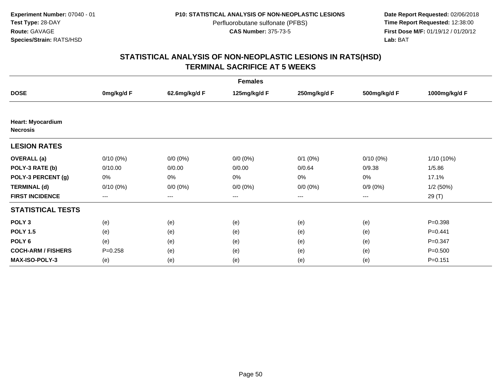**Date Report Requested:** 02/06/2018 **First Dose M/F:** 01/19/12 / 01/20/12<br>**Lab:** BAT **Lab:** BAT

| <b>Females</b>                              |                   |                   |              |              |              |               |  |  |
|---------------------------------------------|-------------------|-------------------|--------------|--------------|--------------|---------------|--|--|
| <b>DOSE</b>                                 | 0mg/kg/d F        | 62.6mg/kg/d F     | 125mg/kg/d F | 250mg/kg/d F | 500mg/kg/d F | 1000mg/kg/d F |  |  |
|                                             |                   |                   |              |              |              |               |  |  |
| <b>Heart: Myocardium</b><br><b>Necrosis</b> |                   |                   |              |              |              |               |  |  |
| <b>LESION RATES</b>                         |                   |                   |              |              |              |               |  |  |
| <b>OVERALL</b> (a)                          | $0/10(0\%)$       | $0/0 (0\%)$       | $0/0 (0\%)$  | $0/1$ $(0%)$ | $0/10(0\%)$  | 1/10 (10%)    |  |  |
| POLY-3 RATE (b)                             | 0/10.00           | 0/0.00            | 0/0.00       | 0/0.64       | 0/9.38       | 1/5.86        |  |  |
| POLY-3 PERCENT (g)                          | 0%                | 0%                | 0%           | 0%           | 0%           | 17.1%         |  |  |
| <b>TERMINAL (d)</b>                         | $0/10(0\%)$       | $0/0 (0\%)$       | $0/0 (0\%)$  | $0/0 (0\%)$  | $0/9(0\%)$   | 1/2(50%)      |  |  |
| <b>FIRST INCIDENCE</b>                      | $\qquad \qquad -$ | $\qquad \qquad -$ | $---$        | ---          | ---          | 29 (T)        |  |  |
| <b>STATISTICAL TESTS</b>                    |                   |                   |              |              |              |               |  |  |
| POLY <sub>3</sub>                           | (e)               | (e)               | (e)          | (e)          | (e)          | $P = 0.398$   |  |  |
| <b>POLY 1.5</b>                             | (e)               | (e)               | (e)          | (e)          | (e)          | $P=0.441$     |  |  |
| POLY <sub>6</sub>                           | (e)               | (e)               | (e)          | (e)          | (e)          | $P = 0.347$   |  |  |
| <b>COCH-ARM / FISHERS</b>                   | $P = 0.258$       | (e)               | (e)          | (e)          | (e)          | $P = 0.500$   |  |  |
| <b>MAX-ISO-POLY-3</b>                       | (e)               | (e)               | (e)          | (e)          | (e)          | $P = 0.151$   |  |  |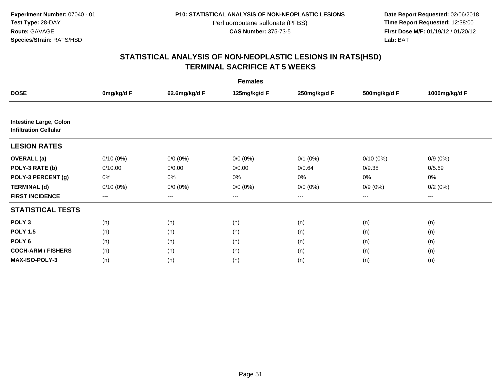**Date Report Requested:** 02/06/2018 **First Dose M/F:** 01/19/12 / 01/20/12<br>**Lab:** BAT **Lab:** BAT

|                                                               |             |               | <b>Females</b> |              |              |               |
|---------------------------------------------------------------|-------------|---------------|----------------|--------------|--------------|---------------|
| <b>DOSE</b>                                                   | 0mg/kg/d F  | 62.6mg/kg/d F | 125mg/kg/d F   | 250mg/kg/d F | 500mg/kg/d F | 1000mg/kg/d F |
|                                                               |             |               |                |              |              |               |
| <b>Intestine Large, Colon</b><br><b>Infiltration Cellular</b> |             |               |                |              |              |               |
| <b>LESION RATES</b>                                           |             |               |                |              |              |               |
| <b>OVERALL</b> (a)                                            | $0/10(0\%)$ | $0/0 (0\%)$   | $0/0 (0\%)$    | $0/1$ $(0%)$ | $0/10(0\%)$  | $0/9(0\%)$    |
| POLY-3 RATE (b)                                               | 0/10.00     | 0/0.00        | 0/0.00         | 0/0.64       | 0/9.38       | 0/5.69        |
| POLY-3 PERCENT (g)                                            | 0%          | 0%            | 0%             | 0%           | 0%           | 0%            |
| <b>TERMINAL (d)</b>                                           | $0/10(0\%)$ | $0/0 (0\%)$   | $0/0 (0\%)$    | $0/0 (0\%)$  | $0/9(0\%)$   | 0/2(0%)       |
| <b>FIRST INCIDENCE</b>                                        | $---$       | $\cdots$      | ---            | $\cdots$     | $\cdots$     | ---           |
| <b>STATISTICAL TESTS</b>                                      |             |               |                |              |              |               |
| POLY <sub>3</sub>                                             | (n)         | (n)           | (n)            | (n)          | (n)          | (n)           |
| <b>POLY 1.5</b>                                               | (n)         | (n)           | (n)            | (n)          | (n)          | (n)           |
| POLY <sub>6</sub>                                             | (n)         | (n)           | (n)            | (n)          | (n)          | (n)           |
| <b>COCH-ARM / FISHERS</b>                                     | (n)         | (n)           | (n)            | (n)          | (n)          | (n)           |
| <b>MAX-ISO-POLY-3</b>                                         | (n)         | (n)           | (n)            | (n)          | (n)          | (n)           |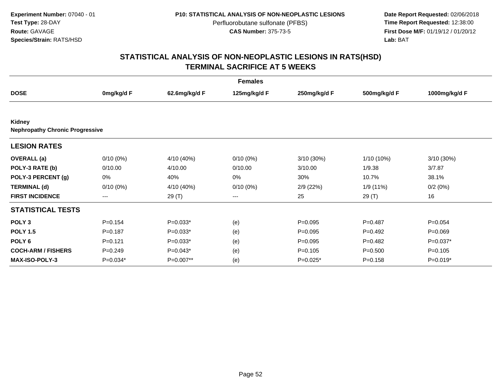**Date Report Requested:** 02/06/2018 **First Dose M/F:** 01/19/12 / 01/20/12<br>**Lab:** BAT **Lab:** BAT

|                                                  |             |               | <b>Females</b> |              |              |               |
|--------------------------------------------------|-------------|---------------|----------------|--------------|--------------|---------------|
| <b>DOSE</b>                                      | 0mg/kg/d F  | 62.6mg/kg/d F | 125mg/kg/d F   | 250mg/kg/d F | 500mg/kg/d F | 1000mg/kg/d F |
|                                                  |             |               |                |              |              |               |
| Kidney<br><b>Nephropathy Chronic Progressive</b> |             |               |                |              |              |               |
| <b>LESION RATES</b>                              |             |               |                |              |              |               |
| <b>OVERALL</b> (a)                               | $0/10(0\%)$ | 4/10 (40%)    | $0/10(0\%)$    | 3/10 (30%)   | 1/10 (10%)   | 3/10(30%)     |
| POLY-3 RATE (b)                                  | 0/10.00     | 4/10.00       | 0/10.00        | 3/10.00      | 1/9.38       | 3/7.87        |
| POLY-3 PERCENT (g)                               | 0%          | 40%           | 0%             | 30%          | 10.7%        | 38.1%         |
| <b>TERMINAL (d)</b>                              | $0/10(0\%)$ | 4/10 (40%)    | $0/10(0\%)$    | 2/9(22%)     | 1/9 (11%)    | 0/2(0%)       |
| <b>FIRST INCIDENCE</b>                           | ---         | 29 (T)        | ---            | 25           | 29 (T)       | 16            |
| <b>STATISTICAL TESTS</b>                         |             |               |                |              |              |               |
| POLY <sub>3</sub>                                | $P=0.154$   | $P=0.033*$    | (e)            | $P = 0.095$  | $P=0.487$    | $P = 0.054$   |
| <b>POLY 1.5</b>                                  | $P = 0.187$ | $P=0.033*$    | (e)            | $P=0.095$    | $P=0.492$    | $P = 0.069$   |
| POLY <sub>6</sub>                                | $P=0.121$   | $P=0.033*$    | (e)            | $P = 0.095$  | $P=0.482$    | P=0.037*      |
| <b>COCH-ARM / FISHERS</b>                        | $P=0.249$   | $P=0.043*$    | (e)            | $P = 0.105$  | $P = 0.500$  | $P = 0.105$   |
| <b>MAX-ISO-POLY-3</b>                            | P=0.034*    | P=0.007**     | (e)            | $P=0.025*$   | $P = 0.158$  | $P=0.019*$    |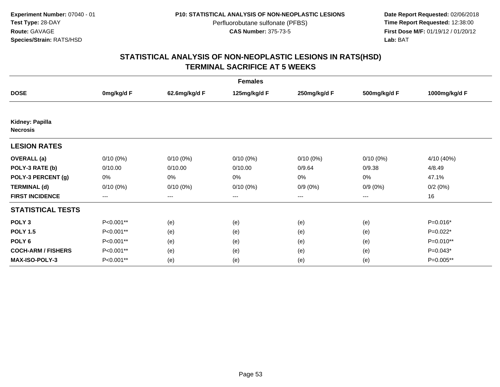**Date Report Requested:** 02/06/2018 **First Dose M/F:** 01/19/12 / 01/20/12<br>**Lab:** BAT **Lab:** BAT

|                                    |             |                        | <b>Females</b> |              |              |               |
|------------------------------------|-------------|------------------------|----------------|--------------|--------------|---------------|
| <b>DOSE</b>                        | 0mg/kg/d F  | 62.6mg/kg/d F          | 125mg/kg/d F   | 250mg/kg/d F | 500mg/kg/d F | 1000mg/kg/d F |
|                                    |             |                        |                |              |              |               |
| Kidney: Papilla<br><b>Necrosis</b> |             |                        |                |              |              |               |
| <b>LESION RATES</b>                |             |                        |                |              |              |               |
| <b>OVERALL</b> (a)                 | $0/10(0\%)$ | $0/10(0\%)$            | $0/10(0\%)$    | $0/10(0\%)$  | $0/10(0\%)$  | 4/10 (40%)    |
| POLY-3 RATE (b)                    | 0/10.00     | 0/10.00                | 0/10.00        | 0/9.64       | 0/9.38       | 4/8.49        |
| POLY-3 PERCENT (g)                 | 0%          | 0%                     | 0%             | 0%           | 0%           | 47.1%         |
| <b>TERMINAL (d)</b>                | $0/10(0\%)$ | $0/10(0\%)$            | $0/10(0\%)$    | $0/9(0\%)$   | $0/9(0\%)$   | 0/2(0%)       |
| <b>FIRST INCIDENCE</b>             | ---         | $\qquad \qquad \cdots$ | ---            | ---          | $--$         | 16            |
| <b>STATISTICAL TESTS</b>           |             |                        |                |              |              |               |
| POLY <sub>3</sub>                  | P<0.001**   | (e)                    | (e)            | (e)          | (e)          | P=0.016*      |
| <b>POLY 1.5</b>                    | P<0.001**   | (e)                    | (e)            | (e)          | (e)          | $P=0.022*$    |
| POLY <sub>6</sub>                  | P<0.001**   | (e)                    | (e)            | (e)          | (e)          | P=0.010**     |
| <b>COCH-ARM / FISHERS</b>          | P<0.001**   | (e)                    | (e)            | (e)          | (e)          | $P=0.043*$    |
| <b>MAX-ISO-POLY-3</b>              | P<0.001**   | (e)                    | (e)            | (e)          | (e)          | P=0.005**     |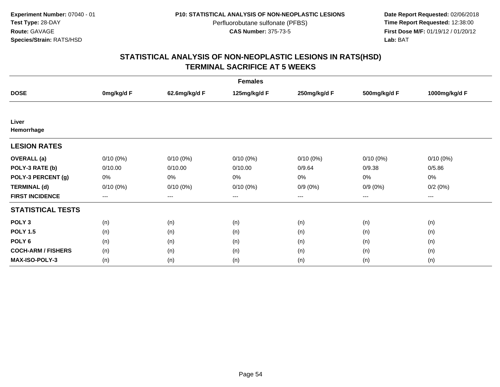**Date Report Requested:** 02/06/2018 **First Dose M/F:** 01/19/12 / 01/20/12<br>**Lab:** BAT **Lab:** BAT

| <b>Females</b>            |             |                        |              |              |                        |               |  |  |
|---------------------------|-------------|------------------------|--------------|--------------|------------------------|---------------|--|--|
| <b>DOSE</b>               | 0mg/kg/d F  | 62.6mg/kg/d F          | 125mg/kg/d F | 250mg/kg/d F | 500mg/kg/d F           | 1000mg/kg/d F |  |  |
|                           |             |                        |              |              |                        |               |  |  |
| Liver                     |             |                        |              |              |                        |               |  |  |
| Hemorrhage                |             |                        |              |              |                        |               |  |  |
| <b>LESION RATES</b>       |             |                        |              |              |                        |               |  |  |
| <b>OVERALL</b> (a)        | $0/10(0\%)$ | $0/10(0\%)$            | $0/10(0\%)$  | $0/10(0\%)$  | $0/10(0\%)$            | $0/10(0\%)$   |  |  |
| POLY-3 RATE (b)           | 0/10.00     | 0/10.00                | 0/10.00      | 0/9.64       | 0/9.38                 | 0/5.86        |  |  |
| POLY-3 PERCENT (g)        | 0%          | 0%                     | 0%           | 0%           | 0%                     | 0%            |  |  |
| <b>TERMINAL (d)</b>       | $0/10(0\%)$ | $0/10(0\%)$            | $0/10(0\%)$  | $0/9(0\%)$   | $0/9(0\%)$             | 0/2(0%)       |  |  |
| <b>FIRST INCIDENCE</b>    | $---$       | $\qquad \qquad \cdots$ | ---          | ---          | $\qquad \qquad \cdots$ | ---           |  |  |
| <b>STATISTICAL TESTS</b>  |             |                        |              |              |                        |               |  |  |
| POLY <sub>3</sub>         | (n)         | (n)                    | (n)          | (n)          | (n)                    | (n)           |  |  |
| <b>POLY 1.5</b>           | (n)         | (n)                    | (n)          | (n)          | (n)                    | (n)           |  |  |
| POLY <sub>6</sub>         | (n)         | (n)                    | (n)          | (n)          | (n)                    | (n)           |  |  |
| <b>COCH-ARM / FISHERS</b> | (n)         | (n)                    | (n)          | (n)          | (n)                    | (n)           |  |  |
| <b>MAX-ISO-POLY-3</b>     | (n)         | (n)                    | (n)          | (n)          | (n)                    | (n)           |  |  |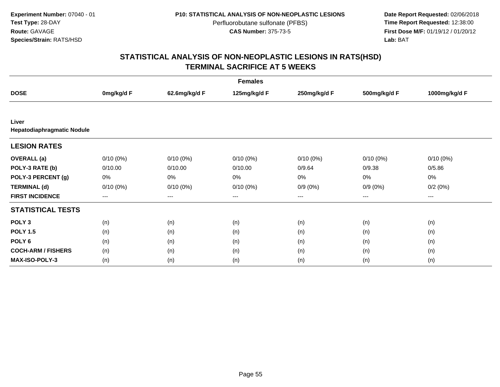**Date Report Requested:** 02/06/2018 **First Dose M/F:** 01/19/12 / 01/20/12<br>**Lab:** BAT **Lab:** BAT

| <b>Females</b>             |             |                        |              |              |                   |                        |  |  |
|----------------------------|-------------|------------------------|--------------|--------------|-------------------|------------------------|--|--|
| <b>DOSE</b>                | 0mg/kg/d F  | 62.6mg/kg/d F          | 125mg/kg/d F | 250mg/kg/d F | 500mg/kg/d F      | 1000mg/kg/d F          |  |  |
|                            |             |                        |              |              |                   |                        |  |  |
| Liver                      |             |                        |              |              |                   |                        |  |  |
| Hepatodiaphragmatic Nodule |             |                        |              |              |                   |                        |  |  |
| <b>LESION RATES</b>        |             |                        |              |              |                   |                        |  |  |
| <b>OVERALL</b> (a)         | $0/10(0\%)$ | $0/10(0\%)$            | $0/10(0\%)$  | $0/10(0\%)$  | $0/10(0\%)$       | $0/10(0\%)$            |  |  |
| POLY-3 RATE (b)            | 0/10.00     | 0/10.00                | 0/10.00      | 0/9.64       | 0/9.38            | 0/5.86                 |  |  |
| POLY-3 PERCENT (g)         | 0%          | 0%                     | 0%           | 0%           | 0%                | 0%                     |  |  |
| <b>TERMINAL (d)</b>        | $0/10(0\%)$ | $0/10(0\%)$            | $0/10(0\%)$  | $0/9(0\%)$   | $0/9(0\%)$        | 0/2(0%)                |  |  |
| <b>FIRST INCIDENCE</b>     | ---         | $\qquad \qquad \cdots$ | ---          | ---          | $\qquad \qquad -$ | $\qquad \qquad \cdots$ |  |  |
| <b>STATISTICAL TESTS</b>   |             |                        |              |              |                   |                        |  |  |
| POLY <sub>3</sub>          | (n)         | (n)                    | (n)          | (n)          | (n)               | (n)                    |  |  |
| <b>POLY 1.5</b>            | (n)         | (n)                    | (n)          | (n)          | (n)               | (n)                    |  |  |
| POLY <sub>6</sub>          | (n)         | (n)                    | (n)          | (n)          | (n)               | (n)                    |  |  |
| <b>COCH-ARM / FISHERS</b>  | (n)         | (n)                    | (n)          | (n)          | (n)               | (n)                    |  |  |
| <b>MAX-ISO-POLY-3</b>      | (n)         | (n)                    | (n)          | (n)          | (n)               | (n)                    |  |  |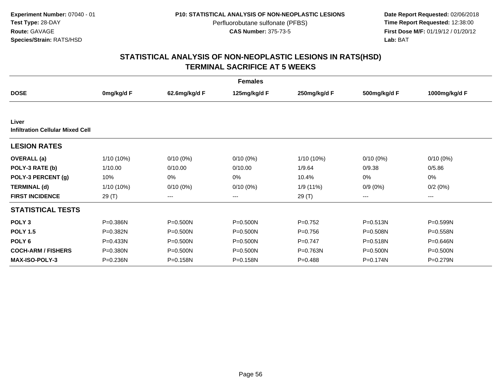**Date Report Requested:** 02/06/2018 **First Dose M/F:** 01/19/12 / 01/20/12<br>**Lab:** BAT **Lab:** BAT

|                                                  |            |               | <b>Females</b> |              |              |               |
|--------------------------------------------------|------------|---------------|----------------|--------------|--------------|---------------|
| <b>DOSE</b>                                      | 0mg/kg/d F | 62.6mg/kg/d F | 125mg/kg/d F   | 250mg/kg/d F | 500mg/kg/d F | 1000mg/kg/d F |
|                                                  |            |               |                |              |              |               |
| Liver<br><b>Infiltration Cellular Mixed Cell</b> |            |               |                |              |              |               |
| <b>LESION RATES</b>                              |            |               |                |              |              |               |
| <b>OVERALL</b> (a)                               | 1/10 (10%) | $0/10(0\%)$   | $0/10(0\%)$    | $1/10(10\%)$ | $0/10(0\%)$  | $0/10(0\%)$   |
| POLY-3 RATE (b)                                  | 1/10.00    | 0/10.00       | 0/10.00        | 1/9.64       | 0/9.38       | 0/5.86        |
| POLY-3 PERCENT (g)                               | 10%        | 0%            | 0%             | 10.4%        | 0%           | 0%            |
| <b>TERMINAL (d)</b>                              | 1/10 (10%) | $0/10(0\%)$   | $0/10(0\%)$    | 1/9(11%)     | $0/9(0\%)$   | 0/2(0%)       |
| <b>FIRST INCIDENCE</b>                           | 29 (T)     | $---$         | ---            | 29 (T)       | ---          | $--$          |
| <b>STATISTICAL TESTS</b>                         |            |               |                |              |              |               |
| POLY <sub>3</sub>                                | P=0.386N   | P=0.500N      | $P = 0.500N$   | $P=0.752$    | $P = 0.513N$ | P=0.599N      |
| <b>POLY 1.5</b>                                  | P=0.382N   | $P = 0.500N$  | P=0.500N       | $P=0.756$    | P=0.508N     | P=0.558N      |
| POLY <sub>6</sub>                                | P=0.433N   | $P = 0.500N$  | $P = 0.500N$   | $P = 0.747$  | P=0.518N     | P=0.646N      |
| <b>COCH-ARM / FISHERS</b>                        | P=0.380N   | $P = 0.500N$  | $P = 0.500N$   | P=0.763N     | $P = 0.500N$ | $P = 0.500N$  |
| <b>MAX-ISO-POLY-3</b>                            | P=0.236N   | P=0.158N      | P=0.158N       | $P = 0.488$  | P=0.174N     | $P = 0.279N$  |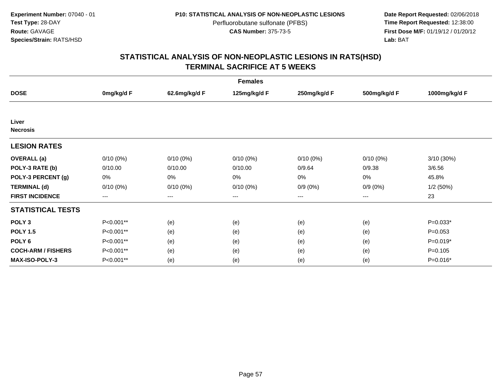**Date Report Requested:** 02/06/2018 **First Dose M/F:** 01/19/12 / 01/20/12<br>**Lab:** BAT **Lab:** BAT

| <b>Females</b>            |             |               |              |              |              |               |  |  |
|---------------------------|-------------|---------------|--------------|--------------|--------------|---------------|--|--|
| <b>DOSE</b>               | 0mg/kg/d F  | 62.6mg/kg/d F | 125mg/kg/d F | 250mg/kg/d F | 500mg/kg/d F | 1000mg/kg/d F |  |  |
|                           |             |               |              |              |              |               |  |  |
| Liver                     |             |               |              |              |              |               |  |  |
| <b>Necrosis</b>           |             |               |              |              |              |               |  |  |
| <b>LESION RATES</b>       |             |               |              |              |              |               |  |  |
| <b>OVERALL</b> (a)        | $0/10(0\%)$ | $0/10(0\%)$   | $0/10(0\%)$  | $0/10(0\%)$  | $0/10(0\%)$  | 3/10 (30%)    |  |  |
| POLY-3 RATE (b)           | 0/10.00     | 0/10.00       | 0/10.00      | 0/9.64       | 0/9.38       | 3/6.56        |  |  |
| POLY-3 PERCENT (g)        | 0%          | 0%            | 0%           | 0%           | 0%           | 45.8%         |  |  |
| <b>TERMINAL (d)</b>       | $0/10(0\%)$ | $0/10(0\%)$   | $0/10(0\%)$  | $0/9(0\%)$   | $0/9(0\%)$   | 1/2(50%)      |  |  |
| <b>FIRST INCIDENCE</b>    | ---         | $--$          | $--$         | ---          | $---$        | 23            |  |  |
| <b>STATISTICAL TESTS</b>  |             |               |              |              |              |               |  |  |
| POLY <sub>3</sub>         | P<0.001**   | (e)           | (e)          | (e)          | (e)          | $P=0.033*$    |  |  |
| <b>POLY 1.5</b>           | P<0.001**   | (e)           | (e)          | (e)          | (e)          | $P=0.053$     |  |  |
| POLY <sub>6</sub>         | P<0.001**   | (e)           | (e)          | (e)          | (e)          | $P=0.019*$    |  |  |
| <b>COCH-ARM / FISHERS</b> | P<0.001**   | (e)           | (e)          | (e)          | (e)          | $P = 0.105$   |  |  |
| <b>MAX-ISO-POLY-3</b>     | P<0.001**   | (e)           | (e)          | (e)          | (e)          | P=0.016*      |  |  |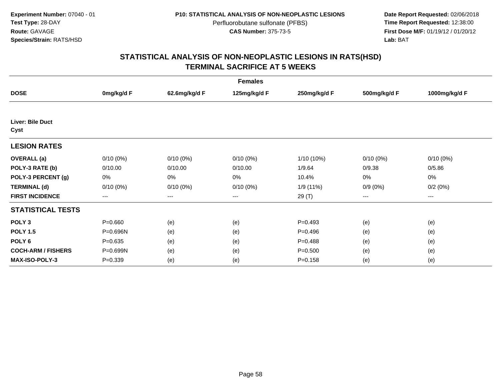**Date Report Requested:** 02/06/2018 **First Dose M/F:** 01/19/12 / 01/20/12<br>**Lab:** BAT **Lab:** BAT

|                           | <b>Females</b> |               |              |              |              |               |  |  |  |
|---------------------------|----------------|---------------|--------------|--------------|--------------|---------------|--|--|--|
| <b>DOSE</b>               | 0mg/kg/d F     | 62.6mg/kg/d F | 125mg/kg/d F | 250mg/kg/d F | 500mg/kg/d F | 1000mg/kg/d F |  |  |  |
|                           |                |               |              |              |              |               |  |  |  |
| Liver: Bile Duct<br>Cyst  |                |               |              |              |              |               |  |  |  |
| <b>LESION RATES</b>       |                |               |              |              |              |               |  |  |  |
| <b>OVERALL</b> (a)        | $0/10(0\%)$    | $0/10(0\%)$   | $0/10(0\%)$  | 1/10 (10%)   | $0/10(0\%)$  | $0/10(0\%)$   |  |  |  |
| POLY-3 RATE (b)           | 0/10.00        | 0/10.00       | 0/10.00      | 1/9.64       | 0/9.38       | 0/5.86        |  |  |  |
| POLY-3 PERCENT (g)        | 0%             | 0%            | 0%           | 10.4%        | 0%           | 0%            |  |  |  |
| <b>TERMINAL (d)</b>       | $0/10(0\%)$    | $0/10(0\%)$   | $0/10(0\%)$  | 1/9 (11%)    | $0/9(0\%)$   | 0/2(0%)       |  |  |  |
| <b>FIRST INCIDENCE</b>    | ---            | $---$         | ---          | 29 (T)       | $--$         | ---           |  |  |  |
| <b>STATISTICAL TESTS</b>  |                |               |              |              |              |               |  |  |  |
| POLY <sub>3</sub>         | $P = 0.660$    | (e)           | (e)          | $P=0.493$    | (e)          | (e)           |  |  |  |
| <b>POLY 1.5</b>           | P=0.696N       | (e)           | (e)          | $P = 0.496$  | (e)          | (e)           |  |  |  |
| POLY <sub>6</sub>         | $P = 0.635$    | (e)           | (e)          | $P = 0.488$  | (e)          | (e)           |  |  |  |
| <b>COCH-ARM / FISHERS</b> | P=0.699N       | (e)           | (e)          | $P = 0.500$  | (e)          | (e)           |  |  |  |
| <b>MAX-ISO-POLY-3</b>     | $P = 0.339$    | (e)           | (e)          | $P = 0.158$  | (e)          | (e)           |  |  |  |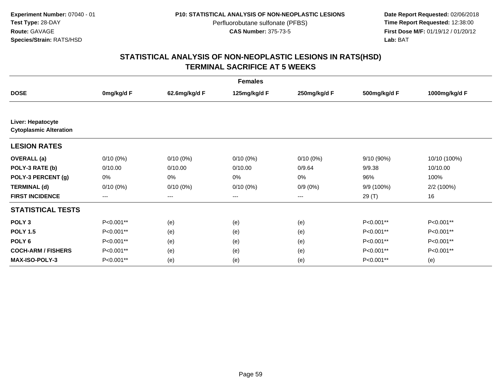**Date Report Requested:** 02/06/2018 **First Dose M/F:** 01/19/12 / 01/20/12<br>**Lab:** BAT **Lab:** BAT

| <b>Females</b>                |             |                        |              |              |              |               |  |  |
|-------------------------------|-------------|------------------------|--------------|--------------|--------------|---------------|--|--|
| <b>DOSE</b>                   | 0mg/kg/d F  | 62.6mg/kg/d F          | 125mg/kg/d F | 250mg/kg/d F | 500mg/kg/d F | 1000mg/kg/d F |  |  |
| Liver: Hepatocyte             |             |                        |              |              |              |               |  |  |
| <b>Cytoplasmic Alteration</b> |             |                        |              |              |              |               |  |  |
| <b>LESION RATES</b>           |             |                        |              |              |              |               |  |  |
| <b>OVERALL</b> (a)            | $0/10(0\%)$ | $0/10(0\%)$            | $0/10(0\%)$  | $0/10(0\%)$  | 9/10 (90%)   | 10/10 (100%)  |  |  |
| POLY-3 RATE (b)               | 0/10.00     | 0/10.00                | 0/10.00      | 0/9.64       | 9/9.38       | 10/10.00      |  |  |
| POLY-3 PERCENT (g)            | 0%          | 0%                     | 0%           | 0%           | 96%          | 100%          |  |  |
| <b>TERMINAL (d)</b>           | $0/10(0\%)$ | $0/10(0\%)$            | $0/10(0\%)$  | $0/9(0\%)$   | 9/9 (100%)   | 2/2 (100%)    |  |  |
| <b>FIRST INCIDENCE</b>        | $--$        | $\qquad \qquad \cdots$ | ---          | ---          | 29 (T)       | 16            |  |  |
| <b>STATISTICAL TESTS</b>      |             |                        |              |              |              |               |  |  |
| POLY <sub>3</sub>             | P<0.001**   | (e)                    | (e)          | (e)          | P<0.001**    | P<0.001**     |  |  |
| <b>POLY 1.5</b>               | P<0.001**   | (e)                    | (e)          | (e)          | P<0.001**    | P<0.001**     |  |  |
| POLY <sub>6</sub>             | P<0.001**   | (e)                    | (e)          | (e)          | P<0.001**    | P<0.001**     |  |  |
| <b>COCH-ARM / FISHERS</b>     | P<0.001**   | (e)                    | (e)          | (e)          | P<0.001**    | P<0.001**     |  |  |
| <b>MAX-ISO-POLY-3</b>         | P<0.001**   | (e)                    | (e)          | (e)          | P<0.001**    | (e)           |  |  |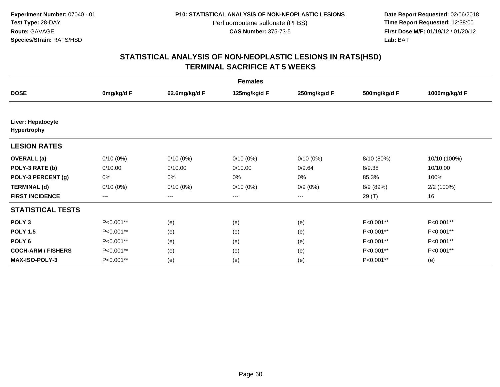**Date Report Requested:** 02/06/2018 **First Dose M/F:** 01/19/12 / 01/20/12<br>**Lab:** BAT **Lab:** BAT

| <b>Females</b>                   |             |               |              |              |              |               |  |  |
|----------------------------------|-------------|---------------|--------------|--------------|--------------|---------------|--|--|
| <b>DOSE</b>                      | 0mg/kg/d F  | 62.6mg/kg/d F | 125mg/kg/d F | 250mg/kg/d F | 500mg/kg/d F | 1000mg/kg/d F |  |  |
|                                  |             |               |              |              |              |               |  |  |
| Liver: Hepatocyte<br>Hypertrophy |             |               |              |              |              |               |  |  |
| <b>LESION RATES</b>              |             |               |              |              |              |               |  |  |
| <b>OVERALL</b> (a)               | $0/10(0\%)$ | $0/10(0\%)$   | $0/10(0\%)$  | $0/10(0\%)$  | 8/10 (80%)   | 10/10 (100%)  |  |  |
| POLY-3 RATE (b)                  | 0/10.00     | 0/10.00       | 0/10.00      | 0/9.64       | 8/9.38       | 10/10.00      |  |  |
| POLY-3 PERCENT (g)               | 0%          | 0%            | 0%           | 0%           | 85.3%        | 100%          |  |  |
| <b>TERMINAL (d)</b>              | $0/10(0\%)$ | $0/10(0\%)$   | $0/10(0\%)$  | $0/9(0\%)$   | 8/9 (89%)    | 2/2 (100%)    |  |  |
| <b>FIRST INCIDENCE</b>           | ---         | $--$          | ---          | ---          | 29 (T)       | 16            |  |  |
| <b>STATISTICAL TESTS</b>         |             |               |              |              |              |               |  |  |
| POLY <sub>3</sub>                | P<0.001**   | (e)           | (e)          | (e)          | P<0.001**    | P<0.001**     |  |  |
| <b>POLY 1.5</b>                  | P<0.001**   | (e)           | (e)          | (e)          | P<0.001**    | P<0.001**     |  |  |
| POLY <sub>6</sub>                | P<0.001**   | (e)           | (e)          | (e)          | P<0.001**    | P<0.001**     |  |  |
| <b>COCH-ARM / FISHERS</b>        | P<0.001**   | (e)           | (e)          | (e)          | P<0.001**    | P<0.001**     |  |  |
| <b>MAX-ISO-POLY-3</b>            | P<0.001**   | (e)           | (e)          | (e)          | P<0.001**    | (e)           |  |  |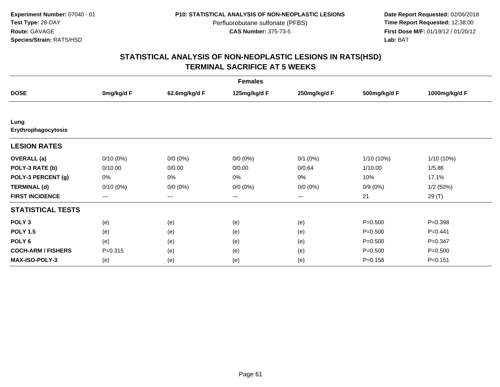**Date Report Requested:** 02/06/2018 **First Dose M/F:** 01/19/12 / 01/20/12<br>**Lab:** BAT **Lab:** BAT

| <b>Females</b>              |             |                        |              |              |              |               |  |  |
|-----------------------------|-------------|------------------------|--------------|--------------|--------------|---------------|--|--|
| <b>DOSE</b>                 | 0mg/kg/d F  | 62.6mg/kg/d F          | 125mg/kg/d F | 250mg/kg/d F | 500mg/kg/d F | 1000mg/kg/d F |  |  |
|                             |             |                        |              |              |              |               |  |  |
| Lung<br>Erythrophagocytosis |             |                        |              |              |              |               |  |  |
| <b>LESION RATES</b>         |             |                        |              |              |              |               |  |  |
| <b>OVERALL</b> (a)          | $0/10(0\%)$ | $0/0(0\%)$             | $0/0 (0\%)$  | $0/1$ $(0%)$ | 1/10 (10%)   | $1/10(10\%)$  |  |  |
| POLY-3 RATE (b)             | 0/10.00     | 0/0.00                 | 0/0.00       | 0/0.64       | 1/10.00      | 1/5.86        |  |  |
| POLY-3 PERCENT (g)          | 0%          | 0%                     | 0%           | 0%           | 10%          | 17.1%         |  |  |
| <b>TERMINAL (d)</b>         | $0/10(0\%)$ | $0/0 (0\%)$            | $0/0 (0\%)$  | $0/0 (0\%)$  | $0/9(0\%)$   | 1/2(50%)      |  |  |
| <b>FIRST INCIDENCE</b>      | ---         | $\qquad \qquad \cdots$ | ---          | ---          | 21           | 29 (T)        |  |  |
| <b>STATISTICAL TESTS</b>    |             |                        |              |              |              |               |  |  |
| POLY <sub>3</sub>           | (e)         | (e)                    | (e)          | (e)          | $P = 0.500$  | $P = 0.398$   |  |  |
| <b>POLY 1.5</b>             | (e)         | (e)                    | (e)          | (e)          | $P = 0.500$  | $P = 0.441$   |  |  |
| POLY <sub>6</sub>           | (e)         | (e)                    | (e)          | (e)          | $P = 0.500$  | $P = 0.347$   |  |  |
| <b>COCH-ARM / FISHERS</b>   | $P = 0.315$ | (e)                    | (e)          | (e)          | $P = 0.500$  | $P = 0.500$   |  |  |
| <b>MAX-ISO-POLY-3</b>       | (e)         | (e)                    | (e)          | (e)          | $P = 0.158$  | $P = 0.151$   |  |  |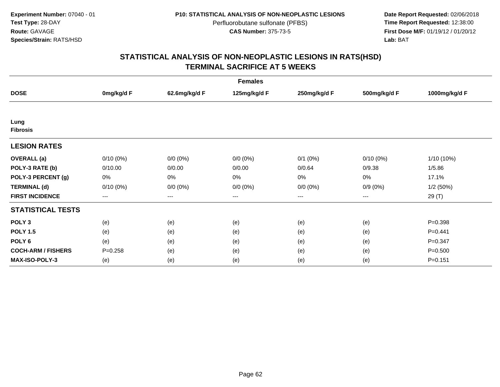**Date Report Requested:** 02/06/2018 **First Dose M/F:** 01/19/12 / 01/20/12<br>**Lab:** BAT **Lab:** BAT

| <b>Females</b>            |             |                        |              |              |              |               |  |  |
|---------------------------|-------------|------------------------|--------------|--------------|--------------|---------------|--|--|
| <b>DOSE</b>               | 0mg/kg/d F  | 62.6mg/kg/d F          | 125mg/kg/d F | 250mg/kg/d F | 500mg/kg/d F | 1000mg/kg/d F |  |  |
|                           |             |                        |              |              |              |               |  |  |
| Lung<br><b>Fibrosis</b>   |             |                        |              |              |              |               |  |  |
| <b>LESION RATES</b>       |             |                        |              |              |              |               |  |  |
| <b>OVERALL</b> (a)        | $0/10(0\%)$ | $0/0(0\%)$             | $0/0 (0\%)$  | $0/1$ $(0%)$ | $0/10(0\%)$  | $1/10(10\%)$  |  |  |
| POLY-3 RATE (b)           | 0/10.00     | 0/0.00                 | 0/0.00       | 0/0.64       | 0/9.38       | 1/5.86        |  |  |
| POLY-3 PERCENT (g)        | 0%          | 0%                     | 0%           | 0%           | 0%           | 17.1%         |  |  |
| <b>TERMINAL (d)</b>       | $0/10(0\%)$ | $0/0 (0\%)$            | $0/0 (0\%)$  | $0/0 (0\%)$  | $0/9(0\%)$   | 1/2(50%)      |  |  |
| <b>FIRST INCIDENCE</b>    | ---         | $\qquad \qquad \cdots$ | $--$         | ---          | $--$         | 29 (T)        |  |  |
| <b>STATISTICAL TESTS</b>  |             |                        |              |              |              |               |  |  |
| POLY <sub>3</sub>         | (e)         | (e)                    | (e)          | (e)          | (e)          | $P = 0.398$   |  |  |
| <b>POLY 1.5</b>           | (e)         | (e)                    | (e)          | (e)          | (e)          | $P = 0.441$   |  |  |
| POLY <sub>6</sub>         | (e)         | (e)                    | (e)          | (e)          | (e)          | $P = 0.347$   |  |  |
| <b>COCH-ARM / FISHERS</b> | $P = 0.258$ | (e)                    | (e)          | (e)          | (e)          | $P = 0.500$   |  |  |
| <b>MAX-ISO-POLY-3</b>     | (e)         | (e)                    | (e)          | (e)          | (e)          | $P = 0.151$   |  |  |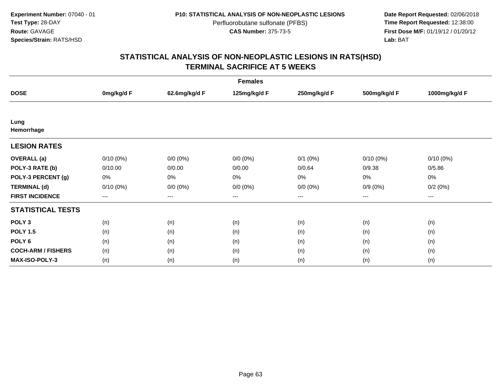**Date Report Requested:** 02/06/2018 **First Dose M/F:** 01/19/12 / 01/20/12<br>**Lab:** BAT **Lab:** BAT

| <b>Females</b>            |             |                        |              |              |                        |               |  |  |
|---------------------------|-------------|------------------------|--------------|--------------|------------------------|---------------|--|--|
| <b>DOSE</b>               | 0mg/kg/d F  | 62.6mg/kg/d F          | 125mg/kg/d F | 250mg/kg/d F | 500mg/kg/d F           | 1000mg/kg/d F |  |  |
|                           |             |                        |              |              |                        |               |  |  |
| Lung<br>Hemorrhage        |             |                        |              |              |                        |               |  |  |
| <b>LESION RATES</b>       |             |                        |              |              |                        |               |  |  |
| <b>OVERALL</b> (a)        | $0/10(0\%)$ | $0/0 (0\%)$            | $0/0 (0\%)$  | $0/1$ $(0%)$ | $0/10(0\%)$            | $0/10(0\%)$   |  |  |
| POLY-3 RATE (b)           | 0/10.00     | 0/0.00                 | 0/0.00       | 0/0.64       | 0/9.38                 | 0/5.86        |  |  |
| POLY-3 PERCENT (g)        | 0%          | 0%                     | 0%           | 0%           | 0%                     | 0%            |  |  |
| <b>TERMINAL (d)</b>       | $0/10(0\%)$ | $0/0 (0\%)$            | $0/0 (0\%)$  | $0/0 (0\%)$  | $0/9(0\%)$             | 0/2(0%)       |  |  |
| <b>FIRST INCIDENCE</b>    | ---         | $\qquad \qquad \cdots$ | ---          | ---          | $\qquad \qquad \cdots$ | ---           |  |  |
| <b>STATISTICAL TESTS</b>  |             |                        |              |              |                        |               |  |  |
| POLY <sub>3</sub>         | (n)         | (n)                    | (n)          | (n)          | (n)                    | (n)           |  |  |
| <b>POLY 1.5</b>           | (n)         | (n)                    | (n)          | (n)          | (n)                    | (n)           |  |  |
| POLY <sub>6</sub>         | (n)         | (n)                    | (n)          | (n)          | (n)                    | (n)           |  |  |
| <b>COCH-ARM / FISHERS</b> | (n)         | (n)                    | (n)          | (n)          | (n)                    | (n)           |  |  |
| MAX-ISO-POLY-3            | (n)         | (n)                    | (n)          | (n)          | (n)                    | (n)           |  |  |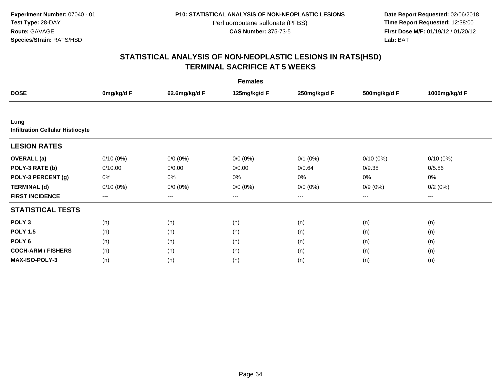**Date Report Requested:** 02/06/2018 **First Dose M/F:** 01/19/12 / 01/20/12<br>**Lab:** BAT **Lab:** BAT

| <b>Females</b>                                  |                   |                   |              |              |              |               |  |  |
|-------------------------------------------------|-------------------|-------------------|--------------|--------------|--------------|---------------|--|--|
| <b>DOSE</b>                                     | 0mg/kg/d F        | 62.6mg/kg/d F     | 125mg/kg/d F | 250mg/kg/d F | 500mg/kg/d F | 1000mg/kg/d F |  |  |
|                                                 |                   |                   |              |              |              |               |  |  |
| Lung<br><b>Infiltration Cellular Histiocyte</b> |                   |                   |              |              |              |               |  |  |
| <b>LESION RATES</b>                             |                   |                   |              |              |              |               |  |  |
| <b>OVERALL</b> (a)                              | $0/10(0\%)$       | $0/0(0\%)$        | $0/0 (0\%)$  | $0/1$ $(0%)$ | $0/10(0\%)$  | $0/10(0\%)$   |  |  |
| POLY-3 RATE (b)                                 | 0/10.00           | 0/0.00            | 0/0.00       | 0/0.64       | 0/9.38       | 0/5.86        |  |  |
| POLY-3 PERCENT (g)                              | 0%                | $0\%$             | 0%           | 0%           | 0%           | 0%            |  |  |
| <b>TERMINAL (d)</b>                             | $0/10(0\%)$       | $0/0 (0\%)$       | $0/0 (0\%)$  | $0/0 (0\%)$  | $0/9(0\%)$   | 0/2(0%)       |  |  |
| <b>FIRST INCIDENCE</b>                          | $\qquad \qquad -$ | $\qquad \qquad -$ | $---$        | $---$        | $---$        | ---           |  |  |
| <b>STATISTICAL TESTS</b>                        |                   |                   |              |              |              |               |  |  |
| POLY <sub>3</sub>                               | (n)               | (n)               | (n)          | (n)          | (n)          | (n)           |  |  |
| <b>POLY 1.5</b>                                 | (n)               | (n)               | (n)          | (n)          | (n)          | (n)           |  |  |
| POLY <sub>6</sub>                               | (n)               | (n)               | (n)          | (n)          | (n)          | (n)           |  |  |
| <b>COCH-ARM / FISHERS</b>                       | (n)               | (n)               | (n)          | (n)          | (n)          | (n)           |  |  |
| <b>MAX-ISO-POLY-3</b>                           | (n)               | (n)               | (n)          | (n)          | (n)          | (n)           |  |  |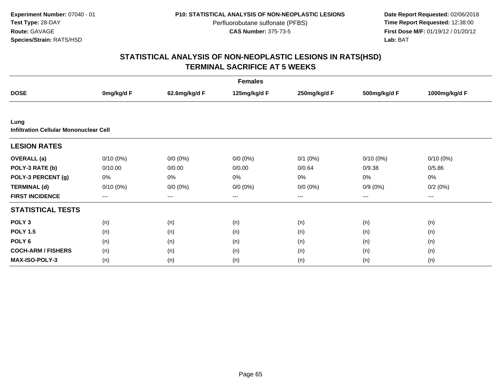**Date Report Requested:** 02/06/2018 **First Dose M/F:** 01/19/12 / 01/20/12<br>**Lab:** BAT **Lab:** BAT

| <b>Females</b>                                        |             |               |              |              |              |               |  |  |
|-------------------------------------------------------|-------------|---------------|--------------|--------------|--------------|---------------|--|--|
| <b>DOSE</b>                                           | 0mg/kg/d F  | 62.6mg/kg/d F | 125mg/kg/d F | 250mg/kg/d F | 500mg/kg/d F | 1000mg/kg/d F |  |  |
|                                                       |             |               |              |              |              |               |  |  |
| Lung<br><b>Infiltration Cellular Mononuclear Cell</b> |             |               |              |              |              |               |  |  |
| <b>LESION RATES</b>                                   |             |               |              |              |              |               |  |  |
| <b>OVERALL</b> (a)                                    | $0/10(0\%)$ | $0/0 (0\%)$   | $0/0 (0\%)$  | $0/1$ $(0%)$ | $0/10(0\%)$  | $0/10(0\%)$   |  |  |
| POLY-3 RATE (b)                                       | 0/10.00     | 0/0.00        | 0/0.00       | 0/0.64       | 0/9.38       | 0/5.86        |  |  |
| POLY-3 PERCENT (g)                                    | 0%          | 0%            | 0%           | 0%           | 0%           | 0%            |  |  |
| <b>TERMINAL (d)</b>                                   | $0/10(0\%)$ | $0/0 (0\%)$   | $0/0 (0\%)$  | $0/0 (0\%)$  | $0/9(0\%)$   | 0/2(0%)       |  |  |
| <b>FIRST INCIDENCE</b>                                | ---         | $---$         | ---          | ---          | ---          | ---           |  |  |
| <b>STATISTICAL TESTS</b>                              |             |               |              |              |              |               |  |  |
| POLY <sub>3</sub>                                     | (n)         | (n)           | (n)          | (n)          | (n)          | (n)           |  |  |
| <b>POLY 1.5</b>                                       | (n)         | (n)           | (n)          | (n)          | (n)          | (n)           |  |  |
| POLY <sub>6</sub>                                     | (n)         | (n)           | (n)          | (n)          | (n)          | (n)           |  |  |
| <b>COCH-ARM / FISHERS</b>                             | (n)         | (n)           | (n)          | (n)          | (n)          | (n)           |  |  |
| <b>MAX-ISO-POLY-3</b>                                 | (n)         | (n)           | (n)          | (n)          | (n)          | (n)           |  |  |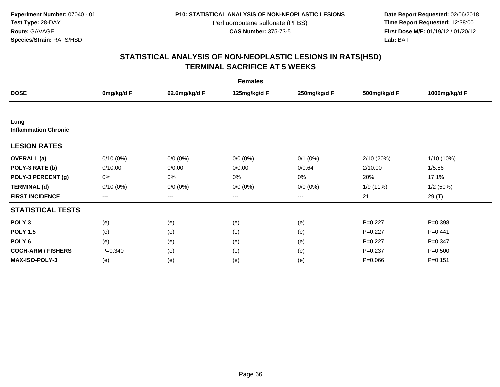**Date Report Requested:** 02/06/2018 **First Dose M/F:** 01/19/12 / 01/20/12<br>**Lab:** BAT **Lab:** BAT

| <b>Females</b>                      |             |               |              |              |              |               |  |  |
|-------------------------------------|-------------|---------------|--------------|--------------|--------------|---------------|--|--|
| <b>DOSE</b>                         | 0mg/kg/d F  | 62.6mg/kg/d F | 125mg/kg/d F | 250mg/kg/d F | 500mg/kg/d F | 1000mg/kg/d F |  |  |
|                                     |             |               |              |              |              |               |  |  |
| Lung<br><b>Inflammation Chronic</b> |             |               |              |              |              |               |  |  |
| <b>LESION RATES</b>                 |             |               |              |              |              |               |  |  |
| <b>OVERALL</b> (a)                  | $0/10(0\%)$ | $0/0 (0\%)$   | $0/0 (0\%)$  | $0/1$ $(0%)$ | 2/10 (20%)   | 1/10 (10%)    |  |  |
| POLY-3 RATE (b)                     | 0/10.00     | 0/0.00        | 0/0.00       | 0/0.64       | 2/10.00      | 1/5.86        |  |  |
| POLY-3 PERCENT (g)                  | 0%          | 0%            | 0%           | 0%           | 20%          | 17.1%         |  |  |
| <b>TERMINAL (d)</b>                 | $0/10(0\%)$ | $0/0 (0\%)$   | $0/0 (0\%)$  | $0/0 (0\%)$  | 1/9 (11%)    | 1/2(50%)      |  |  |
| <b>FIRST INCIDENCE</b>              | $---$       | $---$         | ---          | ---          | 21           | 29(T)         |  |  |
| <b>STATISTICAL TESTS</b>            |             |               |              |              |              |               |  |  |
| POLY <sub>3</sub>                   | (e)         | (e)           | (e)          | (e)          | $P=0.227$    | $P = 0.398$   |  |  |
| <b>POLY 1.5</b>                     | (e)         | (e)           | (e)          | (e)          | $P = 0.227$  | $P=0.441$     |  |  |
| POLY <sub>6</sub>                   | (e)         | (e)           | (e)          | (e)          | $P = 0.227$  | $P = 0.347$   |  |  |
| <b>COCH-ARM / FISHERS</b>           | $P = 0.340$ | (e)           | (e)          | (e)          | $P = 0.237$  | $P = 0.500$   |  |  |
| <b>MAX-ISO-POLY-3</b>               | (e)         | (e)           | (e)          | (e)          | $P = 0.066$  | $P = 0.151$   |  |  |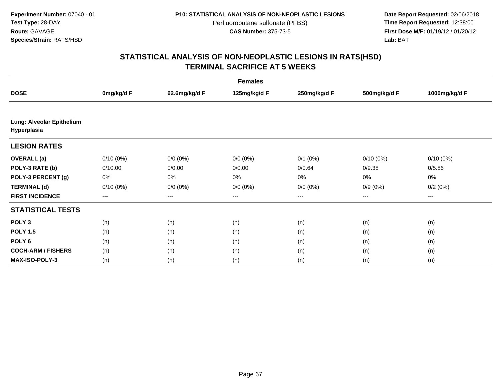**Date Report Requested:** 02/06/2018 **First Dose M/F:** 01/19/12 / 01/20/12<br>**Lab:** BAT **Lab:** BAT

| <b>Females</b>                           |             |               |              |              |              |               |  |  |
|------------------------------------------|-------------|---------------|--------------|--------------|--------------|---------------|--|--|
| <b>DOSE</b>                              | 0mg/kg/d F  | 62.6mg/kg/d F | 125mg/kg/d F | 250mg/kg/d F | 500mg/kg/d F | 1000mg/kg/d F |  |  |
|                                          |             |               |              |              |              |               |  |  |
| Lung: Alveolar Epithelium<br>Hyperplasia |             |               |              |              |              |               |  |  |
| <b>LESION RATES</b>                      |             |               |              |              |              |               |  |  |
| <b>OVERALL</b> (a)                       | $0/10(0\%)$ | $0/0 (0\%)$   | $0/0 (0\%)$  | $0/1$ $(0%)$ | $0/10(0\%)$  | $0/10(0\%)$   |  |  |
| POLY-3 RATE (b)                          | 0/10.00     | 0/0.00        | 0/0.00       | 0/0.64       | 0/9.38       | 0/5.86        |  |  |
| POLY-3 PERCENT (g)                       | 0%          | 0%            | 0%           | 0%           | 0%           | 0%            |  |  |
| <b>TERMINAL (d)</b>                      | $0/10(0\%)$ | $0/0 (0\%)$   | $0/0 (0\%)$  | $0/0 (0\%)$  | $0/9(0\%)$   | 0/2(0%)       |  |  |
| <b>FIRST INCIDENCE</b>                   | $---$       | ---           | ---          | $\cdots$     | ---          | ---           |  |  |
| <b>STATISTICAL TESTS</b>                 |             |               |              |              |              |               |  |  |
| POLY <sub>3</sub>                        | (n)         | (n)           | (n)          | (n)          | (n)          | (n)           |  |  |
| <b>POLY 1.5</b>                          | (n)         | (n)           | (n)          | (n)          | (n)          | (n)           |  |  |
| POLY <sub>6</sub>                        | (n)         | (n)           | (n)          | (n)          | (n)          | (n)           |  |  |
| <b>COCH-ARM / FISHERS</b>                | (n)         | (n)           | (n)          | (n)          | (n)          | (n)           |  |  |
| <b>MAX-ISO-POLY-3</b>                    | (n)         | (n)           | (n)          | (n)          | (n)          | (n)           |  |  |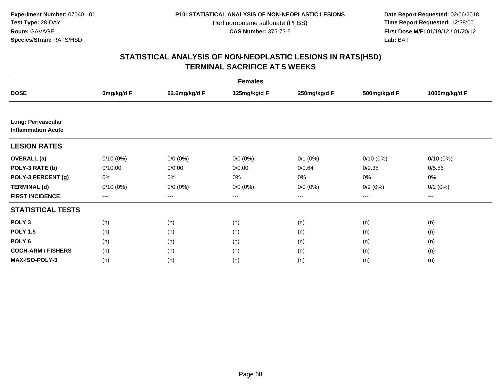**Date Report Requested:** 02/06/2018 **First Dose M/F:** 01/19/12 / 01/20/12<br>**Lab:** BAT **Lab:** BAT

| <b>Females</b>                                  |             |               |              |              |              |               |  |  |
|-------------------------------------------------|-------------|---------------|--------------|--------------|--------------|---------------|--|--|
| <b>DOSE</b>                                     | 0mg/kg/d F  | 62.6mg/kg/d F | 125mg/kg/d F | 250mg/kg/d F | 500mg/kg/d F | 1000mg/kg/d F |  |  |
|                                                 |             |               |              |              |              |               |  |  |
| Lung: Perivascular<br><b>Inflammation Acute</b> |             |               |              |              |              |               |  |  |
| <b>LESION RATES</b>                             |             |               |              |              |              |               |  |  |
| <b>OVERALL</b> (a)                              | $0/10(0\%)$ | $0/0 (0\%)$   | $0/0 (0\%)$  | $0/1$ $(0%)$ | $0/10(0\%)$  | $0/10(0\%)$   |  |  |
| POLY-3 RATE (b)                                 | 0/10.00     | 0/0.00        | 0/0.00       | 0/0.64       | 0/9.38       | 0/5.86        |  |  |
| POLY-3 PERCENT (g)                              | 0%          | 0%            | 0%           | 0%           | 0%           | 0%            |  |  |
| <b>TERMINAL (d)</b>                             | $0/10(0\%)$ | $0/0 (0\%)$   | $0/0 (0\%)$  | $0/0 (0\%)$  | $0/9(0\%)$   | 0/2(0%)       |  |  |
| <b>FIRST INCIDENCE</b>                          | $---$       | ---           | ---          | $\cdots$     | $\cdots$     | $---$         |  |  |
| <b>STATISTICAL TESTS</b>                        |             |               |              |              |              |               |  |  |
| POLY <sub>3</sub>                               | (n)         | (n)           | (n)          | (n)          | (n)          | (n)           |  |  |
| <b>POLY 1.5</b>                                 | (n)         | (n)           | (n)          | (n)          | (n)          | (n)           |  |  |
| POLY <sub>6</sub>                               | (n)         | (n)           | (n)          | (n)          | (n)          | (n)           |  |  |
| <b>COCH-ARM / FISHERS</b>                       | (n)         | (n)           | (n)          | (n)          | (n)          | (n)           |  |  |
| <b>MAX-ISO-POLY-3</b>                           | (n)         | (n)           | (n)          | (n)          | (n)          | (n)           |  |  |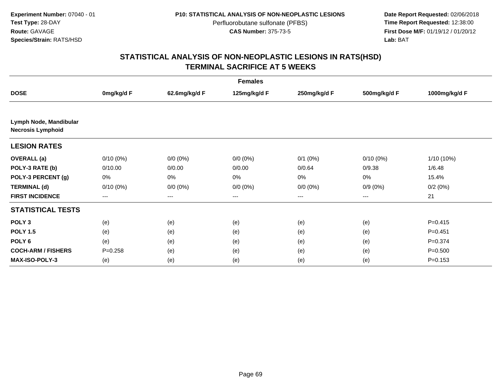**Date Report Requested:** 02/06/2018 **First Dose M/F:** 01/19/12 / 01/20/12<br>**Lab:** BAT **Lab:** BAT

| <b>Females</b>                                     |             |               |              |                        |              |               |  |  |
|----------------------------------------------------|-------------|---------------|--------------|------------------------|--------------|---------------|--|--|
| <b>DOSE</b>                                        | 0mg/kg/d F  | 62.6mg/kg/d F | 125mg/kg/d F | 250mg/kg/d F           | 500mg/kg/d F | 1000mg/kg/d F |  |  |
|                                                    |             |               |              |                        |              |               |  |  |
| Lymph Node, Mandibular<br><b>Necrosis Lymphoid</b> |             |               |              |                        |              |               |  |  |
| <b>LESION RATES</b>                                |             |               |              |                        |              |               |  |  |
| <b>OVERALL</b> (a)                                 | $0/10(0\%)$ | $0/0 (0\%)$   | $0/0 (0\%)$  | $0/1$ $(0%)$           | $0/10(0\%)$  | $1/10(10\%)$  |  |  |
| POLY-3 RATE (b)                                    | 0/10.00     | 0/0.00        | 0/0.00       | 0/0.64                 | 0/9.38       | 1/6.48        |  |  |
| POLY-3 PERCENT (g)                                 | 0%          | 0%            | 0%           | 0%                     | 0%           | 15.4%         |  |  |
| <b>TERMINAL (d)</b>                                | $0/10(0\%)$ | $0/0 (0\%)$   | $0/0 (0\%)$  | $0/0 (0\%)$            | $0/9(0\%)$   | 0/2(0%)       |  |  |
| <b>FIRST INCIDENCE</b>                             | $---$       | ---           | ---          | $\qquad \qquad \cdots$ | ---          | 21            |  |  |
| <b>STATISTICAL TESTS</b>                           |             |               |              |                        |              |               |  |  |
| POLY <sub>3</sub>                                  | (e)         | (e)           | (e)          | (e)                    | (e)          | $P = 0.415$   |  |  |
| <b>POLY 1.5</b>                                    | (e)         | (e)           | (e)          | (e)                    | (e)          | $P = 0.451$   |  |  |
| POLY <sub>6</sub>                                  | (e)         | (e)           | (e)          | (e)                    | (e)          | $P = 0.374$   |  |  |
| <b>COCH-ARM / FISHERS</b>                          | $P = 0.258$ | (e)           | (e)          | (e)                    | (e)          | $P = 0.500$   |  |  |
| MAX-ISO-POLY-3                                     | (e)         | (e)           | (e)          | (e)                    | (e)          | $P = 0.153$   |  |  |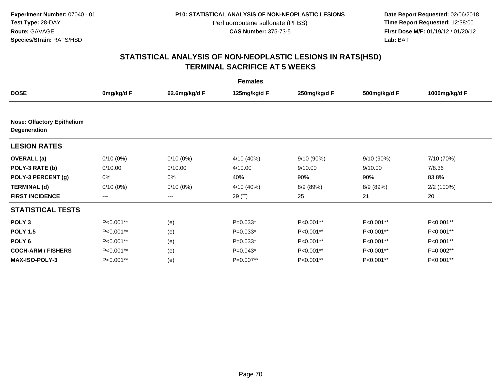**Date Report Requested:** 02/06/2018 **First Dose M/F:** 01/19/12 / 01/20/12<br>**Lab:** BAT **Lab:** BAT

| <b>Females</b>                                           |             |               |              |              |              |               |  |  |
|----------------------------------------------------------|-------------|---------------|--------------|--------------|--------------|---------------|--|--|
| <b>DOSE</b>                                              | 0mg/kg/d F  | 62.6mg/kg/d F | 125mg/kg/d F | 250mg/kg/d F | 500mg/kg/d F | 1000mg/kg/d F |  |  |
| <b>Nose: Olfactory Epithelium</b><br><b>Degeneration</b> |             |               |              |              |              |               |  |  |
| <b>LESION RATES</b>                                      |             |               |              |              |              |               |  |  |
| <b>OVERALL</b> (a)                                       | $0/10(0\%)$ | $0/10(0\%)$   | 4/10 (40%)   | 9/10 (90%)   | 9/10 (90%)   | 7/10 (70%)    |  |  |
| POLY-3 RATE (b)                                          | 0/10.00     | 0/10.00       | 4/10.00      | 9/10.00      | 9/10.00      | 7/8.36        |  |  |
| POLY-3 PERCENT (g)                                       | 0%          | 0%            | 40%          | 90%          | 90%          | 83.8%         |  |  |
| <b>TERMINAL (d)</b>                                      | $0/10(0\%)$ | $0/10(0\%)$   | 4/10 (40%)   | 8/9 (89%)    | 8/9 (89%)    | 2/2 (100%)    |  |  |
| <b>FIRST INCIDENCE</b>                                   | $--$        | $---$         | 29 (T)       | 25           | 21           | 20            |  |  |
| <b>STATISTICAL TESTS</b>                                 |             |               |              |              |              |               |  |  |
| POLY <sub>3</sub>                                        | P<0.001**   | (e)           | $P=0.033*$   | P<0.001**    | P<0.001**    | P<0.001**     |  |  |
| <b>POLY 1.5</b>                                          | P<0.001**   | (e)           | $P=0.033*$   | P<0.001**    | P<0.001**    | P<0.001**     |  |  |
| POLY <sub>6</sub>                                        | P<0.001**   | (e)           | $P=0.033*$   | P<0.001**    | P<0.001**    | P<0.001**     |  |  |
| <b>COCH-ARM / FISHERS</b>                                | P<0.001**   | (e)           | $P=0.043*$   | P<0.001**    | P<0.001**    | P=0.002**     |  |  |
| <b>MAX-ISO-POLY-3</b>                                    | P<0.001**   | (e)           | P=0.007**    | P<0.001**    | P<0.001**    | P<0.001**     |  |  |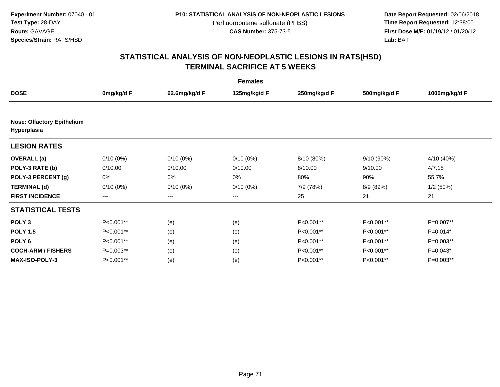**Date Report Requested:** 02/06/2018 **First Dose M/F:** 01/19/12 / 01/20/12<br>**Lab:** BAT **Lab:** BAT

| <b>Females</b>                                   |             |                        |              |              |              |               |  |  |
|--------------------------------------------------|-------------|------------------------|--------------|--------------|--------------|---------------|--|--|
| <b>DOSE</b>                                      | 0mg/kg/d F  | 62.6mg/kg/d F          | 125mg/kg/d F | 250mg/kg/d F | 500mg/kg/d F | 1000mg/kg/d F |  |  |
| <b>Nose: Olfactory Epithelium</b><br>Hyperplasia |             |                        |              |              |              |               |  |  |
| <b>LESION RATES</b>                              |             |                        |              |              |              |               |  |  |
| <b>OVERALL</b> (a)                               | $0/10(0\%)$ | $0/10(0\%)$            | $0/10(0\%)$  | 8/10 (80%)   | 9/10 (90%)   | 4/10 (40%)    |  |  |
| POLY-3 RATE (b)                                  | 0/10.00     | 0/10.00                | 0/10.00      | 8/10.00      | 9/10.00      | 4/7.18        |  |  |
| POLY-3 PERCENT (g)                               | 0%          | 0%                     | 0%           | 80%          | 90%          | 55.7%         |  |  |
| <b>TERMINAL (d)</b>                              | $0/10(0\%)$ | $0/10(0\%)$            | $0/10(0\%)$  | 7/9 (78%)    | 8/9 (89%)    | 1/2(50%)      |  |  |
| <b>FIRST INCIDENCE</b>                           | $--$        | $\qquad \qquad \cdots$ | ---          | 25           | 21           | 21            |  |  |
| <b>STATISTICAL TESTS</b>                         |             |                        |              |              |              |               |  |  |
| POLY <sub>3</sub>                                | P<0.001**   | (e)                    | (e)          | P<0.001**    | P<0.001**    | P=0.007**     |  |  |
| <b>POLY 1.5</b>                                  | P<0.001**   | (e)                    | (e)          | P<0.001**    | P<0.001**    | $P=0.014*$    |  |  |
| POLY <sub>6</sub>                                | P<0.001**   | (e)                    | (e)          | P<0.001**    | P<0.001**    | P=0.003**     |  |  |
| <b>COCH-ARM / FISHERS</b>                        | P=0.003**   | (e)                    | (e)          | P<0.001**    | P<0.001**    | $P=0.043*$    |  |  |
| <b>MAX-ISO-POLY-3</b>                            | P<0.001**   | (e)                    | (e)          | P<0.001**    | P<0.001**    | P=0.003**     |  |  |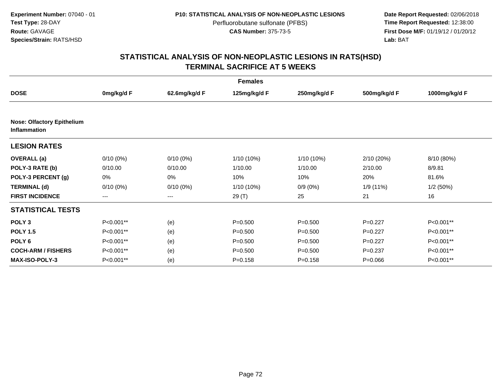**Date Report Requested:** 02/06/2018 **First Dose M/F:** 01/19/12 / 01/20/12<br>**Lab:** BAT **Lab:** BAT

| <b>Females</b>                                           |             |               |              |              |              |               |  |  |
|----------------------------------------------------------|-------------|---------------|--------------|--------------|--------------|---------------|--|--|
| <b>DOSE</b>                                              | 0mg/kg/d F  | 62.6mg/kg/d F | 125mg/kg/d F | 250mg/kg/d F | 500mg/kg/d F | 1000mg/kg/d F |  |  |
| <b>Nose: Olfactory Epithelium</b><br><b>Inflammation</b> |             |               |              |              |              |               |  |  |
| <b>LESION RATES</b>                                      |             |               |              |              |              |               |  |  |
| <b>OVERALL</b> (a)                                       | $0/10(0\%)$ | $0/10(0\%)$   | 1/10 (10%)   | 1/10 (10%)   | 2/10 (20%)   | 8/10 (80%)    |  |  |
| POLY-3 RATE (b)                                          | 0/10.00     | 0/10.00       | 1/10.00      | 1/10.00      | 2/10.00      | 8/9.81        |  |  |
| POLY-3 PERCENT (g)                                       | 0%          | 0%            | 10%          | 10%          | 20%          | 81.6%         |  |  |
| <b>TERMINAL (d)</b>                                      | $0/10(0\%)$ | $0/10(0\%)$   | 1/10 (10%)   | $0/9(0\%)$   | 1/9 (11%)    | 1/2(50%)      |  |  |
| <b>FIRST INCIDENCE</b>                                   | $---$       | $---$         | 29 (T)       | 25           | 21           | 16            |  |  |
| <b>STATISTICAL TESTS</b>                                 |             |               |              |              |              |               |  |  |
| POLY <sub>3</sub>                                        | P<0.001**   | (e)           | $P = 0.500$  | $P = 0.500$  | $P=0.227$    | P<0.001**     |  |  |
| <b>POLY 1.5</b>                                          | P<0.001**   | (e)           | $P = 0.500$  | $P = 0.500$  | $P=0.227$    | P<0.001**     |  |  |
| POLY <sub>6</sub>                                        | P<0.001**   | (e)           | $P = 0.500$  | $P = 0.500$  | $P=0.227$    | P<0.001**     |  |  |
| <b>COCH-ARM / FISHERS</b>                                | P<0.001**   | (e)           | $P = 0.500$  | $P = 0.500$  | $P = 0.237$  | P<0.001**     |  |  |
| <b>MAX-ISO-POLY-3</b>                                    | P<0.001**   | (e)           | $P = 0.158$  | $P = 0.158$  | $P = 0.066$  | P<0.001**     |  |  |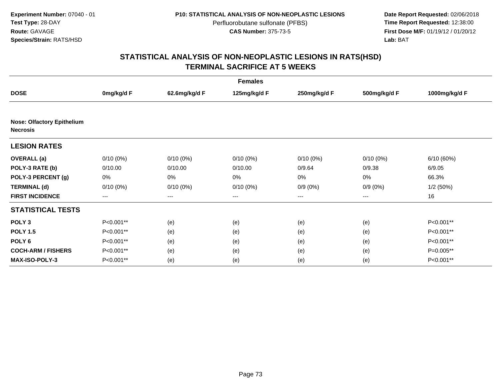**Date Report Requested:** 02/06/2018 **First Dose M/F:** 01/19/12 / 01/20/12<br>**Lab:** BAT **Lab:** BAT

|                                                      | <b>Females</b> |               |              |              |              |               |
|------------------------------------------------------|----------------|---------------|--------------|--------------|--------------|---------------|
| <b>DOSE</b>                                          | 0mg/kg/d F     | 62.6mg/kg/d F | 125mg/kg/d F | 250mg/kg/d F | 500mg/kg/d F | 1000mg/kg/d F |
| <b>Nose: Olfactory Epithelium</b><br><b>Necrosis</b> |                |               |              |              |              |               |
| <b>LESION RATES</b>                                  |                |               |              |              |              |               |
| <b>OVERALL</b> (a)                                   | $0/10(0\%)$    | $0/10(0\%)$   | $0/10(0\%)$  | $0/10(0\%)$  | 0/10(0%)     | 6/10(60%)     |
| POLY-3 RATE (b)                                      | 0/10.00        | 0/10.00       | 0/10.00      | 0/9.64       | 0/9.38       | 6/9.05        |
| POLY-3 PERCENT (g)                                   | 0%             | 0%            | 0%           | 0%           | 0%           | 66.3%         |
| <b>TERMINAL (d)</b>                                  | $0/10(0\%)$    | $0/10(0\%)$   | $0/10(0\%)$  | $0/9(0\%)$   | $0/9(0\%)$   | 1/2(50%)      |
| <b>FIRST INCIDENCE</b>                               | $--$           | $--$          | ---          | ---          | $--$         | 16            |
| <b>STATISTICAL TESTS</b>                             |                |               |              |              |              |               |
| POLY <sub>3</sub>                                    | P<0.001**      | (e)           | (e)          | (e)          | (e)          | P<0.001**     |
| <b>POLY 1.5</b>                                      | P<0.001**      | (e)           | (e)          | (e)          | (e)          | P<0.001**     |
| POLY <sub>6</sub>                                    | P<0.001**      | (e)           | (e)          | (e)          | (e)          | P<0.001**     |
| <b>COCH-ARM / FISHERS</b>                            | P<0.001**      | (e)           | (e)          | (e)          | (e)          | P=0.005**     |
| <b>MAX-ISO-POLY-3</b>                                | P<0.001**      | (e)           | (e)          | (e)          | (e)          | P<0.001**     |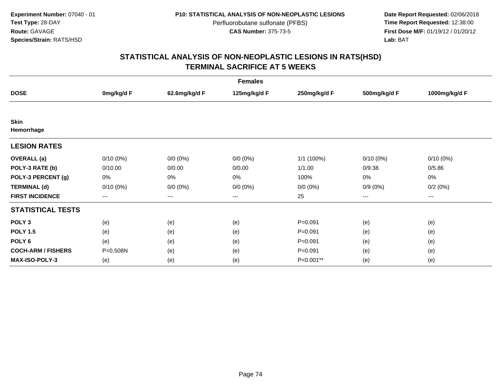**Date Report Requested:** 02/06/2018 **First Dose M/F:** 01/19/12 / 01/20/12<br>**Lab:** BAT **Lab:** BAT

|                           | <b>Females</b> |               |              |              |              |               |
|---------------------------|----------------|---------------|--------------|--------------|--------------|---------------|
| <b>DOSE</b>               | 0mg/kg/d F     | 62.6mg/kg/d F | 125mg/kg/d F | 250mg/kg/d F | 500mg/kg/d F | 1000mg/kg/d F |
|                           |                |               |              |              |              |               |
| <b>Skin</b>               |                |               |              |              |              |               |
| Hemorrhage                |                |               |              |              |              |               |
| <b>LESION RATES</b>       |                |               |              |              |              |               |
| <b>OVERALL</b> (a)        | $0/10(0\%)$    | $0/0 (0\%)$   | $0/0 (0\%)$  | 1/1 (100%)   | $0/10(0\%)$  | $0/10(0\%)$   |
| POLY-3 RATE (b)           | 0/10.00        | 0/0.00        | 0/0.00       | 1/1.00       | 0/9.38       | 0/5.86        |
| POLY-3 PERCENT (g)        | 0%             | 0%            | 0%           | 100%         | 0%           | 0%            |
| <b>TERMINAL (d)</b>       | $0/10(0\%)$    | $0/0 (0\%)$   | $0/0 (0\%)$  | $0/0 (0\%)$  | $0/9(0\%)$   | 0/2(0%)       |
| <b>FIRST INCIDENCE</b>    | $---$          | $---$         | ---          | 25           | $---$        | ---           |
| <b>STATISTICAL TESTS</b>  |                |               |              |              |              |               |
| POLY <sub>3</sub>         | (e)            | (e)           | (e)          | $P = 0.091$  | (e)          | (e)           |
| <b>POLY 1.5</b>           | (e)            | (e)           | (e)          | $P = 0.091$  | (e)          | (e)           |
| POLY <sub>6</sub>         | (e)            | (e)           | (e)          | $P = 0.091$  | (e)          | (e)           |
| <b>COCH-ARM / FISHERS</b> | P=0.508N       | (e)           | (e)          | $P = 0.091$  | (e)          | (e)           |
| <b>MAX-ISO-POLY-3</b>     | (e)            | (e)           | (e)          | P<0.001**    | (e)          | (e)           |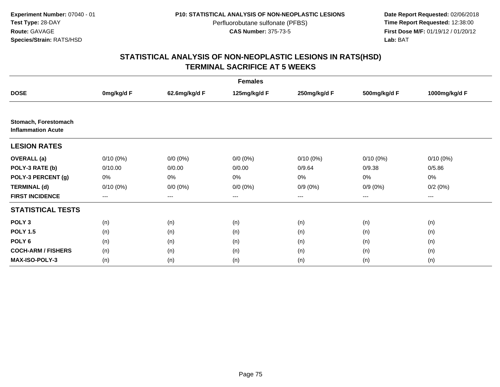**Date Report Requested:** 02/06/2018 **First Dose M/F:** 01/19/12 / 01/20/12<br>**Lab:** BAT **Lab:** BAT

| <b>Females</b>                                    |             |               |              |              |              |               |
|---------------------------------------------------|-------------|---------------|--------------|--------------|--------------|---------------|
| <b>DOSE</b>                                       | 0mg/kg/d F  | 62.6mg/kg/d F | 125mg/kg/d F | 250mg/kg/d F | 500mg/kg/d F | 1000mg/kg/d F |
|                                                   |             |               |              |              |              |               |
| Stomach, Forestomach<br><b>Inflammation Acute</b> |             |               |              |              |              |               |
| <b>LESION RATES</b>                               |             |               |              |              |              |               |
| <b>OVERALL</b> (a)                                | $0/10(0\%)$ | $0/0 (0\%)$   | $0/0 (0\%)$  | $0/10(0\%)$  | $0/10(0\%)$  | $0/10(0\%)$   |
| POLY-3 RATE (b)                                   | 0/10.00     | 0/0.00        | 0/0.00       | 0/9.64       | 0/9.38       | 0/5.86        |
| POLY-3 PERCENT (g)                                | 0%          | 0%            | 0%           | 0%           | 0%           | 0%            |
| <b>TERMINAL (d)</b>                               | $0/10(0\%)$ | $0/0 (0\%)$   | $0/0 (0\%)$  | $0/9(0\%)$   | $0/9(0\%)$   | 0/2(0%)       |
| <b>FIRST INCIDENCE</b>                            | $---$       | ---           | ---          | $\cdots$     | ---          | ---           |
| <b>STATISTICAL TESTS</b>                          |             |               |              |              |              |               |
| POLY <sub>3</sub>                                 | (n)         | (n)           | (n)          | (n)          | (n)          | (n)           |
| <b>POLY 1.5</b>                                   | (n)         | (n)           | (n)          | (n)          | (n)          | (n)           |
| POLY <sub>6</sub>                                 | (n)         | (n)           | (n)          | (n)          | (n)          | (n)           |
| <b>COCH-ARM / FISHERS</b>                         | (n)         | (n)           | (n)          | (n)          | (n)          | (n)           |
| <b>MAX-ISO-POLY-3</b>                             | (n)         | (n)           | (n)          | (n)          | (n)          | (n)           |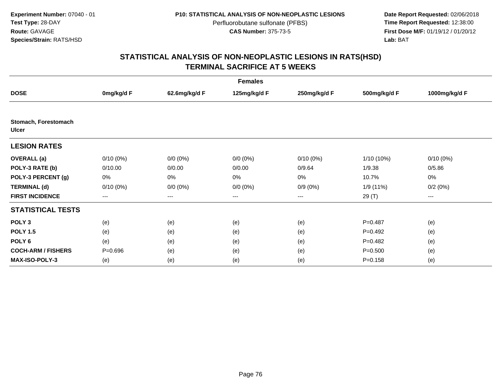**Date Report Requested:** 02/06/2018 **First Dose M/F:** 01/19/12 / 01/20/12<br>**Lab:** BAT **Lab:** BAT

|                                      | <b>Females</b> |                        |              |              |              |                   |
|--------------------------------------|----------------|------------------------|--------------|--------------|--------------|-------------------|
| <b>DOSE</b>                          | 0mg/kg/d F     | 62.6mg/kg/d F          | 125mg/kg/d F | 250mg/kg/d F | 500mg/kg/d F | 1000mg/kg/d F     |
|                                      |                |                        |              |              |              |                   |
| Stomach, Forestomach<br><b>Ulcer</b> |                |                        |              |              |              |                   |
| <b>LESION RATES</b>                  |                |                        |              |              |              |                   |
| <b>OVERALL</b> (a)                   | $0/10(0\%)$    | $0/0 (0\%)$            | $0/0 (0\%)$  | $0/10(0\%)$  | 1/10 (10%)   | $0/10(0\%)$       |
| POLY-3 RATE (b)                      | 0/10.00        | 0/0.00                 | 0/0.00       | 0/9.64       | 1/9.38       | 0/5.86            |
| POLY-3 PERCENT (g)                   | 0%             | 0%                     | $0\%$        | 0%           | 10.7%        | 0%                |
| <b>TERMINAL (d)</b>                  | $0/10(0\%)$    | $0/0(0\%)$             | $0/0 (0\%)$  | $0/9(0\%)$   | 1/9 (11%)    | 0/2(0%)           |
| <b>FIRST INCIDENCE</b>               | ---            | $\qquad \qquad \cdots$ | $---$        | $---$        | 29 (T)       | $\qquad \qquad -$ |
| <b>STATISTICAL TESTS</b>             |                |                        |              |              |              |                   |
| POLY <sub>3</sub>                    | (e)            | (e)                    | (e)          | (e)          | $P = 0.487$  | (e)               |
| <b>POLY 1.5</b>                      | (e)            | (e)                    | (e)          | (e)          | $P=0.492$    | (e)               |
| POLY <sub>6</sub>                    | (e)            | (e)                    | (e)          | (e)          | $P=0.482$    | (e)               |
| <b>COCH-ARM / FISHERS</b>            | $P = 0.696$    | (e)                    | (e)          | (e)          | $P = 0.500$  | (e)               |
| <b>MAX-ISO-POLY-3</b>                | (e)            | (e)                    | (e)          | (e)          | $P = 0.158$  | (e)               |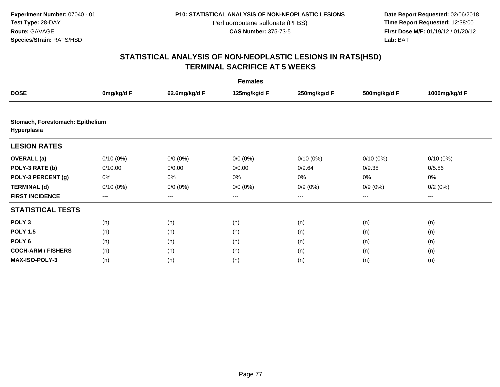**Date Report Requested:** 02/06/2018 **First Dose M/F:** 01/19/12 / 01/20/12<br>**Lab:** BAT **Lab:** BAT

|                                                 | <b>Females</b>    |                   |              |              |              |               |
|-------------------------------------------------|-------------------|-------------------|--------------|--------------|--------------|---------------|
| <b>DOSE</b>                                     | 0mg/kg/d F        | 62.6mg/kg/d F     | 125mg/kg/d F | 250mg/kg/d F | 500mg/kg/d F | 1000mg/kg/d F |
|                                                 |                   |                   |              |              |              |               |
| Stomach, Forestomach: Epithelium<br>Hyperplasia |                   |                   |              |              |              |               |
| <b>LESION RATES</b>                             |                   |                   |              |              |              |               |
| <b>OVERALL</b> (a)                              | $0/10(0\%)$       | $0/0 (0\%)$       | $0/0 (0\%)$  | $0/10(0\%)$  | $0/10(0\%)$  | $0/10(0\%)$   |
| POLY-3 RATE (b)                                 | 0/10.00           | 0/0.00            | 0/0.00       | 0/9.64       | 0/9.38       | 0/5.86        |
| POLY-3 PERCENT (g)                              | 0%                | $0\%$             | 0%           | 0%           | 0%           | 0%            |
| <b>TERMINAL (d)</b>                             | $0/10(0\%)$       | $0/0 (0\%)$       | $0/0 (0\%)$  | $0/9(0\%)$   | $0/9(0\%)$   | 0/2(0%)       |
| <b>FIRST INCIDENCE</b>                          | $\qquad \qquad -$ | $\qquad \qquad -$ | $---$        | ---          | $---$        | ---           |
| <b>STATISTICAL TESTS</b>                        |                   |                   |              |              |              |               |
| POLY <sub>3</sub>                               | (n)               | (n)               | (n)          | (n)          | (n)          | (n)           |
| <b>POLY 1.5</b>                                 | (n)               | (n)               | (n)          | (n)          | (n)          | (n)           |
| POLY <sub>6</sub>                               | (n)               | (n)               | (n)          | (n)          | (n)          | (n)           |
| <b>COCH-ARM / FISHERS</b>                       | (n)               | (n)               | (n)          | (n)          | (n)          | (n)           |
| <b>MAX-ISO-POLY-3</b>                           | (n)               | (n)               | (n)          | (n)          | (n)          | (n)           |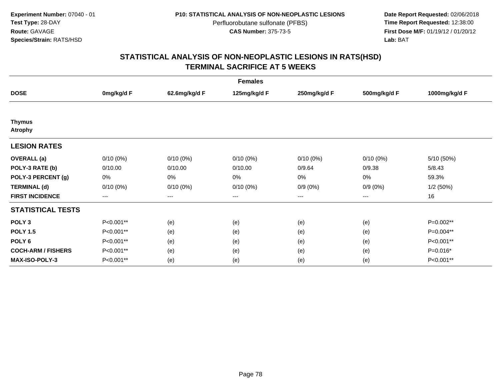**Date Report Requested:** 02/06/2018 **First Dose M/F:** 01/19/12 / 01/20/12<br>**Lab:** BAT **Lab:** BAT

|                                 | <b>Females</b> |                        |              |              |              |               |
|---------------------------------|----------------|------------------------|--------------|--------------|--------------|---------------|
| <b>DOSE</b>                     | 0mg/kg/d F     | 62.6mg/kg/d F          | 125mg/kg/d F | 250mg/kg/d F | 500mg/kg/d F | 1000mg/kg/d F |
|                                 |                |                        |              |              |              |               |
| <b>Thymus</b><br><b>Atrophy</b> |                |                        |              |              |              |               |
| <b>LESION RATES</b>             |                |                        |              |              |              |               |
| <b>OVERALL</b> (a)              | $0/10(0\%)$    | $0/10(0\%)$            | $0/10(0\%)$  | $0/10(0\%)$  | $0/10(0\%)$  | 5/10 (50%)    |
| POLY-3 RATE (b)                 | 0/10.00        | 0/10.00                | 0/10.00      | 0/9.64       | 0/9.38       | 5/8.43        |
| POLY-3 PERCENT (g)              | 0%             | 0%                     | 0%           | 0%           | 0%           | 59.3%         |
| <b>TERMINAL (d)</b>             | $0/10(0\%)$    | $0/10(0\%)$            | $0/10(0\%)$  | $0/9(0\%)$   | $0/9(0\%)$   | 1/2(50%)      |
| <b>FIRST INCIDENCE</b>          | $---$          | $\qquad \qquad \cdots$ | ---          | ---          | $---$        | 16            |
| <b>STATISTICAL TESTS</b>        |                |                        |              |              |              |               |
| POLY <sub>3</sub>               | P<0.001**      | (e)                    | (e)          | (e)          | (e)          | $P=0.002**$   |
| <b>POLY 1.5</b>                 | P<0.001**      | (e)                    | (e)          | (e)          | (e)          | P=0.004**     |
| POLY <sub>6</sub>               | P<0.001**      | (e)                    | (e)          | (e)          | (e)          | P<0.001**     |
| <b>COCH-ARM / FISHERS</b>       | P<0.001**      | (e)                    | (e)          | (e)          | (e)          | P=0.016*      |
| <b>MAX-ISO-POLY-3</b>           | P<0.001**      | (e)                    | (e)          | (e)          | (e)          | P<0.001**     |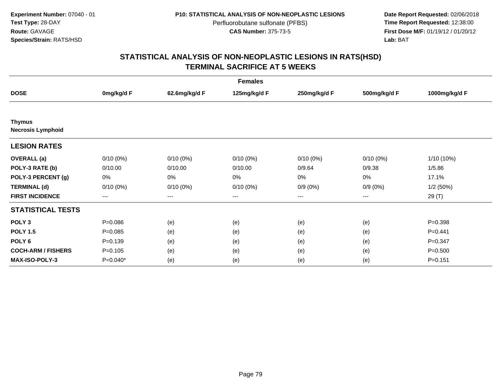**Date Report Requested:** 02/06/2018 **First Dose M/F:** 01/19/12 / 01/20/12<br>**Lab:** BAT **Lab:** BAT

|                                           | <b>Females</b> |                   |              |              |              |               |
|-------------------------------------------|----------------|-------------------|--------------|--------------|--------------|---------------|
| <b>DOSE</b>                               | 0mg/kg/d F     | 62.6mg/kg/d F     | 125mg/kg/d F | 250mg/kg/d F | 500mg/kg/d F | 1000mg/kg/d F |
|                                           |                |                   |              |              |              |               |
| <b>Thymus</b><br><b>Necrosis Lymphoid</b> |                |                   |              |              |              |               |
| <b>LESION RATES</b>                       |                |                   |              |              |              |               |
| <b>OVERALL</b> (a)                        | $0/10(0\%)$    | $0/10(0\%)$       | $0/10(0\%)$  | $0/10(0\%)$  | $0/10(0\%)$  | 1/10 (10%)    |
| POLY-3 RATE (b)                           | 0/10.00        | 0/10.00           | 0/10.00      | 0/9.64       | 0/9.38       | 1/5.86        |
| POLY-3 PERCENT (g)                        | 0%             | 0%                | 0%           | 0%           | 0%           | 17.1%         |
| <b>TERMINAL (d)</b>                       | $0/10(0\%)$    | $0/10(0\%)$       | $0/10(0\%)$  | $0/9(0\%)$   | $0/9(0\%)$   | 1/2(50%)      |
| <b>FIRST INCIDENCE</b>                    | ---            | $\qquad \qquad -$ | ---          | ---          | $\cdots$     | 29 (T)        |
| <b>STATISTICAL TESTS</b>                  |                |                   |              |              |              |               |
| POLY <sub>3</sub>                         | $P = 0.086$    | (e)               | (e)          | (e)          | (e)          | $P = 0.398$   |
| <b>POLY 1.5</b>                           | $P = 0.085$    | (e)               | (e)          | (e)          | (e)          | $P=0.441$     |
| POLY <sub>6</sub>                         | $P = 0.139$    | (e)               | (e)          | (e)          | (e)          | $P = 0.347$   |
| <b>COCH-ARM / FISHERS</b>                 | $P = 0.105$    | (e)               | (e)          | (e)          | (e)          | $P = 0.500$   |
| MAX-ISO-POLY-3                            | $P=0.040*$     | (e)               | (e)          | (e)          | (e)          | $P = 0.151$   |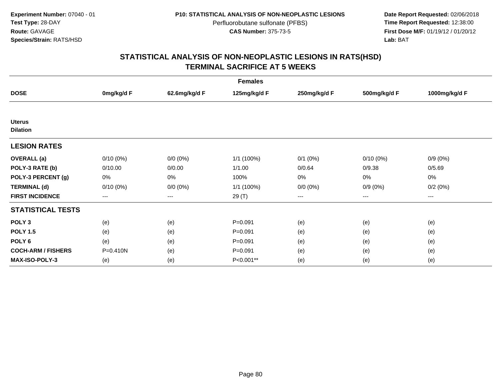**Date Report Requested:** 02/06/2018 **First Dose M/F:** 01/19/12 / 01/20/12<br>**Lab:** BAT **Lab:** BAT

| <b>Females</b>                   |             |               |              |              |                        |               |
|----------------------------------|-------------|---------------|--------------|--------------|------------------------|---------------|
| <b>DOSE</b>                      | 0mg/kg/d F  | 62.6mg/kg/d F | 125mg/kg/d F | 250mg/kg/d F | 500mg/kg/d F           | 1000mg/kg/d F |
|                                  |             |               |              |              |                        |               |
| <b>Uterus</b><br><b>Dilation</b> |             |               |              |              |                        |               |
| <b>LESION RATES</b>              |             |               |              |              |                        |               |
| <b>OVERALL</b> (a)               | $0/10(0\%)$ | $0/0(0\%)$    | 1/1 (100%)   | $0/1$ $(0%)$ | $0/10(0\%)$            | $0/9(0\%)$    |
| POLY-3 RATE (b)                  | 0/10.00     | 0/0.00        | 1/1.00       | 0/0.64       | 0/9.38                 | 0/5.69        |
| POLY-3 PERCENT (g)               | 0%          | 0%            | 100%         | 0%           | 0%                     | 0%            |
| <b>TERMINAL (d)</b>              | $0/10(0\%)$ | $0/0 (0\%)$   | 1/1 (100%)   | $0/0 (0\%)$  | $0/9(0\%)$             | 0/2(0%)       |
| <b>FIRST INCIDENCE</b>           | ---         | $---$         | 29 (T)       | ---          | $\qquad \qquad \cdots$ | $---$         |
| <b>STATISTICAL TESTS</b>         |             |               |              |              |                        |               |
| POLY <sub>3</sub>                | (e)         | (e)           | $P = 0.091$  | (e)          | (e)                    | (e)           |
| <b>POLY 1.5</b>                  | (e)         | (e)           | $P = 0.091$  | (e)          | (e)                    | (e)           |
| POLY 6                           | (e)         | (e)           | $P = 0.091$  | (e)          | (e)                    | (e)           |
| <b>COCH-ARM / FISHERS</b>        | P=0.410N    | (e)           | $P = 0.091$  | (e)          | (e)                    | (e)           |
| <b>MAX-ISO-POLY-3</b>            | (e)         | (e)           | P<0.001**    | (e)          | (e)                    | (e)           |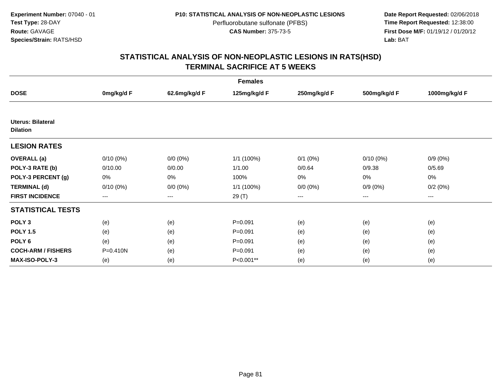**Date Report Requested:** 02/06/2018 **First Dose M/F:** 01/19/12 / 01/20/12<br>**Lab:** BAT **Lab:** BAT

| <b>Females</b>                              |              |               |              |              |              |               |
|---------------------------------------------|--------------|---------------|--------------|--------------|--------------|---------------|
| <b>DOSE</b>                                 | 0mg/kg/d F   | 62.6mg/kg/d F | 125mg/kg/d F | 250mg/kg/d F | 500mg/kg/d F | 1000mg/kg/d F |
|                                             |              |               |              |              |              |               |
| <b>Uterus: Bilateral</b><br><b>Dilation</b> |              |               |              |              |              |               |
| <b>LESION RATES</b>                         |              |               |              |              |              |               |
| <b>OVERALL</b> (a)                          | $0/10(0\%)$  | $0/0 (0\%)$   | 1/1 (100%)   | $0/1$ $(0%)$ | $0/10(0\%)$  | $0/9(0\%)$    |
| POLY-3 RATE (b)                             | 0/10.00      | 0/0.00        | 1/1.00       | 0/0.64       | 0/9.38       | 0/5.69        |
| POLY-3 PERCENT (g)                          | 0%           | 0%            | 100%         | 0%           | 0%           | $0\%$         |
| <b>TERMINAL (d)</b>                         | $0/10(0\%)$  | $0/0 (0\%)$   | 1/1 (100%)   | $0/0 (0\%)$  | $0/9(0\%)$   | 0/2(0%)       |
| <b>FIRST INCIDENCE</b>                      | $\cdots$     | $\cdots$      | 29 (T)       | ---          | $\cdots$     | $\cdots$      |
| <b>STATISTICAL TESTS</b>                    |              |               |              |              |              |               |
| POLY <sub>3</sub>                           | (e)          | (e)           | $P = 0.091$  | (e)          | (e)          | (e)           |
| <b>POLY 1.5</b>                             | (e)          | (e)           | $P = 0.091$  | (e)          | (e)          | (e)           |
| POLY <sub>6</sub>                           | (e)          | (e)           | $P=0.091$    | (e)          | (e)          | (e)           |
| <b>COCH-ARM / FISHERS</b>                   | $P = 0.410N$ | (e)           | $P = 0.091$  | (e)          | (e)          | (e)           |
| <b>MAX-ISO-POLY-3</b>                       | (e)          | (e)           | P<0.001**    | (e)          | (e)          | (e)           |